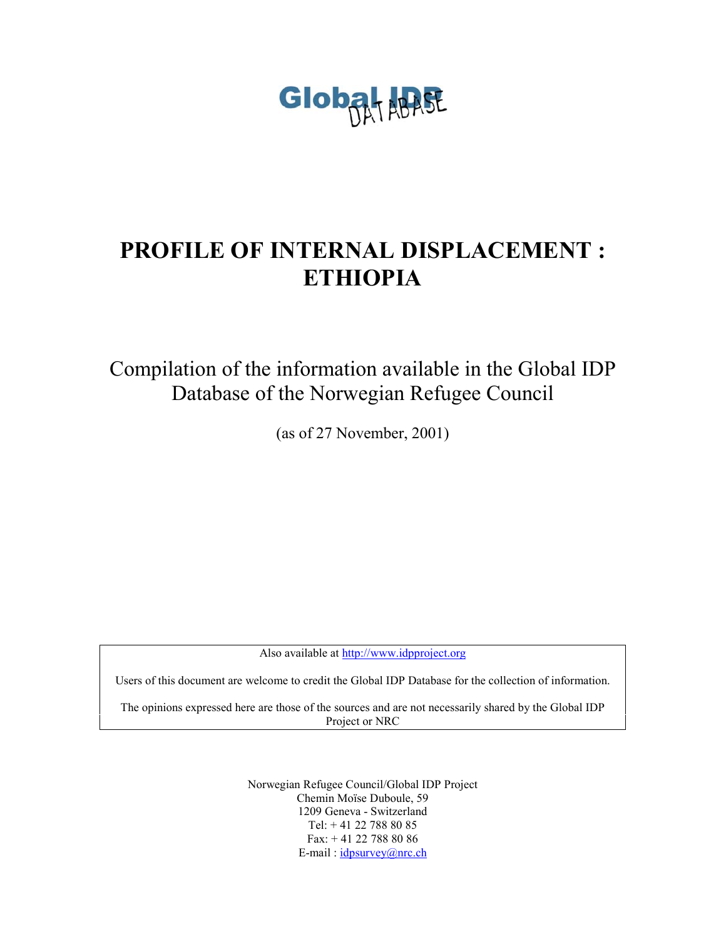

# **PROFILE OF INTERNAL DISPLACEMENT : ETHIOPIA**

Compilation of the information available in the Global IDP Database of the Norwegian Refugee Council

(as of 27 November, 2001)

Also available at <http://www.idpproject.org>

Users of this document are welcome to credit the Global IDP Database for the collection of information.

The opinions expressed here are those of the sources and are not necessarily shared by the Global IDP Project or NRC

> Norwegian Refugee Council/Global IDP Project Chemin Moïse Duboule, 59 1209 Geneva - Switzerland Tel: + 41 22 788 80 85 Fax: + 41 22 788 80 86 E-mail: idpsurvey@nrc.ch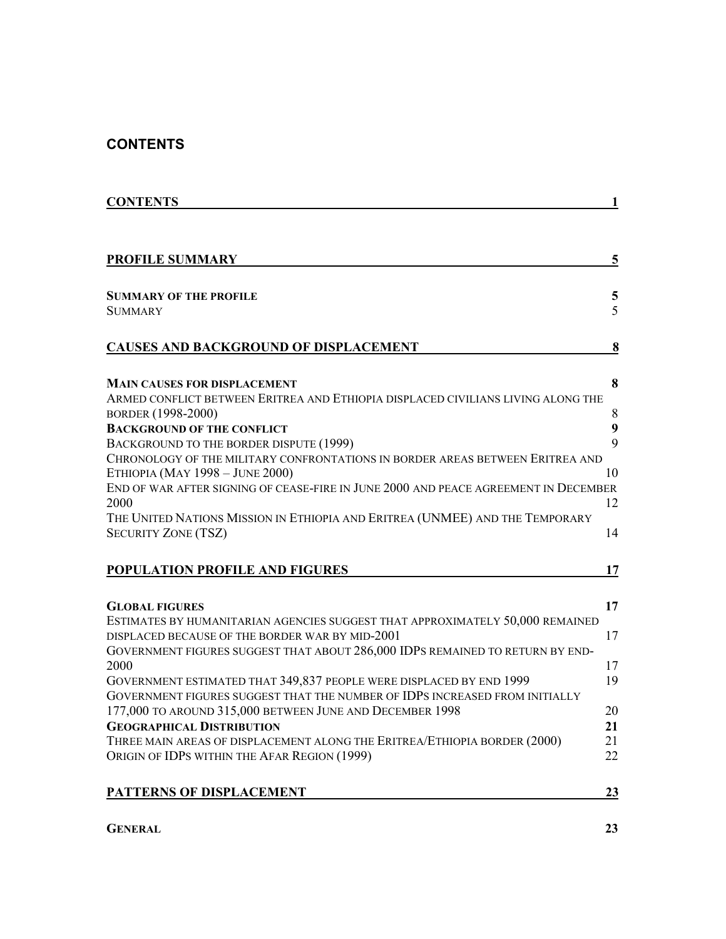### **CONTENTS**

| <b>CONTENTS</b>                                                                                                  | 1      |
|------------------------------------------------------------------------------------------------------------------|--------|
|                                                                                                                  |        |
| <b>PROFILE SUMMARY</b>                                                                                           | 5      |
|                                                                                                                  |        |
| <b>SUMMARY OF THE PROFILE</b><br><b>SUMMARY</b>                                                                  | 5<br>5 |
| <b>CAUSES AND BACKGROUND OF DISPLACEMENT</b>                                                                     | 8      |
| <b>MAIN CAUSES FOR DISPLACEMENT</b>                                                                              | 8      |
| ARMED CONFLICT BETWEEN ERITREA AND ETHIOPIA DISPLACED CIVILIANS LIVING ALONG THE<br>BORDER (1998-2000)           | 8      |
| <b>BACKGROUND OF THE CONFLICT</b>                                                                                | 9      |
| BACKGROUND TO THE BORDER DISPUTE (1999)                                                                          | 9      |
| CHRONOLOGY OF THE MILITARY CONFRONTATIONS IN BORDER AREAS BETWEEN ERITREA AND<br>ETHIOPIA (MAY 1998 - JUNE 2000) | 10     |
| END OF WAR AFTER SIGNING OF CEASE-FIRE IN JUNE 2000 AND PEACE AGREEMENT IN DECEMBER                              |        |
| 2000                                                                                                             | 12     |
| THE UNITED NATIONS MISSION IN ETHIOPIA AND ERITREA (UNMEE) AND THE TEMPORARY                                     |        |
| <b>SECURITY ZONE (TSZ)</b>                                                                                       | 14     |
| POPULATION PROFILE AND FIGURES                                                                                   | 17     |
| <b>GLOBAL FIGURES</b>                                                                                            | 17     |
| ESTIMATES BY HUMANITARIAN AGENCIES SUGGEST THAT APPROXIMATELY 50,000 REMAINED                                    |        |
| DISPLACED BECAUSE OF THE BORDER WAR BY MID-2001                                                                  | 17     |
| GOVERNMENT FIGURES SUGGEST THAT ABOUT 286,000 IDPS REMAINED TO RETURN BY END-                                    |        |
| 2000                                                                                                             | 17     |
| GOVERNMENT ESTIMATED THAT 349,837 PEOPLE WERE DISPLACED BY END 1999                                              | 19     |
| GOVERNMENT FIGURES SUGGEST THAT THE NUMBER OF IDPS INCREASED FROM INITIALLY                                      |        |
| 177,000 TO AROUND 315,000 BETWEEN JUNE AND DECEMBER 1998                                                         | 20     |
| <b>GEOGRAPHICAL DISTRIBUTION</b>                                                                                 | 21     |
| THREE MAIN AREAS OF DISPLACEMENT ALONG THE ERITREA/ETHIOPIA BORDER (2000)                                        | 21     |
|                                                                                                                  | 22     |
|                                                                                                                  | 23     |
| ORIGIN OF IDPS WITHIN THE AFAR REGION (1999)<br>PATTERNS OF DISPLACEMENT                                         |        |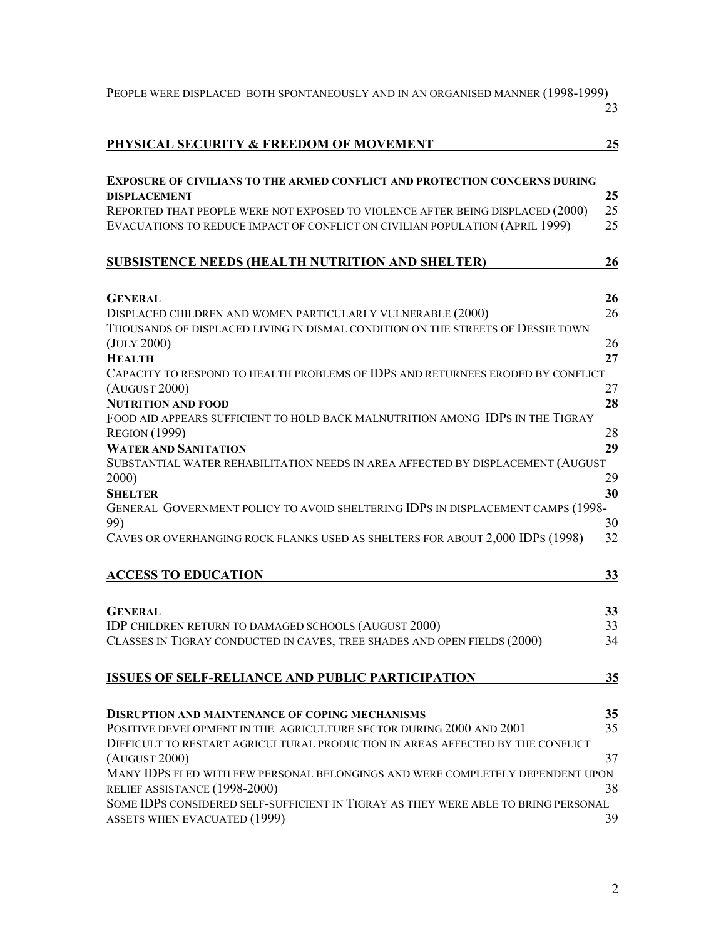| PEOPLE WERE DISPLACED BOTH SPONTANEOUSLY AND IN AN ORGANISED MANNER (1998-1999)                                                  | 23       |
|----------------------------------------------------------------------------------------------------------------------------------|----------|
| PHYSICAL SECURITY & FREEDOM OF MOVEMENT                                                                                          | 25       |
| <b>EXPOSURE OF CIVILIANS TO THE ARMED CONFLICT AND PROTECTION CONCERNS DURING</b>                                                |          |
| <b>DISPLACEMENT</b>                                                                                                              | 25       |
| REPORTED THAT PEOPLE WERE NOT EXPOSED TO VIOLENCE AFTER BEING DISPLACED (2000)                                                   | 25       |
| EVACUATIONS TO REDUCE IMPACT OF CONFLICT ON CIVILIAN POPULATION (APRIL 1999)                                                     | 25       |
| SUBSISTENCE NEEDS (HEALTH NUTRITION AND SHELTER)                                                                                 | 26       |
| <b>GENERAL</b>                                                                                                                   | 26       |
| DISPLACED CHILDREN AND WOMEN PARTICULARLY VULNERABLE (2000)                                                                      | 26       |
| THOUSANDS OF DISPLACED LIVING IN DISMAL CONDITION ON THE STREETS OF DESSIE TOWN                                                  |          |
| (JULY 2000)                                                                                                                      | 26       |
| <b>HEALTH</b>                                                                                                                    | 27       |
| CAPACITY TO RESPOND TO HEALTH PROBLEMS OF IDPS AND RETURNEES ERODED BY CONFLICT<br>(AUGUST 2000)                                 | 27       |
| <b>NUTRITION AND FOOD</b>                                                                                                        | 28       |
| FOOD AID APPEARS SUFFICIENT TO HOLD BACK MALNUTRITION AMONG IDPS IN THE TIGRAY                                                   |          |
| <b>REGION</b> (1999)                                                                                                             | 28       |
| <b>WATER AND SANITATION</b>                                                                                                      | 29       |
| SUBSTANTIAL WATER REHABILITATION NEEDS IN AREA AFFECTED BY DISPLACEMENT (AUGUST                                                  |          |
| 2000)                                                                                                                            | 29       |
| <b>SHELTER</b><br>GENERAL GOVERNMENT POLICY TO AVOID SHELTERING IDPS IN DISPLACEMENT CAMPS (1998-                                | 30       |
| 99)                                                                                                                              | 30       |
| CAVES OR OVERHANGING ROCK FLANKS USED AS SHELTERS FOR ABOUT 2,000 IDPS (1998)                                                    | 32       |
| <b>ACCESS TO EDUCATION</b>                                                                                                       | 33       |
|                                                                                                                                  |          |
| <b>GENERAL</b>                                                                                                                   | 33       |
| IDP CHILDREN RETURN TO DAMAGED SCHOOLS (AUGUST 2000)<br>CLASSES IN TIGRAY CONDUCTED IN CAVES, TREE SHADES AND OPEN FIELDS (2000) | 33<br>34 |
|                                                                                                                                  |          |
| <b>ISSUES OF SELF-RELIANCE AND PUBLIC PARTICIPATION</b>                                                                          | 35       |
|                                                                                                                                  |          |
| <b>DISRUPTION AND MAINTENANCE OF COPING MECHANISMS</b><br>POSITIVE DEVELOPMENT IN THE AGRICULTURE SECTOR DURING 2000 AND 2001    | 35<br>35 |
| DIFFICULT TO RESTART AGRICULTURAL PRODUCTION IN AREAS AFFECTED BY THE CONFLICT                                                   |          |
| (AUGUST 2000)                                                                                                                    | 37       |
| MANY IDPS FLED WITH FEW PERSONAL BELONGINGS AND WERE COMPLETELY DEPENDENT UPON                                                   |          |
| RELIEF ASSISTANCE (1998-2000)                                                                                                    | 38       |
| SOME IDPS CONSIDERED SELF-SUFFICIENT IN TIGRAY AS THEY WERE ABLE TO BRING PERSONAL                                               |          |
| ASSETS WHEN EVACUATED (1999)                                                                                                     | 39       |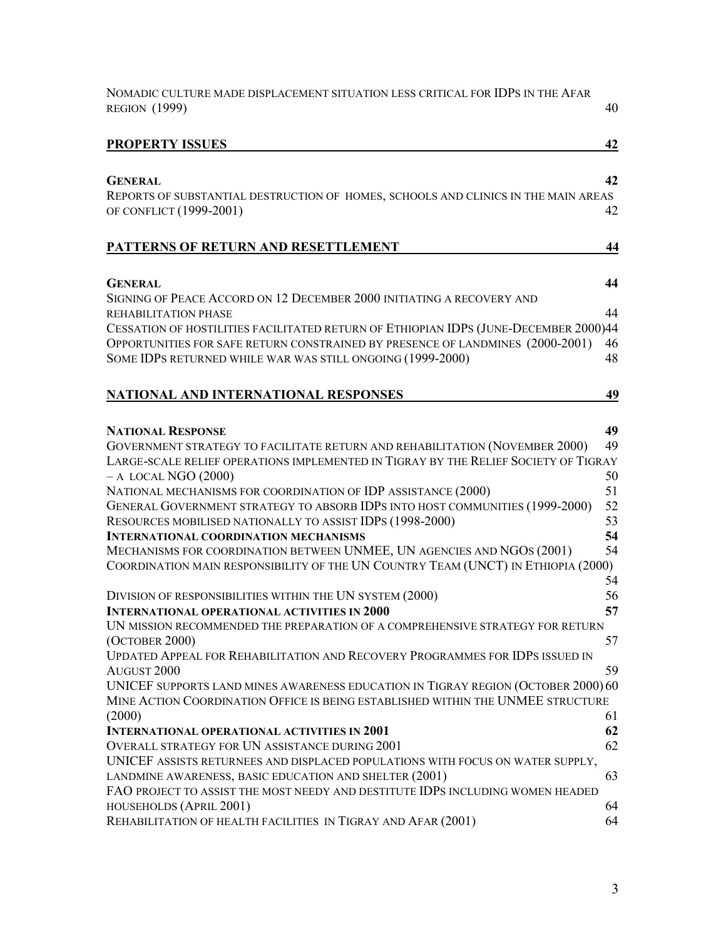| NOMADIC CULTURE MADE DISPLACEMENT SITUATION LESS CRITICAL FOR IDPS IN THE AFAR<br><b>REGION</b> (1999)                                                                                                                                                                                                                                                                                                                                                                                                                                                                                                                                                |                                                    |  |  |
|-------------------------------------------------------------------------------------------------------------------------------------------------------------------------------------------------------------------------------------------------------------------------------------------------------------------------------------------------------------------------------------------------------------------------------------------------------------------------------------------------------------------------------------------------------------------------------------------------------------------------------------------------------|----------------------------------------------------|--|--|
| <b>PROPERTY ISSUES</b>                                                                                                                                                                                                                                                                                                                                                                                                                                                                                                                                                                                                                                | 42                                                 |  |  |
| <b>GENERAL</b><br>REPORTS OF SUBSTANTIAL DESTRUCTION OF HOMES, SCHOOLS AND CLINICS IN THE MAIN AREAS<br>OF CONFLICT (1999-2001)                                                                                                                                                                                                                                                                                                                                                                                                                                                                                                                       | 42<br>42                                           |  |  |
| PATTERNS OF RETURN AND RESETTLEMENT                                                                                                                                                                                                                                                                                                                                                                                                                                                                                                                                                                                                                   | 44                                                 |  |  |
| <b>GENERAL</b><br>SIGNING OF PEACE ACCORD ON 12 DECEMBER 2000 INITIATING A RECOVERY AND                                                                                                                                                                                                                                                                                                                                                                                                                                                                                                                                                               | 44                                                 |  |  |
| REHABILITATION PHASE<br>CESSATION OF HOSTILITIES FACILITATED RETURN OF ETHIOPIAN IDPS (JUNE-DECEMBER 2000)44<br>OPPORTUNITIES FOR SAFE RETURN CONSTRAINED BY PRESENCE OF LANDMINES (2000-2001)<br>SOME IDPS RETURNED WHILE WAR WAS STILL ONGOING (1999-2000)                                                                                                                                                                                                                                                                                                                                                                                          | 44<br>46<br>48                                     |  |  |
| NATIONAL AND INTERNATIONAL RESPONSES                                                                                                                                                                                                                                                                                                                                                                                                                                                                                                                                                                                                                  | 49                                                 |  |  |
| <b>NATIONAL RESPONSE</b><br>GOVERNMENT STRATEGY TO FACILITATE RETURN AND REHABILITATION (NOVEMBER 2000)<br>LARGE-SCALE RELIEF OPERATIONS IMPLEMENTED IN TIGRAY BY THE RELIEF SOCIETY OF TIGRAY<br>$-$ A LOCAL NGO (2000)<br>NATIONAL MECHANISMS FOR COORDINATION OF IDP ASSISTANCE (2000)<br>GENERAL GOVERNMENT STRATEGY TO ABSORB IDPS INTO HOST COMMUNITIES (1999-2000)<br>RESOURCES MOBILISED NATIONALLY TO ASSIST IDPS (1998-2000)<br><b>INTERNATIONAL COORDINATION MECHANISMS</b><br>MECHANISMS FOR COORDINATION BETWEEN UNMEE, UN AGENCIES AND NGOS (2001)<br>COORDINATION MAIN RESPONSIBILITY OF THE UN COUNTRY TEAM (UNCT) IN ETHIOPIA (2000) | 49<br>49<br>50<br>51<br>52<br>53<br>54<br>54<br>54 |  |  |
| DIVISION OF RESPONSIBILITIES WITHIN THE UN SYSTEM (2000)<br><b>INTERNATIONAL OPERATIONAL ACTIVITIES IN 2000</b><br>UN MISSION RECOMMENDED THE PREPARATION OF A COMPREHENSIVE STRATEGY FOR RETURN<br>(OCTOBER 2000)<br>UPDATED APPEAL FOR REHABILITATION AND RECOVERY PROGRAMMES FOR IDPS ISSUED IN                                                                                                                                                                                                                                                                                                                                                    | 56<br>57<br>57                                     |  |  |
| AUGUST <sub>2000</sub><br>UNICEF SUPPORTS LAND MINES AWARENESS EDUCATION IN TIGRAY REGION (OCTOBER 2000) 60<br>MINE ACTION COORDINATION OFFICE IS BEING ESTABLISHED WITHIN THE UNMEE STRUCTURE<br>(2000)                                                                                                                                                                                                                                                                                                                                                                                                                                              | 59<br>61                                           |  |  |
| <b>INTERNATIONAL OPERATIONAL ACTIVITIES IN 2001</b><br>OVERALL STRATEGY FOR UN ASSISTANCE DURING 2001<br>UNICEF ASSISTS RETURNEES AND DISPLACED POPULATIONS WITH FOCUS ON WATER SUPPLY,                                                                                                                                                                                                                                                                                                                                                                                                                                                               | 62<br>62                                           |  |  |
| LANDMINE AWARENESS, BASIC EDUCATION AND SHELTER (2001)<br>FAO PROJECT TO ASSIST THE MOST NEEDY AND DESTITUTE IDPS INCLUDING WOMEN HEADED<br>HOUSEHOLDS (APRIL 2001)<br>REHABILITATION OF HEALTH FACILITIES IN TIGRAY AND AFAR (2001)                                                                                                                                                                                                                                                                                                                                                                                                                  | 63<br>64<br>64                                     |  |  |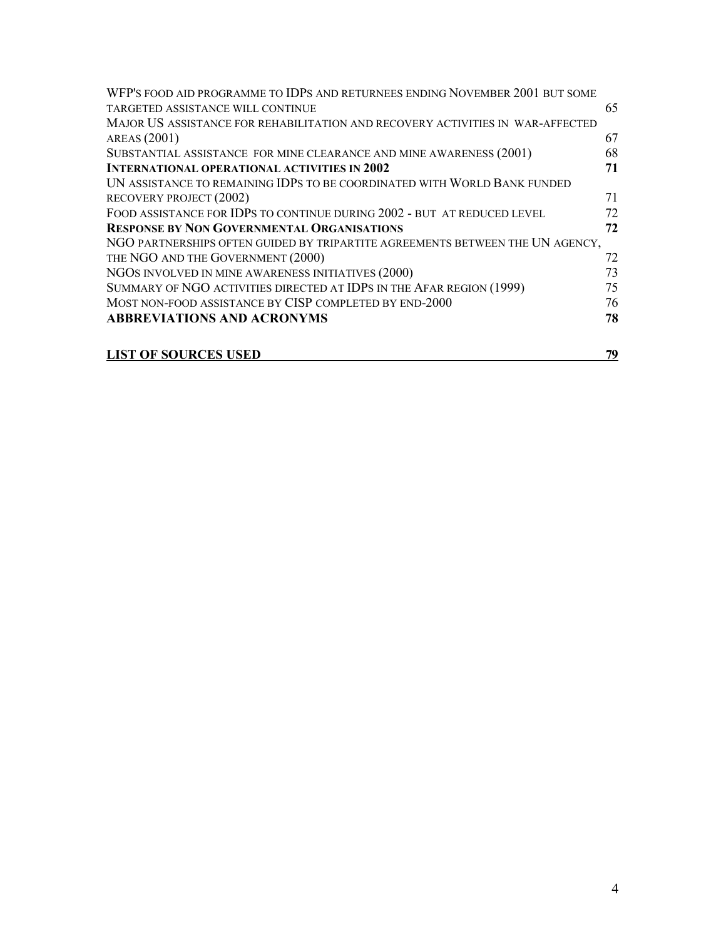| WFP'S FOOD AID PROGRAMME TO IDPS AND RETURNEES ENDING NOVEMBER 2001 BUT SOME   |    |
|--------------------------------------------------------------------------------|----|
| TARGETED ASSISTANCE WILL CONTINUE                                              | 65 |
| MAJOR US ASSISTANCE FOR REHABILITATION AND RECOVERY ACTIVITIES IN WAR-AFFECTED |    |
| AREAS (2001)                                                                   | 67 |
| SUBSTANTIAL ASSISTANCE FOR MINE CLEARANCE AND MINE AWARENESS (2001)            | 68 |
| <b>INTERNATIONAL OPERATIONAL ACTIVITIES IN 2002</b>                            | 71 |
| UN ASSISTANCE TO REMAINING IDPS TO BE COORDINATED WITH WORLD BANK FUNDED       |    |
| RECOVERY PROJECT (2002)                                                        | 71 |
| FOOD ASSISTANCE FOR IDPS TO CONTINUE DURING 2002 - BUT AT REDUCED LEVEL        | 72 |
| <b>RESPONSE BY NON GOVERNMENTAL ORGANISATIONS</b>                              | 72 |
| NGO PARTNERSHIPS OFTEN GUIDED BY TRIPARTITE AGREEMENTS BETWEEN THE UN AGENCY,  |    |
| THE NGO AND THE GOVERNMENT (2000)                                              | 72 |
| NGOS INVOLVED IN MINE AWARENESS INITIATIVES (2000)                             | 73 |
| SUMMARY OF NGO ACTIVITIES DIRECTED AT IDPS IN THE AFAR REGION (1999)           | 75 |
| MOST NON-FOOD ASSISTANCE BY CISP COMPLETED BY END-2000                         | 76 |
| <b>ABBREVIATIONS AND ACRONYMS</b>                                              | 78 |
|                                                                                |    |
| <b>LIST OF SOURCES USED</b>                                                    | 79 |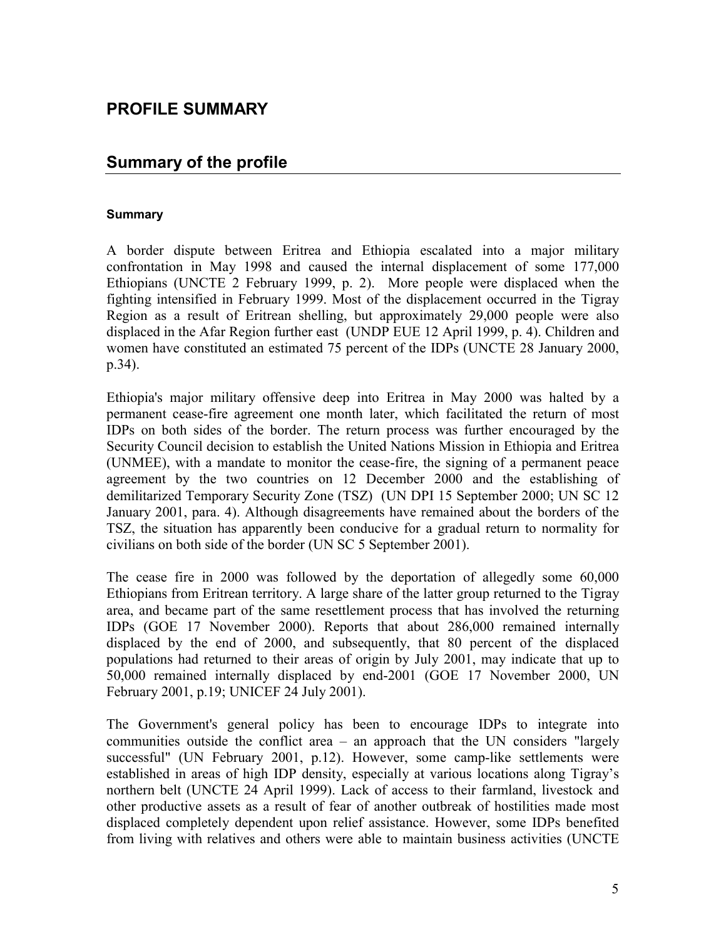### **PROFILE SUMMARY**

### **Summary of the profile**

### **Summary**

A border dispute between Eritrea and Ethiopia escalated into a major military confrontation in May 1998 and caused the internal displacement of some 177,000 Ethiopians (UNCTE 2 February 1999, p. 2). More people were displaced when the fighting intensified in February 1999. Most of the displacement occurred in the Tigray Region as a result of Eritrean shelling, but approximately 29,000 people were also displaced in the Afar Region further east (UNDP EUE 12 April 1999, p. 4). Children and women have constituted an estimated 75 percent of the IDPs (UNCTE 28 January 2000, p.34).

Ethiopia's major military offensive deep into Eritrea in May 2000 was halted by a permanent cease-fire agreement one month later, which facilitated the return of most IDPs on both sides of the border. The return process was further encouraged by the Security Council decision to establish the United Nations Mission in Ethiopia and Eritrea (UNMEE), with a mandate to monitor the cease-fire, the signing of a permanent peace agreement by the two countries on 12 December 2000 and the establishing of demilitarized Temporary Security Zone (TSZ) (UN DPI 15 September 2000; UN SC 12 January 2001, para. 4). Although disagreements have remained about the borders of the TSZ, the situation has apparently been conducive for a gradual return to normality for civilians on both side of the border (UN SC 5 September 2001).

The cease fire in 2000 was followed by the deportation of allegedly some 60,000 Ethiopians from Eritrean territory. A large share of the latter group returned to the Tigray area, and became part of the same resettlement process that has involved the returning IDPs (GOE 17 November 2000). Reports that about 286,000 remained internally displaced by the end of 2000, and subsequently, that 80 percent of the displaced populations had returned to their areas of origin by July 2001, may indicate that up to 50,000 remained internally displaced by end-2001 (GOE 17 November 2000, UN February 2001, p.19; UNICEF 24 July 2001).

The Government's general policy has been to encourage IDPs to integrate into communities outside the conflict area – an approach that the UN considers "largely successful" (UN February 2001, p.12). However, some camp-like settlements were established in areas of high IDP density, especially at various locations along Tigray's northern belt (UNCTE 24 April 1999). Lack of access to their farmland, livestock and other productive assets as a result of fear of another outbreak of hostilities made most displaced completely dependent upon relief assistance. However, some IDPs benefited from living with relatives and others were able to maintain business activities (UNCTE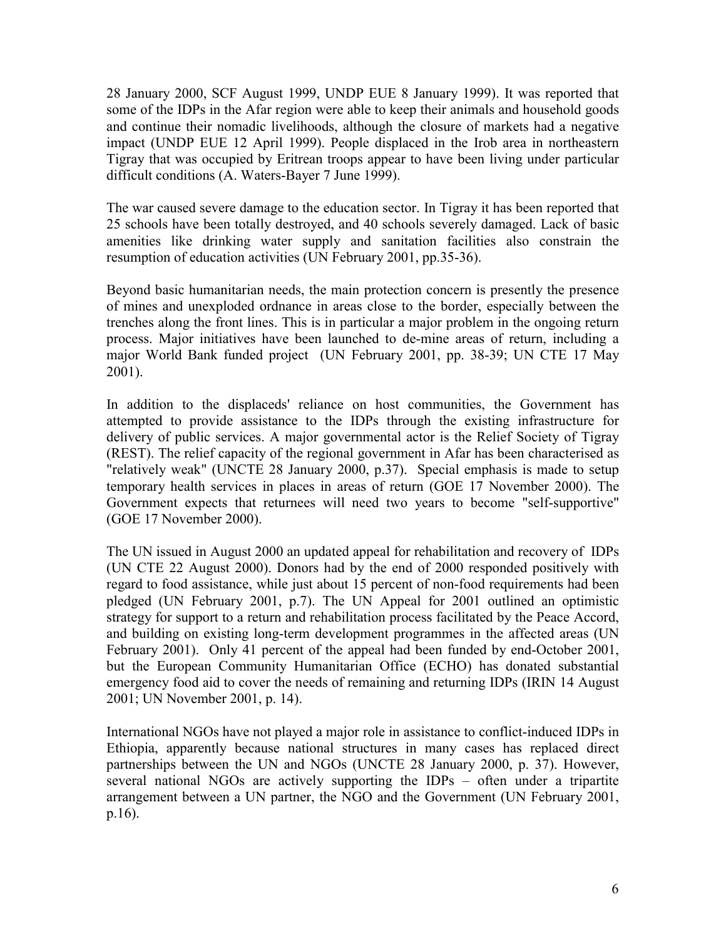28 January 2000, SCF August 1999, UNDP EUE 8 January 1999). It was reported that some of the IDPs in the Afar region were able to keep their animals and household goods and continue their nomadic livelihoods, although the closure of markets had a negative impact (UNDP EUE 12 April 1999). People displaced in the Irob area in northeastern Tigray that was occupied by Eritrean troops appear to have been living under particular difficult conditions (A. Waters-Bayer 7 June 1999).

The war caused severe damage to the education sector. In Tigray it has been reported that 25 schools have been totally destroyed, and 40 schools severely damaged. Lack of basic amenities like drinking water supply and sanitation facilities also constrain the resumption of education activities (UN February 2001, pp.35-36).

Beyond basic humanitarian needs, the main protection concern is presently the presence of mines and unexploded ordnance in areas close to the border, especially between the trenches along the front lines. This is in particular a major problem in the ongoing return process. Major initiatives have been launched to de-mine areas of return, including a major World Bank funded project (UN February 2001, pp. 38-39; UN CTE 17 May 2001).

In addition to the displaceds' reliance on host communities, the Government has attempted to provide assistance to the IDPs through the existing infrastructure for delivery of public services. A major governmental actor is the Relief Society of Tigray (REST). The relief capacity of the regional government in Afar has been characterised as "relatively weak" (UNCTE 28 January 2000, p.37). Special emphasis is made to setup temporary health services in places in areas of return (GOE 17 November 2000). The Government expects that returnees will need two years to become "self-supportive" (GOE 17 November 2000).

The UN issued in August 2000 an updated appeal for rehabilitation and recovery of IDPs (UN CTE 22 August 2000). Donors had by the end of 2000 responded positively with regard to food assistance, while just about 15 percent of non-food requirements had been pledged (UN February 2001, p.7). The UN Appeal for 2001 outlined an optimistic strategy for support to a return and rehabilitation process facilitated by the Peace Accord, and building on existing long-term development programmes in the affected areas (UN February 2001). Only 41 percent of the appeal had been funded by end-October 2001, but the European Community Humanitarian Office (ECHO) has donated substantial emergency food aid to cover the needs of remaining and returning IDPs (IRIN 14 August 2001; UN November 2001, p. 14).

International NGOs have not played a major role in assistance to conflict-induced IDPs in Ethiopia, apparently because national structures in many cases has replaced direct partnerships between the UN and NGOs (UNCTE 28 January 2000, p. 37). However, several national NGOs are actively supporting the IDPs – often under a tripartite arrangement between a UN partner, the NGO and the Government (UN February 2001, p.16).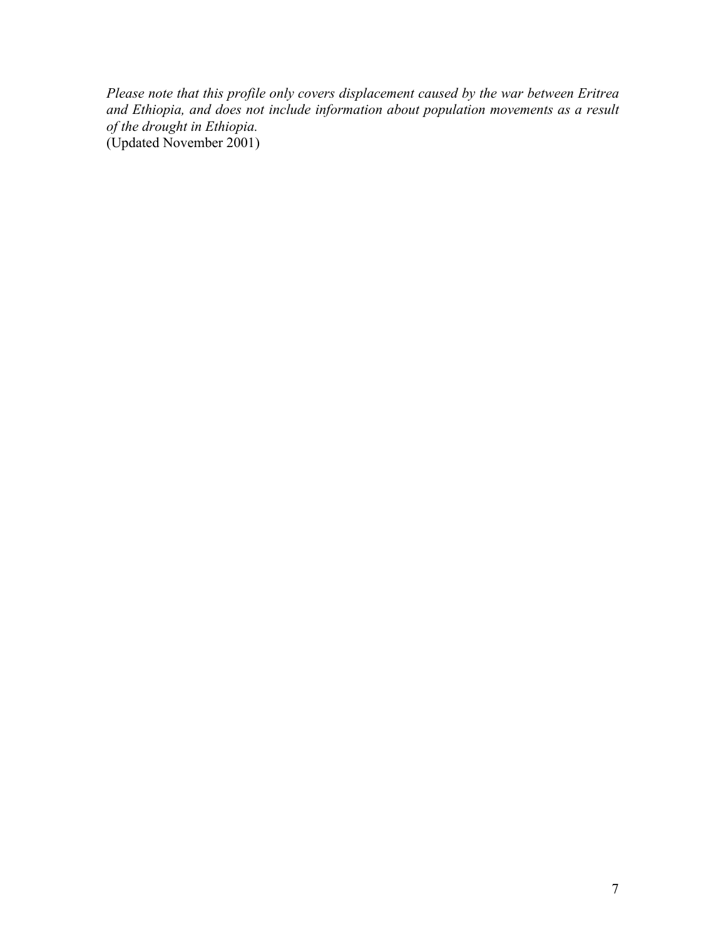*Please note that this profile only covers displacement caused by the war between Eritrea and Ethiopia, and does not include information about population movements as a result of the drought in Ethiopia.* (Updated November 2001)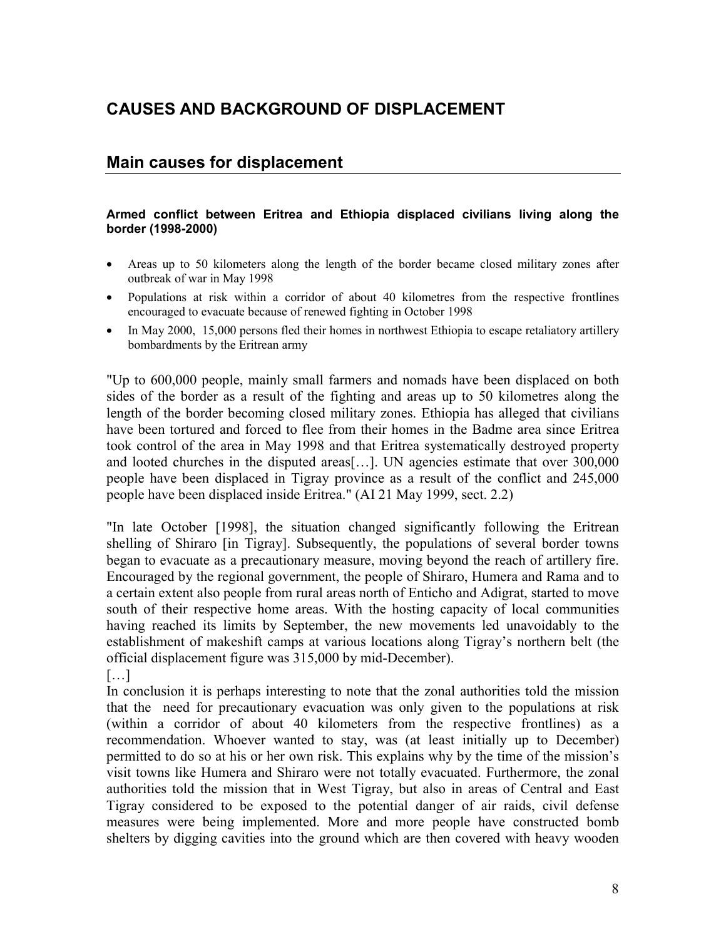# **CAUSES AND BACKGROUND OF DISPLACEMENT**

### **Main causes for displacement**

#### **Armed conflict between Eritrea and Ethiopia displaced civilians living along the border (1998-2000)**

- Areas up to 50 kilometers along the length of the border became closed military zones after outbreak of war in May 1998
- Populations at risk within a corridor of about 40 kilometres from the respective frontlines encouraged to evacuate because of renewed fighting in October 1998
- In May 2000, 15,000 persons fled their homes in northwest Ethiopia to escape retaliatory artillery bombardments by the Eritrean army

"Up to 600,000 people, mainly small farmers and nomads have been displaced on both sides of the border as a result of the fighting and areas up to 50 kilometres along the length of the border becoming closed military zones. Ethiopia has alleged that civilians have been tortured and forced to flee from their homes in the Badme area since Eritrea took control of the area in May 1998 and that Eritrea systematically destroyed property and looted churches in the disputed areas[…]. UN agencies estimate that over 300,000 people have been displaced in Tigray province as a result of the conflict and 245,000 people have been displaced inside Eritrea." (AI 21 May 1999, sect. 2.2)

"In late October [1998], the situation changed significantly following the Eritrean shelling of Shiraro [in Tigray]. Subsequently, the populations of several border towns began to evacuate as a precautionary measure, moving beyond the reach of artillery fire. Encouraged by the regional government, the people of Shiraro, Humera and Rama and to a certain extent also people from rural areas north of Enticho and Adigrat, started to move south of their respective home areas. With the hosting capacity of local communities having reached its limits by September, the new movements led unavoidably to the establishment of makeshift camps at various locations along Tigray's northern belt (the official displacement figure was 315,000 by mid-December).

[…]

In conclusion it is perhaps interesting to note that the zonal authorities told the mission that the need for precautionary evacuation was only given to the populations at risk (within a corridor of about 40 kilometers from the respective frontlines) as a recommendation. Whoever wanted to stay, was (at least initially up to December) permitted to do so at his or her own risk. This explains why by the time of the mission's visit towns like Humera and Shiraro were not totally evacuated. Furthermore, the zonal authorities told the mission that in West Tigray, but also in areas of Central and East Tigray considered to be exposed to the potential danger of air raids, civil defense measures were being implemented. More and more people have constructed bomb shelters by digging cavities into the ground which are then covered with heavy wooden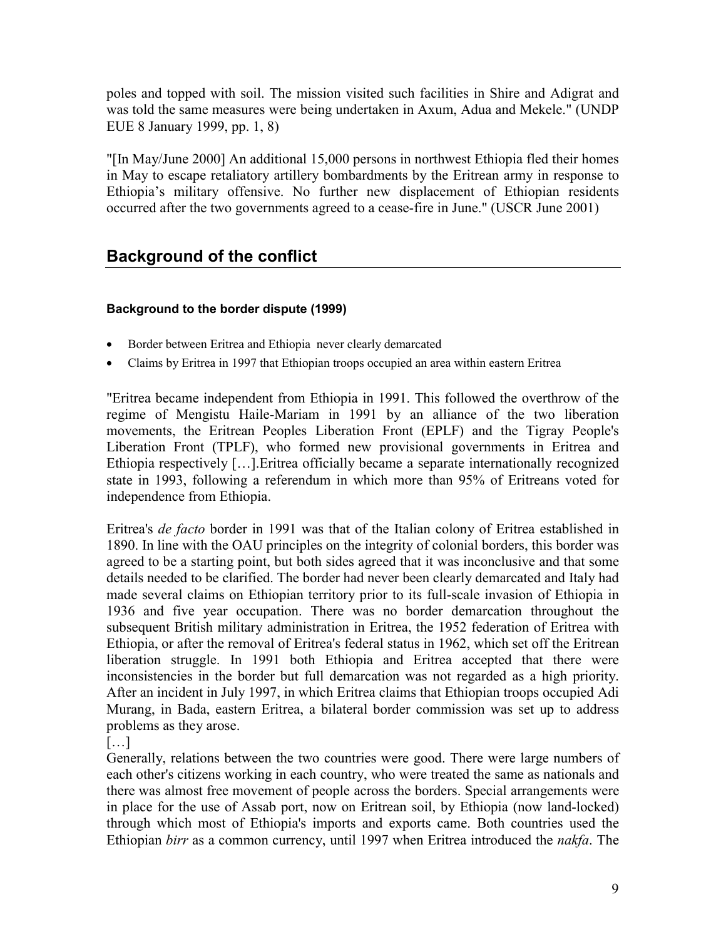poles and topped with soil. The mission visited such facilities in Shire and Adigrat and was told the same measures were being undertaken in Axum, Adua and Mekele." (UNDP EUE 8 January 1999, pp. 1, 8)

"[In May/June 2000] An additional 15,000 persons in northwest Ethiopia fled their homes in May to escape retaliatory artillery bombardments by the Eritrean army in response to Ethiopia's military offensive. No further new displacement of Ethiopian residents occurred after the two governments agreed to a cease-fire in June." (USCR June 2001)

# **Background of the conflict**

### **Background to the border dispute (1999)**

- Border between Eritrea and Ethiopia never clearly demarcated
- Claims by Eritrea in 1997 that Ethiopian troops occupied an area within eastern Eritrea

"Eritrea became independent from Ethiopia in 1991. This followed the overthrow of the regime of Mengistu Haile-Mariam in 1991 by an alliance of the two liberation movements, the Eritrean Peoples Liberation Front (EPLF) and the Tigray People's Liberation Front (TPLF), who formed new provisional governments in Eritrea and Ethiopia respectively […].Eritrea officially became a separate internationally recognized state in 1993, following a referendum in which more than 95% of Eritreans voted for independence from Ethiopia.

Eritrea's *de facto* border in 1991 was that of the Italian colony of Eritrea established in 1890. In line with the OAU principles on the integrity of colonial borders, this border was agreed to be a starting point, but both sides agreed that it was inconclusive and that some details needed to be clarified. The border had never been clearly demarcated and Italy had made several claims on Ethiopian territory prior to its full-scale invasion of Ethiopia in 1936 and five year occupation. There was no border demarcation throughout the subsequent British military administration in Eritrea, the 1952 federation of Eritrea with Ethiopia, or after the removal of Eritrea's federal status in 1962, which set off the Eritrean liberation struggle. In 1991 both Ethiopia and Eritrea accepted that there were inconsistencies in the border but full demarcation was not regarded as a high priority. After an incident in July 1997, in which Eritrea claims that Ethiopian troops occupied Adi Murang, in Bada, eastern Eritrea, a bilateral border commission was set up to address problems as they arose.

[…]

Generally, relations between the two countries were good. There were large numbers of each other's citizens working in each country, who were treated the same as nationals and there was almost free movement of people across the borders. Special arrangements were in place for the use of Assab port, now on Eritrean soil, by Ethiopia (now land-locked) through which most of Ethiopia's imports and exports came. Both countries used the Ethiopian *birr* as a common currency, until 1997 when Eritrea introduced the *nakfa*. The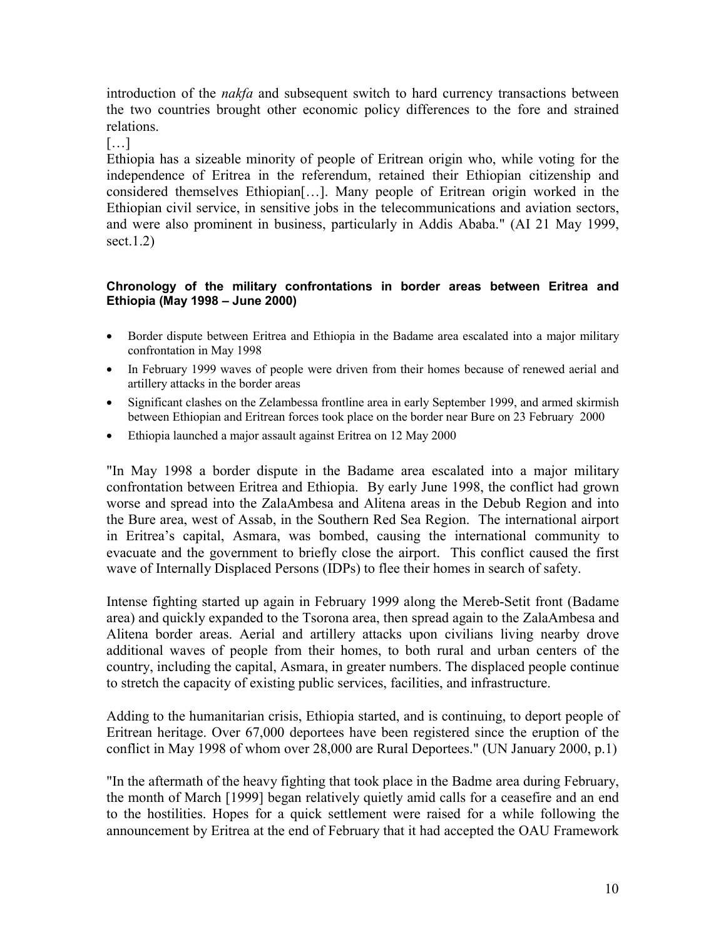introduction of the *nakfa* and subsequent switch to hard currency transactions between the two countries brought other economic policy differences to the fore and strained relations.

[…]

Ethiopia has a sizeable minority of people of Eritrean origin who, while voting for the independence of Eritrea in the referendum, retained their Ethiopian citizenship and considered themselves Ethiopian[…]. Many people of Eritrean origin worked in the Ethiopian civil service, in sensitive jobs in the telecommunications and aviation sectors, and were also prominent in business, particularly in Addis Ababa." (AI 21 May 1999, sect.1.2)

### **Chronology of the military confrontations in border areas between Eritrea and Ethiopia (May 1998 – June 2000)**

- Border dispute between Eritrea and Ethiopia in the Badame area escalated into a major military confrontation in May 1998
- In February 1999 waves of people were driven from their homes because of renewed aerial and artillery attacks in the border areas
- Significant clashes on the Zelambessa frontline area in early September 1999, and armed skirmish between Ethiopian and Eritrean forces took place on the border near Bure on 23 February 2000
- Ethiopia launched a major assault against Eritrea on 12 May 2000

"In May 1998 a border dispute in the Badame area escalated into a major military confrontation between Eritrea and Ethiopia. By early June 1998, the conflict had grown worse and spread into the ZalaAmbesa and Alitena areas in the Debub Region and into the Bure area, west of Assab, in the Southern Red Sea Region. The international airport in Eritrea's capital, Asmara, was bombed, causing the international community to evacuate and the government to briefly close the airport. This conflict caused the first wave of Internally Displaced Persons (IDPs) to flee their homes in search of safety.

Intense fighting started up again in February 1999 along the Mereb-Setit front (Badame area) and quickly expanded to the Tsorona area, then spread again to the ZalaAmbesa and Alitena border areas. Aerial and artillery attacks upon civilians living nearby drove additional waves of people from their homes, to both rural and urban centers of the country, including the capital, Asmara, in greater numbers. The displaced people continue to stretch the capacity of existing public services, facilities, and infrastructure.

Adding to the humanitarian crisis, Ethiopia started, and is continuing, to deport people of Eritrean heritage. Over 67,000 deportees have been registered since the eruption of the conflict in May 1998 of whom over 28,000 are Rural Deportees." (UN January 2000, p.1)

"In the aftermath of the heavy fighting that took place in the Badme area during February, the month of March [1999] began relatively quietly amid calls for a ceasefire and an end to the hostilities. Hopes for a quick settlement were raised for a while following the announcement by Eritrea at the end of February that it had accepted the OAU Framework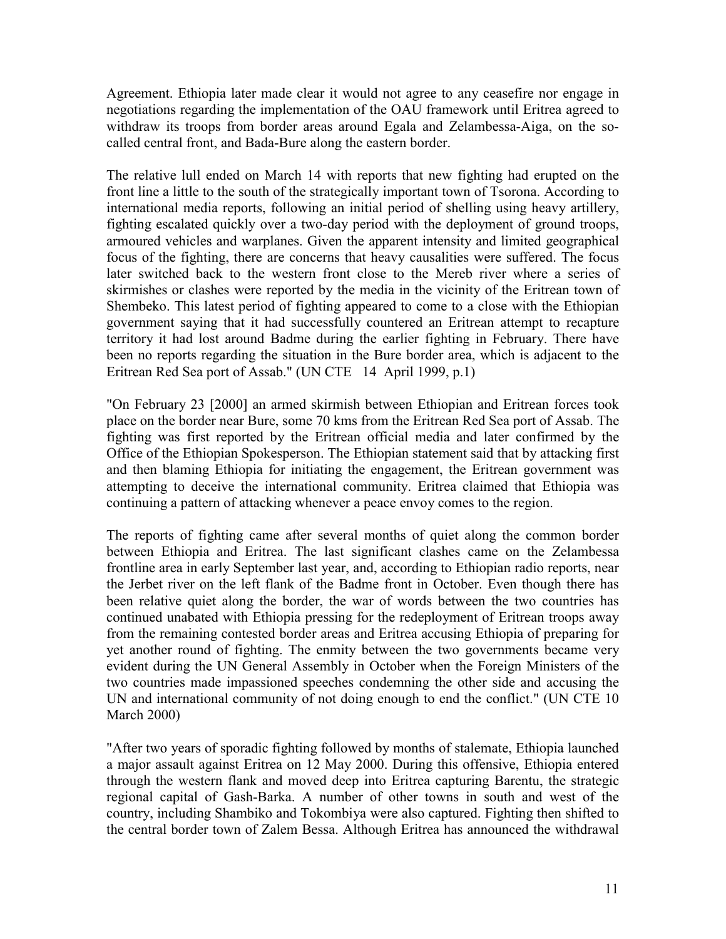Agreement. Ethiopia later made clear it would not agree to any ceasefire nor engage in negotiations regarding the implementation of the OAU framework until Eritrea agreed to withdraw its troops from border areas around Egala and Zelambessa-Aiga, on the socalled central front, and Bada-Bure along the eastern border.

The relative lull ended on March 14 with reports that new fighting had erupted on the front line a little to the south of the strategically important town of Tsorona. According to international media reports, following an initial period of shelling using heavy artillery, fighting escalated quickly over a two-day period with the deployment of ground troops, armoured vehicles and warplanes. Given the apparent intensity and limited geographical focus of the fighting, there are concerns that heavy causalities were suffered. The focus later switched back to the western front close to the Mereb river where a series of skirmishes or clashes were reported by the media in the vicinity of the Eritrean town of Shembeko. This latest period of fighting appeared to come to a close with the Ethiopian government saying that it had successfully countered an Eritrean attempt to recapture territory it had lost around Badme during the earlier fighting in February. There have been no reports regarding the situation in the Bure border area, which is adjacent to the Eritrean Red Sea port of Assab." (UN CTE 14 April 1999, p.1)

"On February 23 [2000] an armed skirmish between Ethiopian and Eritrean forces took place on the border near Bure, some 70 kms from the Eritrean Red Sea port of Assab. The fighting was first reported by the Eritrean official media and later confirmed by the Office of the Ethiopian Spokesperson. The Ethiopian statement said that by attacking first and then blaming Ethiopia for initiating the engagement, the Eritrean government was attempting to deceive the international community. Eritrea claimed that Ethiopia was continuing a pattern of attacking whenever a peace envoy comes to the region.

The reports of fighting came after several months of quiet along the common border between Ethiopia and Eritrea. The last significant clashes came on the Zelambessa frontline area in early September last year, and, according to Ethiopian radio reports, near the Jerbet river on the left flank of the Badme front in October. Even though there has been relative quiet along the border, the war of words between the two countries has continued unabated with Ethiopia pressing for the redeployment of Eritrean troops away from the remaining contested border areas and Eritrea accusing Ethiopia of preparing for yet another round of fighting. The enmity between the two governments became very evident during the UN General Assembly in October when the Foreign Ministers of the two countries made impassioned speeches condemning the other side and accusing the UN and international community of not doing enough to end the conflict." (UN CTE 10 March 2000)

"After two years of sporadic fighting followed by months of stalemate, Ethiopia launched a major assault against Eritrea on 12 May 2000. During this offensive, Ethiopia entered through the western flank and moved deep into Eritrea capturing Barentu, the strategic regional capital of Gash-Barka. A number of other towns in south and west of the country, including Shambiko and Tokombiya were also captured. Fighting then shifted to the central border town of Zalem Bessa. Although Eritrea has announced the withdrawal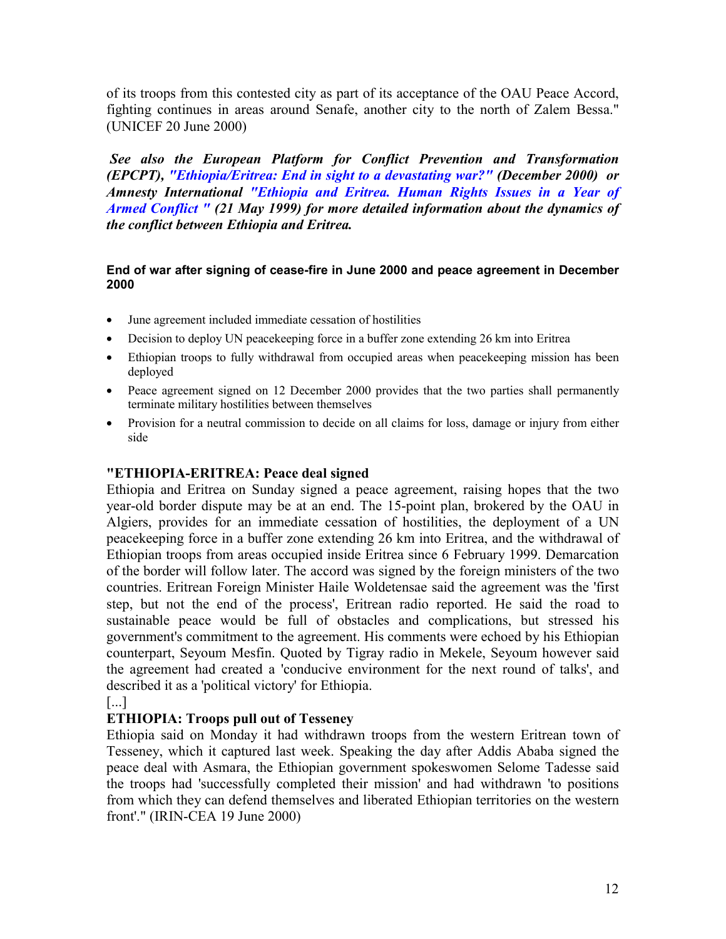of its troops from this contested city as part of its acceptance of the OAU Peace Accord, fighting continues in areas around Senafe, another city to the north of Zalem Bessa." (UNICEF 20 June 2000)

 *See also the European Platform for Conflict Prevention and Transformation (EPCPT), "Ethiopia/Eritrea: End in sight to a devastating war?" (December 2000) or Amnesty International "Ethiopia and Eritrea. Human Rights Issues in a Year of Armed Conflict " (21 May 1999) for more detailed information about the dynamics of the conflict between Ethiopia and Eritrea.*

### **End of war after signing of cease-fire in June 2000 and peace agreement in December 2000**

- June agreement included immediate cessation of hostilities
- Decision to deploy UN peacekeeping force in a buffer zone extending 26 km into Eritrea
- Ethiopian troops to fully withdrawal from occupied areas when peacekeeping mission has been deployed
- Peace agreement signed on 12 December 2000 provides that the two parties shall permanently terminate military hostilities between themselves
- Provision for a neutral commission to decide on all claims for loss, damage or injury from either side

### **"ETHIOPIA-ERITREA: Peace deal signed**

Ethiopia and Eritrea on Sunday signed a peace agreement, raising hopes that the two year-old border dispute may be at an end. The 15-point plan, brokered by the OAU in Algiers, provides for an immediate cessation of hostilities, the deployment of a UN peacekeeping force in a buffer zone extending 26 km into Eritrea, and the withdrawal of Ethiopian troops from areas occupied inside Eritrea since 6 February 1999. Demarcation of the border will follow later. The accord was signed by the foreign ministers of the two countries. Eritrean Foreign Minister Haile Woldetensae said the agreement was the 'first step, but not the end of the process', Eritrean radio reported. He said the road to sustainable peace would be full of obstacles and complications, but stressed his government's commitment to the agreement. His comments were echoed by his Ethiopian counterpart, Seyoum Mesfin. Quoted by Tigray radio in Mekele, Seyoum however said the agreement had created a 'conducive environment for the next round of talks', and described it as a 'political victory' for Ethiopia.

[...]

### **ETHIOPIA: Troops pull out of Tesseney**

Ethiopia said on Monday it had withdrawn troops from the western Eritrean town of Tesseney, which it captured last week. Speaking the day after Addis Ababa signed the peace deal with Asmara, the Ethiopian government spokeswomen Selome Tadesse said the troops had 'successfully completed their mission' and had withdrawn 'to positions from which they can defend themselves and liberated Ethiopian territories on the western front'." (IRIN-CEA 19 June 2000)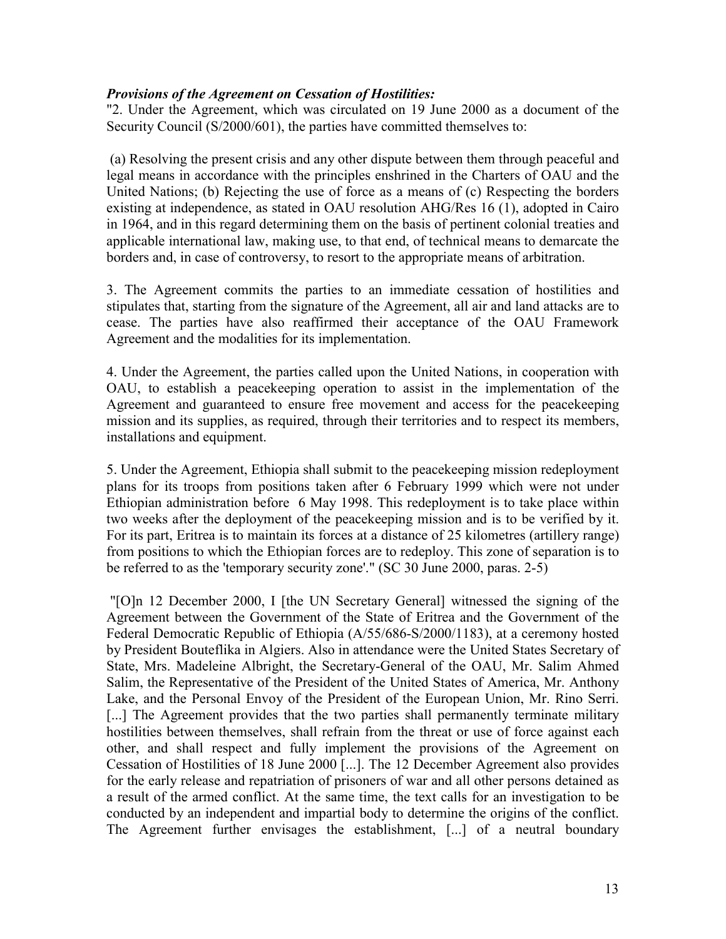### *Provisions of the Agreement on Cessation of Hostilities:*

"2. Under the Agreement, which was circulated on 19 June 2000 as a document of the Security Council (S/2000/601), the parties have committed themselves to:

 (a) Resolving the present crisis and any other dispute between them through peaceful and legal means in accordance with the principles enshrined in the Charters of OAU and the United Nations; (b) Rejecting the use of force as a means of (c) Respecting the borders existing at independence, as stated in OAU resolution AHG/Res 16 (1), adopted in Cairo in 1964, and in this regard determining them on the basis of pertinent colonial treaties and applicable international law, making use, to that end, of technical means to demarcate the borders and, in case of controversy, to resort to the appropriate means of arbitration.

3. The Agreement commits the parties to an immediate cessation of hostilities and stipulates that, starting from the signature of the Agreement, all air and land attacks are to cease. The parties have also reaffirmed their acceptance of the OAU Framework Agreement and the modalities for its implementation.

4. Under the Agreement, the parties called upon the United Nations, in cooperation with OAU, to establish a peacekeeping operation to assist in the implementation of the Agreement and guaranteed to ensure free movement and access for the peacekeeping mission and its supplies, as required, through their territories and to respect its members, installations and equipment.

5. Under the Agreement, Ethiopia shall submit to the peacekeeping mission redeployment plans for its troops from positions taken after 6 February 1999 which were not under Ethiopian administration before 6 May 1998. This redeployment is to take place within two weeks after the deployment of the peacekeeping mission and is to be verified by it. For its part, Eritrea is to maintain its forces at a distance of 25 kilometres (artillery range) from positions to which the Ethiopian forces are to redeploy. This zone of separation is to be referred to as the 'temporary security zone'." (SC 30 June 2000, paras. 2-5)

 "[O]n 12 December 2000, I [the UN Secretary General] witnessed the signing of the Agreement between the Government of the State of Eritrea and the Government of the Federal Democratic Republic of Ethiopia (A/55/686-S/2000/1183), at a ceremony hosted by President Bouteflika in Algiers. Also in attendance were the United States Secretary of State, Mrs. Madeleine Albright, the Secretary-General of the OAU, Mr. Salim Ahmed Salim, the Representative of the President of the United States of America, Mr. Anthony Lake, and the Personal Envoy of the President of the European Union, Mr. Rino Serri. [...] The Agreement provides that the two parties shall permanently terminate military hostilities between themselves, shall refrain from the threat or use of force against each other, and shall respect and fully implement the provisions of the Agreement on Cessation of Hostilities of 18 June 2000 [...]. The 12 December Agreement also provides for the early release and repatriation of prisoners of war and all other persons detained as a result of the armed conflict. At the same time, the text calls for an investigation to be conducted by an independent and impartial body to determine the origins of the conflict. The Agreement further envisages the establishment, [...] of a neutral boundary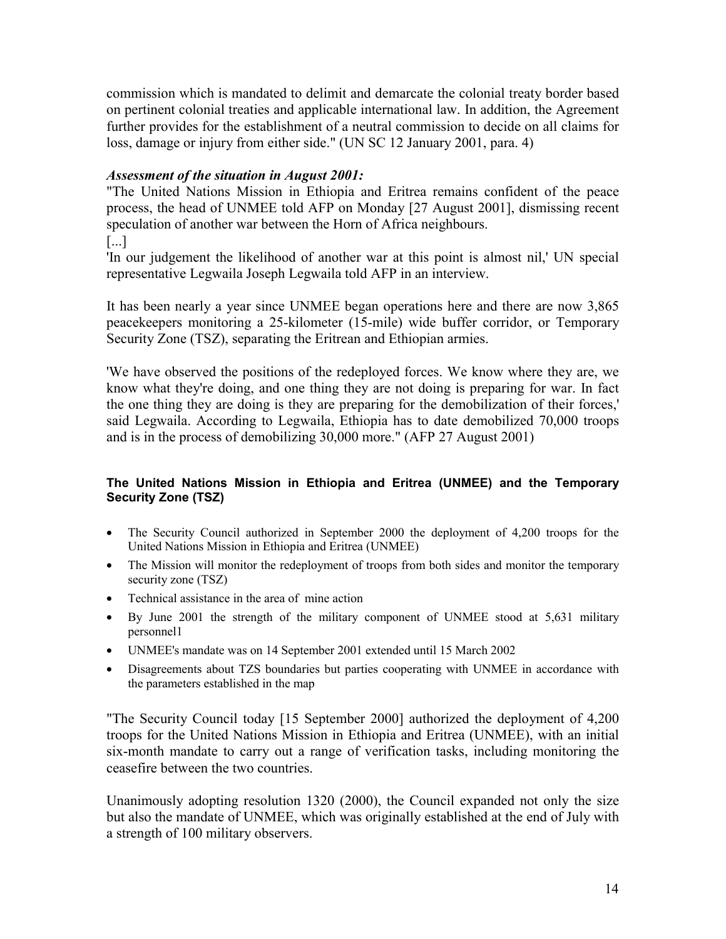commission which is mandated to delimit and demarcate the colonial treaty border based on pertinent colonial treaties and applicable international law. In addition, the Agreement further provides for the establishment of a neutral commission to decide on all claims for loss, damage or injury from either side." (UN SC 12 January 2001, para. 4)

### *Assessment of the situation in August 2001:*

"The United Nations Mission in Ethiopia and Eritrea remains confident of the peace process, the head of UNMEE told AFP on Monday [27 August 2001], dismissing recent speculation of another war between the Horn of Africa neighbours.

[...]

'In our judgement the likelihood of another war at this point is almost nil,' UN special representative Legwaila Joseph Legwaila told AFP in an interview.

It has been nearly a year since UNMEE began operations here and there are now 3,865 peacekeepers monitoring a 25-kilometer (15-mile) wide buffer corridor, or Temporary Security Zone (TSZ), separating the Eritrean and Ethiopian armies.

'We have observed the positions of the redeployed forces. We know where they are, we know what they're doing, and one thing they are not doing is preparing for war. In fact the one thing they are doing is they are preparing for the demobilization of their forces,' said Legwaila. According to Legwaila, Ethiopia has to date demobilized 70,000 troops and is in the process of demobilizing 30,000 more." (AFP 27 August 2001)

### **The United Nations Mission in Ethiopia and Eritrea (UNMEE) and the Temporary Security Zone (TSZ)**

- The Security Council authorized in September 2000 the deployment of 4,200 troops for the United Nations Mission in Ethiopia and Eritrea (UNMEE)
- The Mission will monitor the redeployment of troops from both sides and monitor the temporary security zone (TSZ)
- Technical assistance in the area of mine action
- By June 2001 the strength of the military component of UNMEE stood at 5,631 military personnel1
- UNMEE's mandate was on 14 September 2001 extended until 15 March 2002
- Disagreements about TZS boundaries but parties cooperating with UNMEE in accordance with the parameters established in the map

"The Security Council today [15 September 2000] authorized the deployment of 4,200 troops for the United Nations Mission in Ethiopia and Eritrea (UNMEE), with an initial six-month mandate to carry out a range of verification tasks, including monitoring the ceasefire between the two countries.

Unanimously adopting resolution 1320 (2000), the Council expanded not only the size but also the mandate of UNMEE, which was originally established at the end of July with a strength of 100 military observers.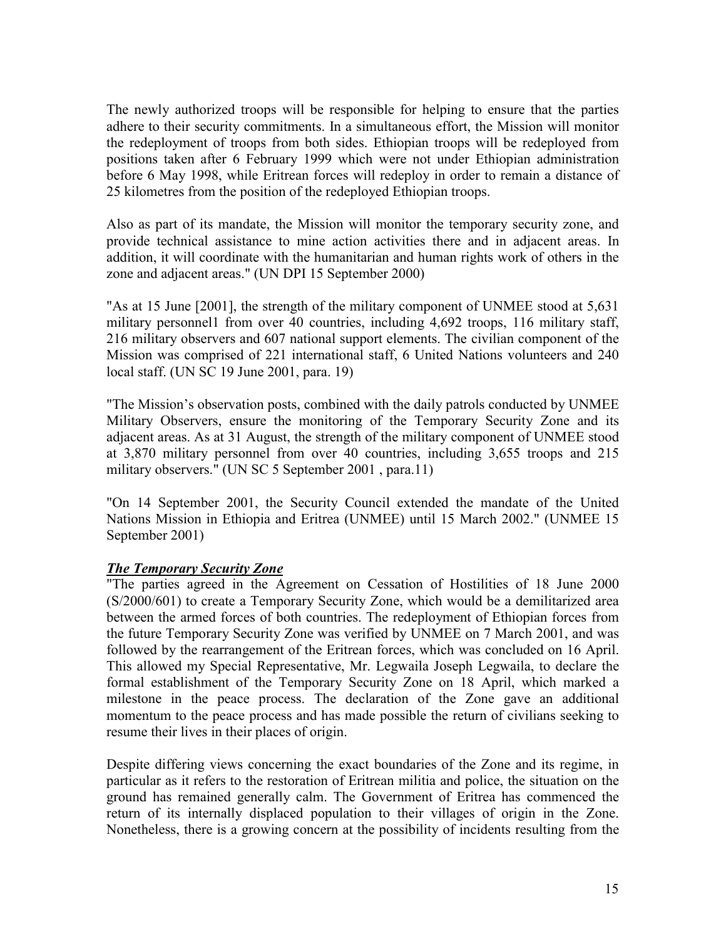The newly authorized troops will be responsible for helping to ensure that the parties adhere to their security commitments. In a simultaneous effort, the Mission will monitor the redeployment of troops from both sides. Ethiopian troops will be redeployed from positions taken after 6 February 1999 which were not under Ethiopian administration before 6 May 1998, while Eritrean forces will redeploy in order to remain a distance of 25 kilometres from the position of the redeployed Ethiopian troops.

Also as part of its mandate, the Mission will monitor the temporary security zone, and provide technical assistance to mine action activities there and in adjacent areas. In addition, it will coordinate with the humanitarian and human rights work of others in the zone and adjacent areas." (UN DPI 15 September 2000)

"As at 15 June [2001], the strength of the military component of UNMEE stood at 5,631 military personnel1 from over 40 countries, including 4,692 troops, 116 military staff, 216 military observers and 607 national support elements. The civilian component of the Mission was comprised of 221 international staff, 6 United Nations volunteers and 240 local staff. (UN SC 19 June 2001, para. 19)

"The Mission's observation posts, combined with the daily patrols conducted by UNMEE Military Observers, ensure the monitoring of the Temporary Security Zone and its adjacent areas. As at 31 August, the strength of the military component of UNMEE stood at 3,870 military personnel from over 40 countries, including 3,655 troops and 215 military observers." (UN SC 5 September 2001 , para.11)

"On 14 September 2001, the Security Council extended the mandate of the United Nations Mission in Ethiopia and Eritrea (UNMEE) until 15 March 2002." (UNMEE 15 September 2001)

### *The Temporary Security Zone*

The parties agreed in the Agreement on Cessation of Hostilities of 18 June 2000 (S/2000/601) to create a Temporary Security Zone, which would be a demilitarized area between the armed forces of both countries. The redeployment of Ethiopian forces from the future Temporary Security Zone was verified by UNMEE on 7 March 2001, and was followed by the rearrangement of the Eritrean forces, which was concluded on 16 April. This allowed my Special Representative, Mr. Legwaila Joseph Legwaila, to declare the formal establishment of the Temporary Security Zone on 18 April, which marked a milestone in the peace process. The declaration of the Zone gave an additional momentum to the peace process and has made possible the return of civilians seeking to resume their lives in their places of origin.

Despite differing views concerning the exact boundaries of the Zone and its regime, in particular as it refers to the restoration of Eritrean militia and police, the situation on the ground has remained generally calm. The Government of Eritrea has commenced the return of its internally displaced population to their villages of origin in the Zone. Nonetheless, there is a growing concern at the possibility of incidents resulting from the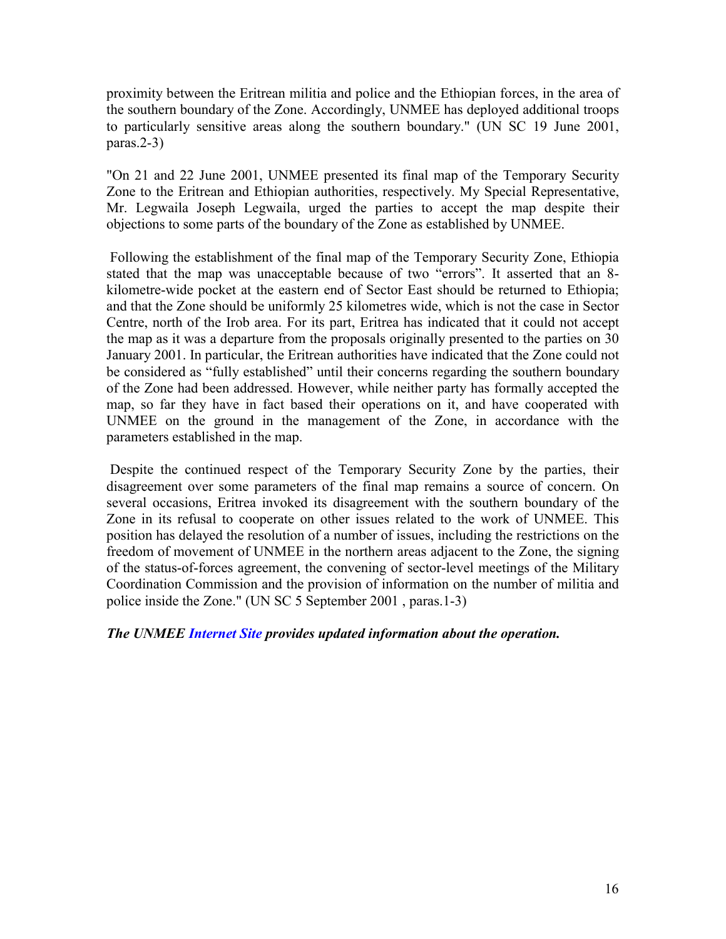proximity between the Eritrean militia and police and the Ethiopian forces, in the area of the southern boundary of the Zone. Accordingly, UNMEE has deployed additional troops to particularly sensitive areas along the southern boundary." (UN SC 19 June 2001, paras.2-3)

"On 21 and 22 June 2001, UNMEE presented its final map of the Temporary Security Zone to the Eritrean and Ethiopian authorities, respectively. My Special Representative, Mr. Legwaila Joseph Legwaila, urged the parties to accept the map despite their objections to some parts of the boundary of the Zone as established by UNMEE.

 Following the establishment of the final map of the Temporary Security Zone, Ethiopia stated that the map was unacceptable because of two "errors". It asserted that an 8 kilometre-wide pocket at the eastern end of Sector East should be returned to Ethiopia; and that the Zone should be uniformly 25 kilometres wide, which is not the case in Sector Centre, north of the Irob area. For its part, Eritrea has indicated that it could not accept the map as it was a departure from the proposals originally presented to the parties on 30 January 2001. In particular, the Eritrean authorities have indicated that the Zone could not be considered as "fully established" until their concerns regarding the southern boundary of the Zone had been addressed. However, while neither party has formally accepted the map, so far they have in fact based their operations on it, and have cooperated with UNMEE on the ground in the management of the Zone, in accordance with the parameters established in the map.

 Despite the continued respect of the Temporary Security Zone by the parties, their disagreement over some parameters of the final map remains a source of concern. On several occasions, Eritrea invoked its disagreement with the southern boundary of the Zone in its refusal to cooperate on other issues related to the work of UNMEE. This position has delayed the resolution of a number of issues, including the restrictions on the freedom of movement of UNMEE in the northern areas adjacent to the Zone, the signing of the status-of-forces agreement, the convening of sector-level meetings of the Military Coordination Commission and the provision of information on the number of militia and police inside the Zone." (UN SC 5 September 2001 , paras.1-3)

### *The UNMEE Internet Site provides updated information about the operation.*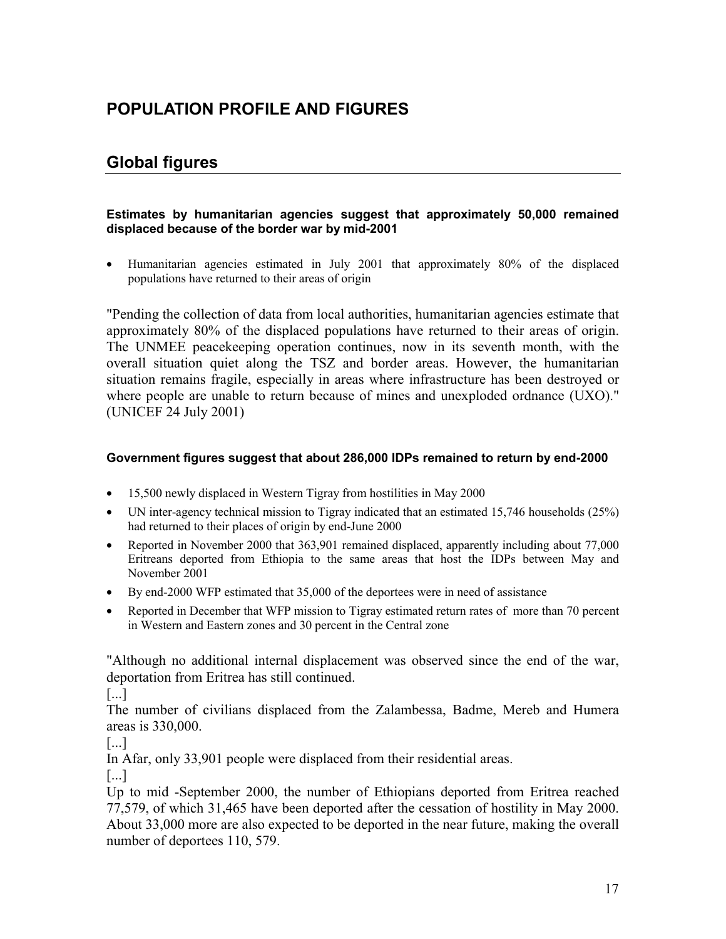# **POPULATION PROFILE AND FIGURES**

### **Global figures**

#### **Estimates by humanitarian agencies suggest that approximately 50,000 remained displaced because of the border war by mid-2001**

 Humanitarian agencies estimated in July 2001 that approximately 80% of the displaced populations have returned to their areas of origin

"Pending the collection of data from local authorities, humanitarian agencies estimate that approximately 80% of the displaced populations have returned to their areas of origin. The UNMEE peacekeeping operation continues, now in its seventh month, with the overall situation quiet along the TSZ and border areas. However, the humanitarian situation remains fragile, especially in areas where infrastructure has been destroyed or where people are unable to return because of mines and unexploded ordnance (UXO)." (UNICEF 24 July 2001)

#### **Government figures suggest that about 286,000 IDPs remained to return by end-2000**

- 15,500 newly displaced in Western Tigray from hostilities in May 2000
- UN inter-agency technical mission to Tigray indicated that an estimated 15,746 households (25%) had returned to their places of origin by end-June 2000
- Reported in November 2000 that 363,901 remained displaced, apparently including about 77,000 Eritreans deported from Ethiopia to the same areas that host the IDPs between May and November 2001
- By end-2000 WFP estimated that 35,000 of the deportees were in need of assistance
- Reported in December that WFP mission to Tigray estimated return rates of more than 70 percent in Western and Eastern zones and 30 percent in the Central zone

"Although no additional internal displacement was observed since the end of the war, deportation from Eritrea has still continued.

[...]

The number of civilians displaced from the Zalambessa, Badme, Mereb and Humera areas is 330,000.

[...]

In Afar, only 33,901 people were displaced from their residential areas.

[...]

Up to mid -September 2000, the number of Ethiopians deported from Eritrea reached 77,579, of which 31,465 have been deported after the cessation of hostility in May 2000. About 33,000 more are also expected to be deported in the near future, making the overall number of deportees 110, 579.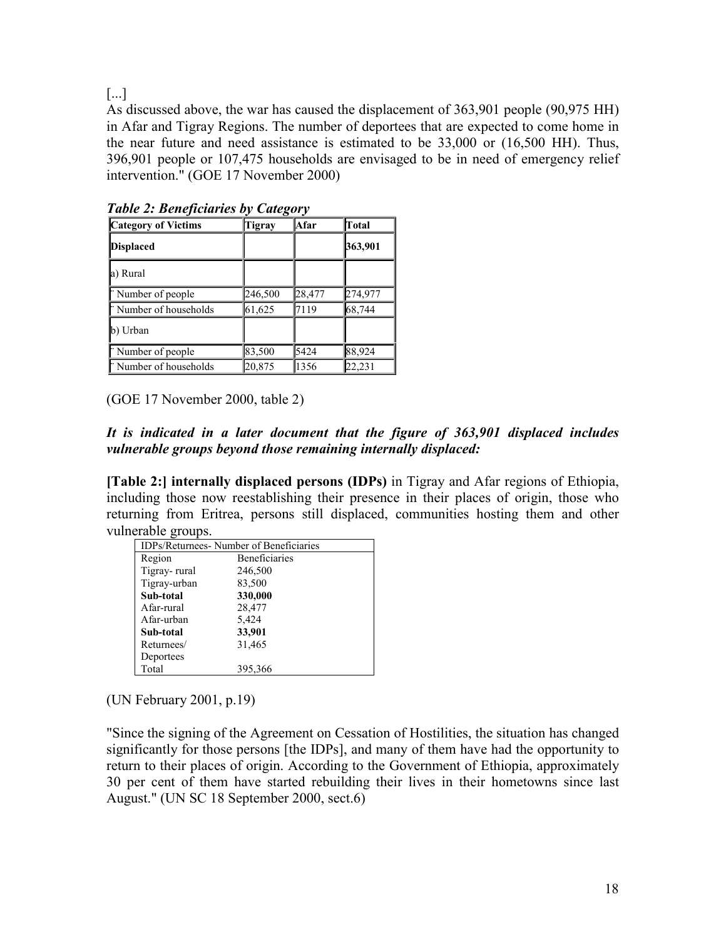[...]

As discussed above, the war has caused the displacement of 363,901 people (90,975 HH) in Afar and Tigray Regions. The number of deportees that are expected to come home in the near future and need assistance is estimated to be 33,000 or (16,500 HH). Thus, 396,901 people or 107,475 households are envisaged to be in need of emergency relief intervention." (GOE 17 November 2000)

| <b>Category of Victims</b> | Tigray  | Afar   | Total   |
|----------------------------|---------|--------|---------|
| <b>Displaced</b>           |         |        | 363,901 |
| a) Rural                   |         |        |         |
| Number of people           | 246,500 | 28,477 | 274,977 |
| "Number of households      | 61,625  | 7119   | 68,744  |
| b) Urban                   |         |        |         |
| Number of people           | 83,500  | 5424   | 88,924  |
| "Number of households      | 20,875  | 1356   | 22,231  |

*Table 2: Beneficiaries by Category*

(GOE 17 November 2000, table 2)

### *It is indicated in a later document that the figure of 363,901 displaced includes vulnerable groups beyond those remaining internally displaced:*

**[Table 2:] internally displaced persons (IDPs)** in Tigray and Afar regions of Ethiopia, including those now reestablishing their presence in their places of origin, those who returning from Eritrea, persons still displaced, communities hosting them and other vulnerable groups.

| <b>IDPs/Returnees- Number of Beneficiaries</b> |                      |  |
|------------------------------------------------|----------------------|--|
| Region                                         | <b>Beneficiaries</b> |  |
| Tigray-rural                                   | 246,500              |  |
| Tigray-urban                                   | 83,500               |  |
| Sub-total                                      | 330,000              |  |
| Afar-rural                                     | 28,477               |  |
| Afar-urban                                     | 5,424                |  |
| Sub-total                                      | 33,901               |  |
| Returnees/                                     | 31,465               |  |
| Deportees                                      |                      |  |
| Total                                          | 395,366              |  |

(UN February 2001, p.19)

"Since the signing of the Agreement on Cessation of Hostilities, the situation has changed significantly for those persons [the IDPs], and many of them have had the opportunity to return to their places of origin. According to the Government of Ethiopia, approximately 30 per cent of them have started rebuilding their lives in their hometowns since last August." (UN SC 18 September 2000, sect.6)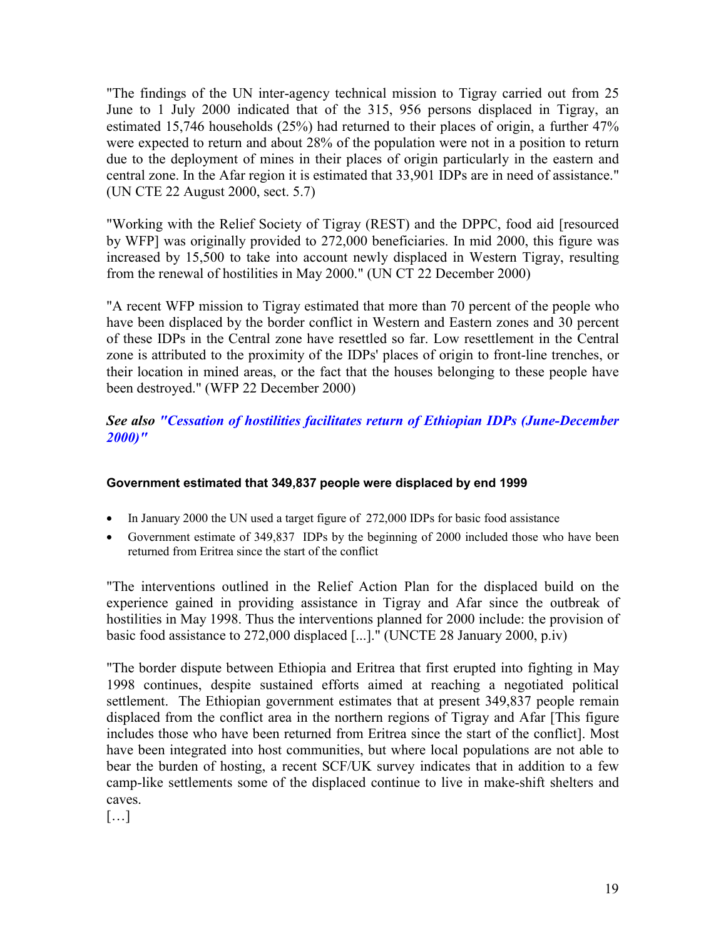"The findings of the UN inter-agency technical mission to Tigray carried out from 25 June to 1 July 2000 indicated that of the 315, 956 persons displaced in Tigray, an estimated 15,746 households (25%) had returned to their places of origin, a further 47% were expected to return and about 28% of the population were not in a position to return due to the deployment of mines in their places of origin particularly in the eastern and central zone. In the Afar region it is estimated that 33,901 IDPs are in need of assistance." (UN CTE 22 August 2000, sect. 5.7)

"Working with the Relief Society of Tigray (REST) and the DPPC, food aid [resourced by WFP] was originally provided to 272,000 beneficiaries. In mid 2000, this figure was increased by 15,500 to take into account newly displaced in Western Tigray, resulting from the renewal of hostilities in May 2000." (UN CT 22 December 2000)

"A recent WFP mission to Tigray estimated that more than 70 percent of the people who have been displaced by the border conflict in Western and Eastern zones and 30 percent of these IDPs in the Central zone have resettled so far. Low resettlement in the Central zone is attributed to the proximity of the IDPs' places of origin to front-line trenches, or their location in mined areas, or the fact that the houses belonging to these people have been destroyed." (WFP 22 December 2000)

### *See also "Cessation of hostilities facilitates return of Ethiopian IDPs (June-December 2000)"*

### **Government estimated that 349,837 people were displaced by end 1999**

- In January 2000 the UN used a target figure of 272,000 IDPs for basic food assistance
- Government estimate of 349,837 IDPs by the beginning of 2000 included those who have been returned from Eritrea since the start of the conflict

"The interventions outlined in the Relief Action Plan for the displaced build on the experience gained in providing assistance in Tigray and Afar since the outbreak of hostilities in May 1998. Thus the interventions planned for 2000 include: the provision of basic food assistance to 272,000 displaced [...]." (UNCTE 28 January 2000, p.iv)

"The border dispute between Ethiopia and Eritrea that first erupted into fighting in May 1998 continues, despite sustained efforts aimed at reaching a negotiated political settlement. The Ethiopian government estimates that at present 349,837 people remain displaced from the conflict area in the northern regions of Tigray and Afar [This figure includes those who have been returned from Eritrea since the start of the conflict]. Most have been integrated into host communities, but where local populations are not able to bear the burden of hosting, a recent SCF/UK survey indicates that in addition to a few camp-like settlements some of the displaced continue to live in make-shift shelters and caves.

 $[...]$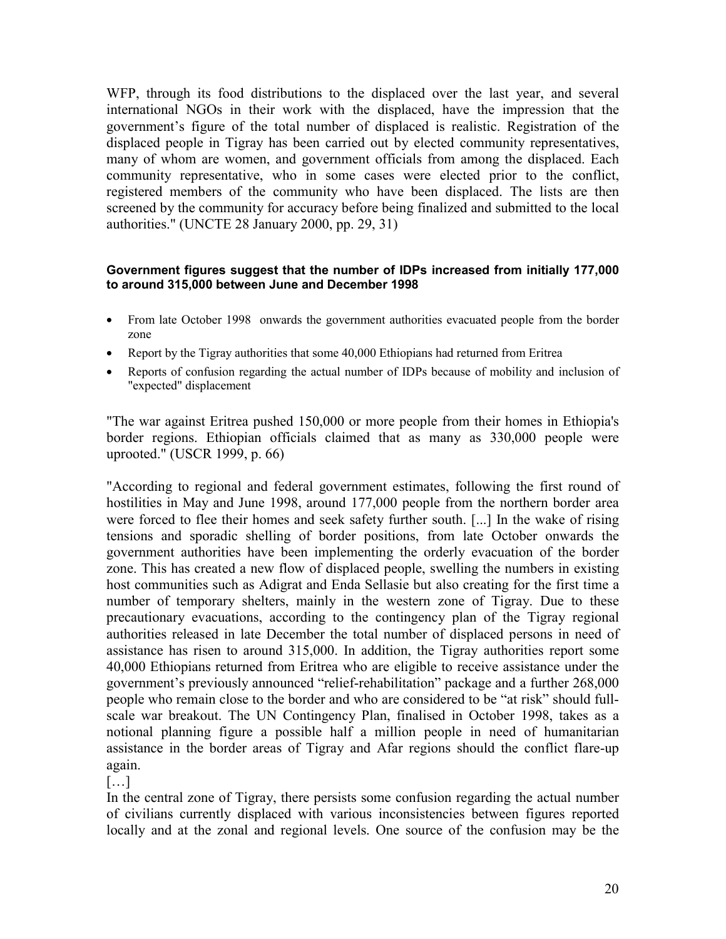WFP, through its food distributions to the displaced over the last year, and several international NGOs in their work with the displaced, have the impression that the government's figure of the total number of displaced is realistic. Registration of the displaced people in Tigray has been carried out by elected community representatives, many of whom are women, and government officials from among the displaced. Each community representative, who in some cases were elected prior to the conflict, registered members of the community who have been displaced. The lists are then screened by the community for accuracy before being finalized and submitted to the local authorities." (UNCTE 28 January 2000, pp. 29, 31)

### **Government figures suggest that the number of IDPs increased from initially 177,000 to around 315,000 between June and December 1998**

- From late October 1998 onwards the government authorities evacuated people from the border zone
- Report by the Tigray authorities that some 40,000 Ethiopians had returned from Eritrea
- Reports of confusion regarding the actual number of IDPs because of mobility and inclusion of "expected" displacement

"The war against Eritrea pushed 150,000 or more people from their homes in Ethiopia's border regions. Ethiopian officials claimed that as many as 330,000 people were uprooted." (USCR 1999, p. 66)

"According to regional and federal government estimates, following the first round of hostilities in May and June 1998, around 177,000 people from the northern border area were forced to flee their homes and seek safety further south. [...] In the wake of rising tensions and sporadic shelling of border positions, from late October onwards the government authorities have been implementing the orderly evacuation of the border zone. This has created a new flow of displaced people, swelling the numbers in existing host communities such as Adigrat and Enda Sellasie but also creating for the first time a number of temporary shelters, mainly in the western zone of Tigray. Due to these precautionary evacuations, according to the contingency plan of the Tigray regional authorities released in late December the total number of displaced persons in need of assistance has risen to around 315,000. In addition, the Tigray authorities report some 40,000 Ethiopians returned from Eritrea who are eligible to receive assistance under the government's previously announced "relief-rehabilitation" package and a further 268,000 people who remain close to the border and who are considered to be "at risk" should fullscale war breakout. The UN Contingency Plan, finalised in October 1998, takes as a notional planning figure a possible half a million people in need of humanitarian assistance in the border areas of Tigray and Afar regions should the conflict flare-up again.

[…]

In the central zone of Tigray, there persists some confusion regarding the actual number of civilians currently displaced with various inconsistencies between figures reported locally and at the zonal and regional levels. One source of the confusion may be the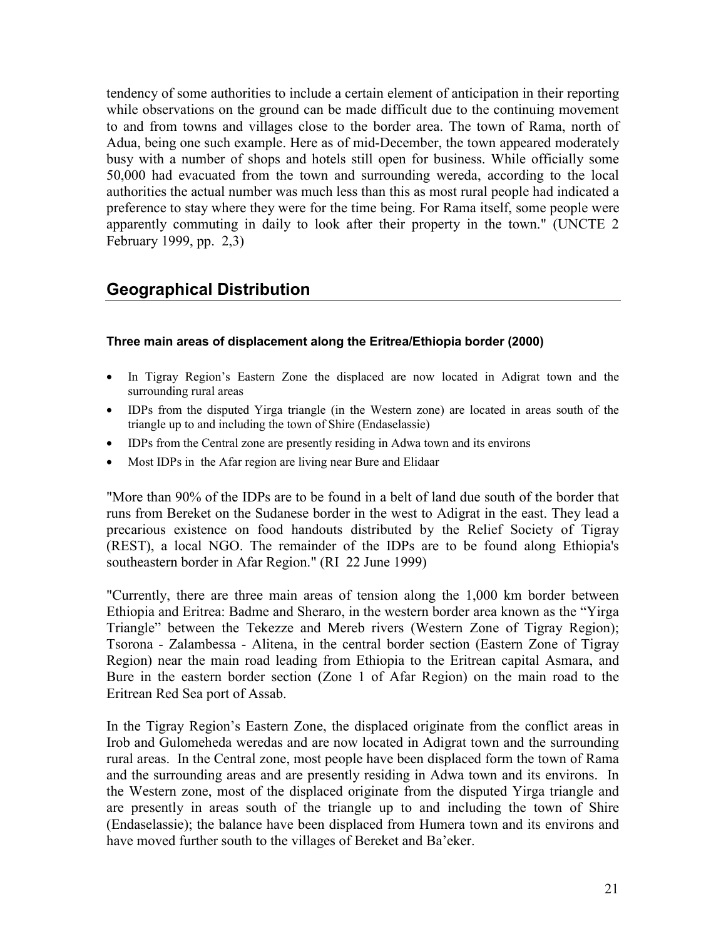tendency of some authorities to include a certain element of anticipation in their reporting while observations on the ground can be made difficult due to the continuing movement to and from towns and villages close to the border area. The town of Rama, north of Adua, being one such example. Here as of mid-December, the town appeared moderately busy with a number of shops and hotels still open for business. While officially some 50,000 had evacuated from the town and surrounding wereda, according to the local authorities the actual number was much less than this as most rural people had indicated a preference to stay where they were for the time being. For Rama itself, some people were apparently commuting in daily to look after their property in the town." (UNCTE 2 February 1999, pp. 2,3)

### **Geographical Distribution**

### **Three main areas of displacement along the Eritrea/Ethiopia border (2000)**

- In Tigray Region's Eastern Zone the displaced are now located in Adigrat town and the surrounding rural areas
- IDPs from the disputed Yirga triangle (in the Western zone) are located in areas south of the triangle up to and including the town of Shire (Endaselassie)
- IDPs from the Central zone are presently residing in Adwa town and its environs
- Most IDPs in the Afar region are living near Bure and Elidaar

"More than 90% of the IDPs are to be found in a belt of land due south of the border that runs from Bereket on the Sudanese border in the west to Adigrat in the east. They lead a precarious existence on food handouts distributed by the Relief Society of Tigray (REST), a local NGO. The remainder of the IDPs are to be found along Ethiopia's southeastern border in Afar Region." (RI 22 June 1999)

"Currently, there are three main areas of tension along the 1,000 km border between Ethiopia and Eritrea: Badme and Sheraro, in the western border area known as the "Yirga Triangle" between the Tekezze and Mereb rivers (Western Zone of Tigray Region); Tsorona - Zalambessa - Alitena, in the central border section (Eastern Zone of Tigray Region) near the main road leading from Ethiopia to the Eritrean capital Asmara, and Bure in the eastern border section (Zone 1 of Afar Region) on the main road to the Eritrean Red Sea port of Assab.

In the Tigray Region's Eastern Zone, the displaced originate from the conflict areas in Irob and Gulomeheda weredas and are now located in Adigrat town and the surrounding rural areas. In the Central zone, most people have been displaced form the town of Rama and the surrounding areas and are presently residing in Adwa town and its environs. In the Western zone, most of the displaced originate from the disputed Yirga triangle and are presently in areas south of the triangle up to and including the town of Shire (Endaselassie); the balance have been displaced from Humera town and its environs and have moved further south to the villages of Bereket and Ba'eker.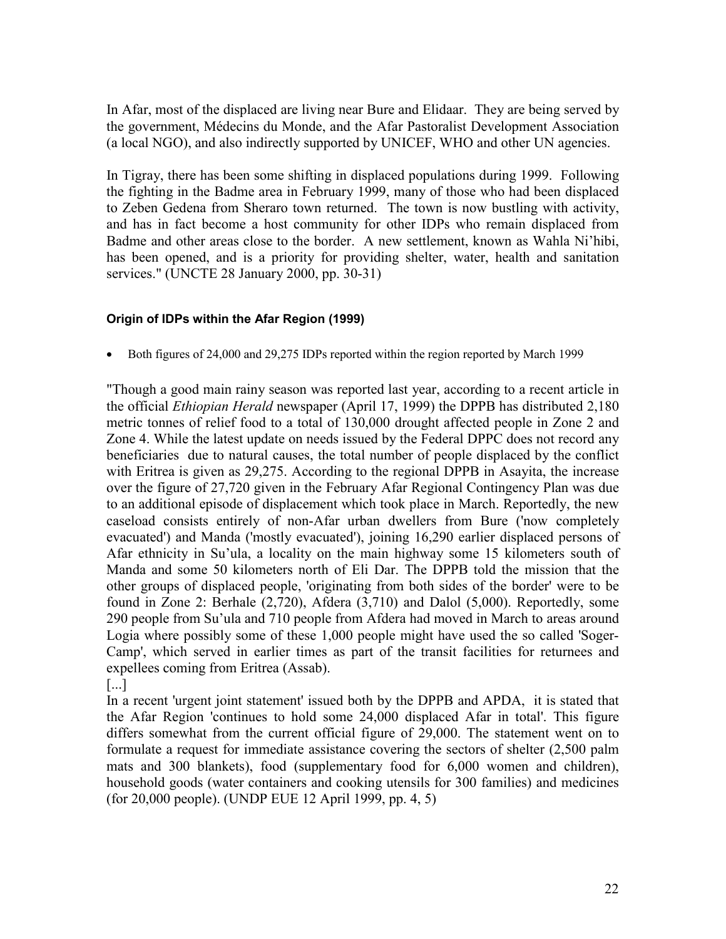In Afar, most of the displaced are living near Bure and Elidaar. They are being served by the government, Médecins du Monde, and the Afar Pastoralist Development Association (a local NGO), and also indirectly supported by UNICEF, WHO and other UN agencies.

In Tigray, there has been some shifting in displaced populations during 1999. Following the fighting in the Badme area in February 1999, many of those who had been displaced to Zeben Gedena from Sheraro town returned. The town is now bustling with activity, and has in fact become a host community for other IDPs who remain displaced from Badme and other areas close to the border. A new settlement, known as Wahla Ni'hibi, has been opened, and is a priority for providing shelter, water, health and sanitation services." (UNCTE 28 January 2000, pp. 30-31)

### **Origin of IDPs within the Afar Region (1999)**

Both figures of 24,000 and 29,275 IDPs reported within the region reported by March 1999

"Though a good main rainy season was reported last year, according to a recent article in the official *Ethiopian Herald* newspaper (April 17, 1999) the DPPB has distributed 2,180 metric tonnes of relief food to a total of 130,000 drought affected people in Zone 2 and Zone 4. While the latest update on needs issued by the Federal DPPC does not record any beneficiaries due to natural causes, the total number of people displaced by the conflict with Eritrea is given as 29,275. According to the regional DPPB in Asayita, the increase over the figure of 27,720 given in the February Afar Regional Contingency Plan was due to an additional episode of displacement which took place in March. Reportedly, the new caseload consists entirely of non-Afar urban dwellers from Bure ('now completely evacuated') and Manda ('mostly evacuated'), joining 16,290 earlier displaced persons of Afar ethnicity in Su'ula, a locality on the main highway some 15 kilometers south of Manda and some 50 kilometers north of Eli Dar. The DPPB told the mission that the other groups of displaced people, 'originating from both sides of the border' were to be found in Zone 2: Berhale (2,720), Afdera (3,710) and Dalol (5,000). Reportedly, some 290 people from Su'ula and 710 people from Afdera had moved in March to areas around Logia where possibly some of these 1,000 people might have used the so called 'Soger-Camp', which served in earlier times as part of the transit facilities for returnees and expellees coming from Eritrea (Assab).

[...]

In a recent 'urgent joint statement' issued both by the DPPB and APDA, it is stated that the Afar Region 'continues to hold some 24,000 displaced Afar in total'. This figure differs somewhat from the current official figure of 29,000. The statement went on to formulate a request for immediate assistance covering the sectors of shelter (2,500 palm mats and 300 blankets), food (supplementary food for 6,000 women and children), household goods (water containers and cooking utensils for 300 families) and medicines (for 20,000 people). (UNDP EUE 12 April 1999, pp. 4, 5)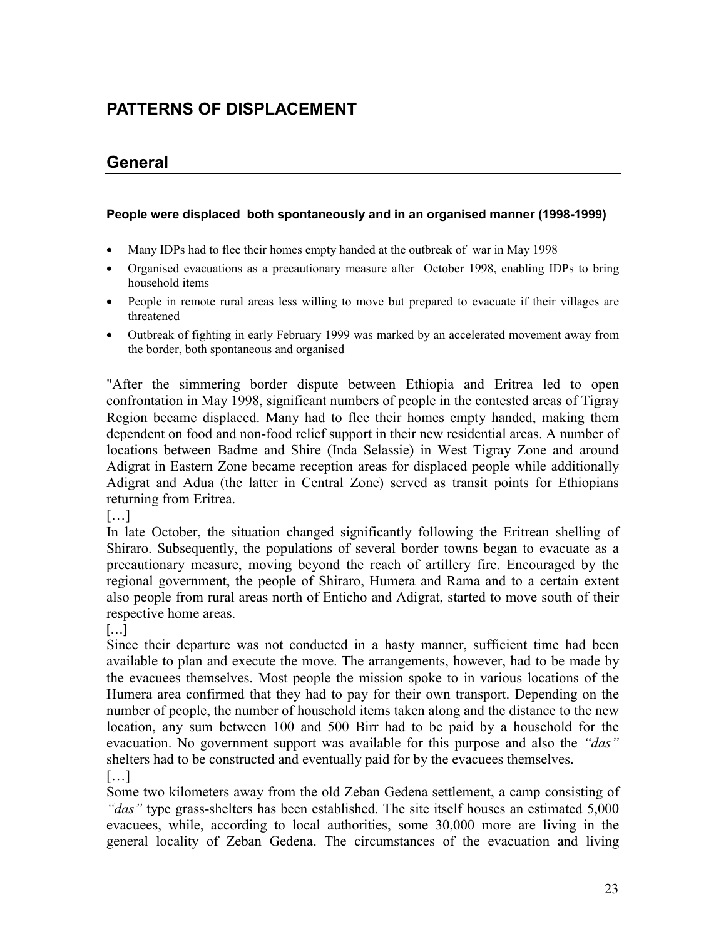# **PATTERNS OF DISPLACEMENT**

# **General**

#### **People were displaced both spontaneously and in an organised manner (1998-1999)**

- Many IDPs had to flee their homes empty handed at the outbreak of war in May 1998
- Organised evacuations as a precautionary measure after October 1998, enabling IDPs to bring household items
- People in remote rural areas less willing to move but prepared to evacuate if their villages are threatened
- Outbreak of fighting in early February 1999 was marked by an accelerated movement away from the border, both spontaneous and organised

"After the simmering border dispute between Ethiopia and Eritrea led to open confrontation in May 1998, significant numbers of people in the contested areas of Tigray Region became displaced. Many had to flee their homes empty handed, making them dependent on food and non-food relief support in their new residential areas. A number of locations between Badme and Shire (Inda Selassie) in West Tigray Zone and around Adigrat in Eastern Zone became reception areas for displaced people while additionally Adigrat and Adua (the latter in Central Zone) served as transit points for Ethiopians returning from Eritrea.

[…]

In late October, the situation changed significantly following the Eritrean shelling of Shiraro. Subsequently, the populations of several border towns began to evacuate as a precautionary measure, moving beyond the reach of artillery fire. Encouraged by the regional government, the people of Shiraro, Humera and Rama and to a certain extent also people from rural areas north of Enticho and Adigrat, started to move south of their respective home areas.

 $\left[\ldots\right]$ 

Since their departure was not conducted in a hasty manner, sufficient time had been available to plan and execute the move. The arrangements, however, had to be made by the evacuees themselves. Most people the mission spoke to in various locations of the Humera area confirmed that they had to pay for their own transport. Depending on the number of people, the number of household items taken along and the distance to the new location, any sum between 100 and 500 Birr had to be paid by a household for the evacuation. No government support was available for this purpose and also the *"das"* shelters had to be constructed and eventually paid for by the evacuees themselves.

[…]

Some two kilometers away from the old Zeban Gedena settlement, a camp consisting of *"das"* type grass-shelters has been established. The site itself houses an estimated 5,000 evacuees, while, according to local authorities, some 30,000 more are living in the general locality of Zeban Gedena. The circumstances of the evacuation and living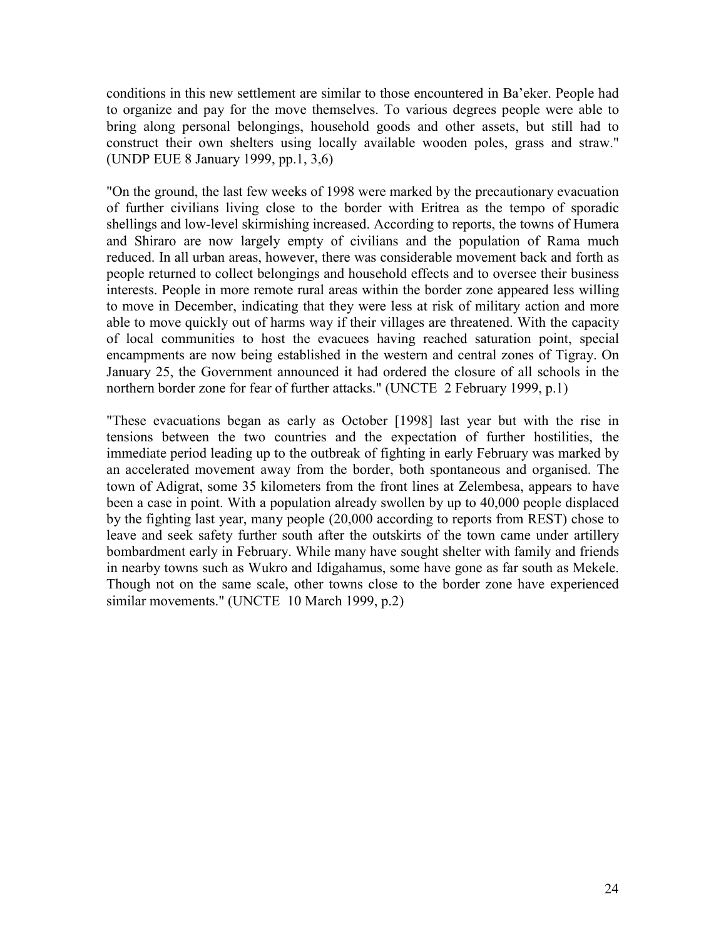conditions in this new settlement are similar to those encountered in Ba'eker. People had to organize and pay for the move themselves. To various degrees people were able to bring along personal belongings, household goods and other assets, but still had to construct their own shelters using locally available wooden poles, grass and straw." (UNDP EUE 8 January 1999, pp.1, 3,6)

"On the ground, the last few weeks of 1998 were marked by the precautionary evacuation of further civilians living close to the border with Eritrea as the tempo of sporadic shellings and low-level skirmishing increased. According to reports, the towns of Humera and Shiraro are now largely empty of civilians and the population of Rama much reduced. In all urban areas, however, there was considerable movement back and forth as people returned to collect belongings and household effects and to oversee their business interests. People in more remote rural areas within the border zone appeared less willing to move in December, indicating that they were less at risk of military action and more able to move quickly out of harms way if their villages are threatened. With the capacity of local communities to host the evacuees having reached saturation point, special encampments are now being established in the western and central zones of Tigray. On January 25, the Government announced it had ordered the closure of all schools in the northern border zone for fear of further attacks." (UNCTE 2 February 1999, p.1)

"These evacuations began as early as October [1998] last year but with the rise in tensions between the two countries and the expectation of further hostilities, the immediate period leading up to the outbreak of fighting in early February was marked by an accelerated movement away from the border, both spontaneous and organised. The town of Adigrat, some 35 kilometers from the front lines at Zelembesa, appears to have been a case in point. With a population already swollen by up to 40,000 people displaced by the fighting last year, many people (20,000 according to reports from REST) chose to leave and seek safety further south after the outskirts of the town came under artillery bombardment early in February. While many have sought shelter with family and friends in nearby towns such as Wukro and Idigahamus, some have gone as far south as Mekele. Though not on the same scale, other towns close to the border zone have experienced similar movements." (UNCTE 10 March 1999, p.2)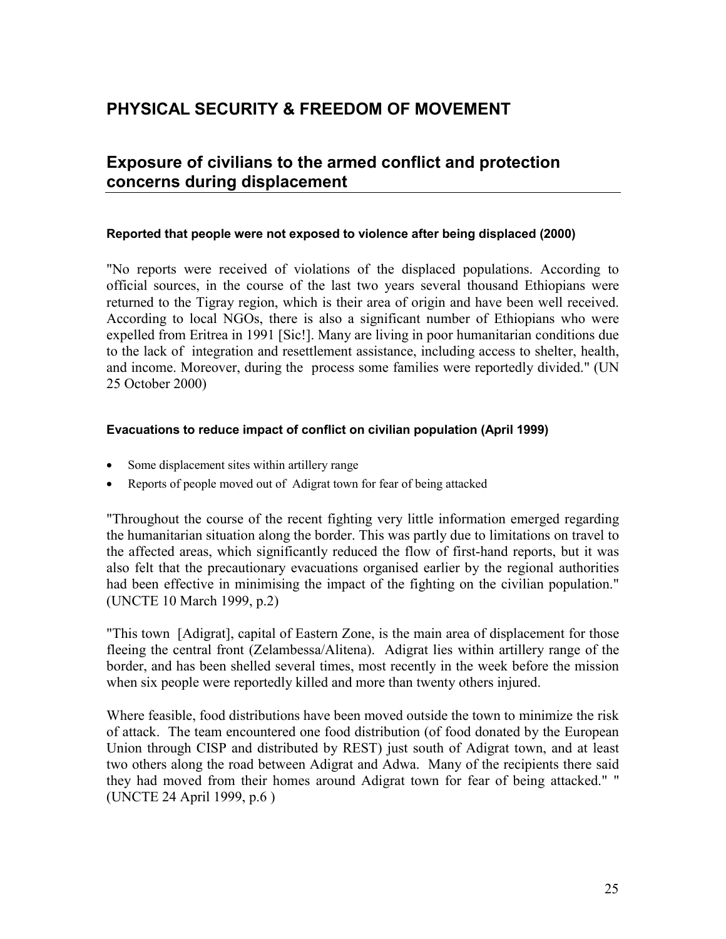# **PHYSICAL SECURITY & FREEDOM OF MOVEMENT**

### **Exposure of civilians to the armed conflict and protection concerns during displacement**

#### **Reported that people were not exposed to violence after being displaced (2000)**

"No reports were received of violations of the displaced populations. According to official sources, in the course of the last two years several thousand Ethiopians were returned to the Tigray region, which is their area of origin and have been well received. According to local NGOs, there is also a significant number of Ethiopians who were expelled from Eritrea in 1991 [Sic!]. Many are living in poor humanitarian conditions due to the lack of integration and resettlement assistance, including access to shelter, health, and income. Moreover, during the process some families were reportedly divided." (UN 25 October 2000)

#### **Evacuations to reduce impact of conflict on civilian population (April 1999)**

- Some displacement sites within artillery range
- Reports of people moved out of Adigrat town for fear of being attacked

"Throughout the course of the recent fighting very little information emerged regarding the humanitarian situation along the border. This was partly due to limitations on travel to the affected areas, which significantly reduced the flow of first-hand reports, but it was also felt that the precautionary evacuations organised earlier by the regional authorities had been effective in minimising the impact of the fighting on the civilian population." (UNCTE 10 March 1999, p.2)

"This town [Adigrat], capital of Eastern Zone, is the main area of displacement for those fleeing the central front (Zelambessa/Alitena). Adigrat lies within artillery range of the border, and has been shelled several times, most recently in the week before the mission when six people were reportedly killed and more than twenty others injured.

Where feasible, food distributions have been moved outside the town to minimize the risk of attack. The team encountered one food distribution (of food donated by the European Union through CISP and distributed by REST) just south of Adigrat town, and at least two others along the road between Adigrat and Adwa. Many of the recipients there said they had moved from their homes around Adigrat town for fear of being attacked." " (UNCTE 24 April 1999, p.6 )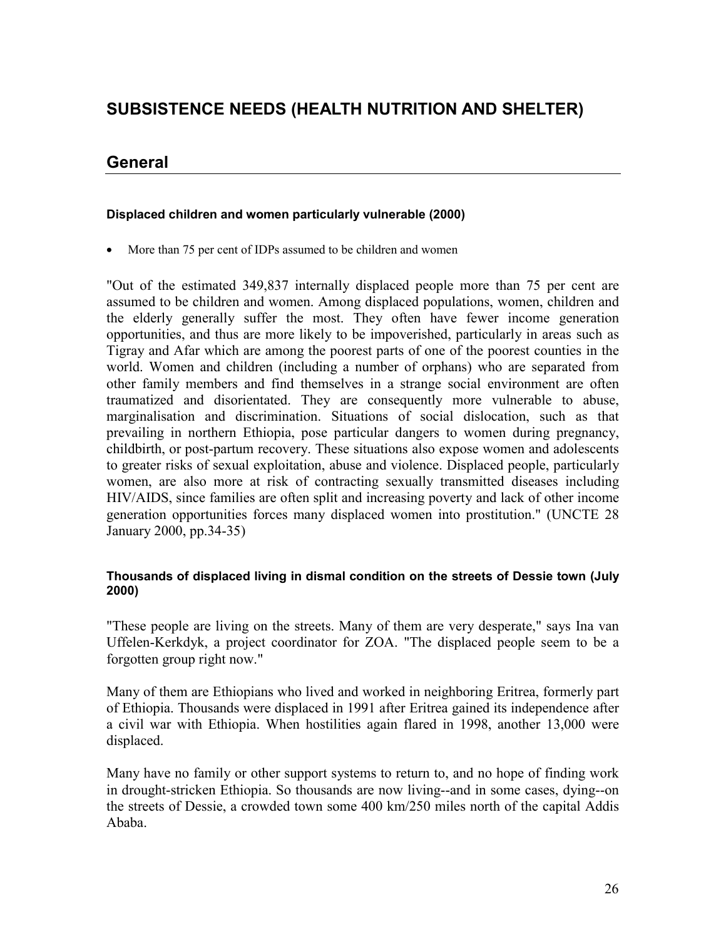# **SUBSISTENCE NEEDS (HEALTH NUTRITION AND SHELTER)**

### **General**

### **Displaced children and women particularly vulnerable (2000)**

• More than 75 per cent of IDPs assumed to be children and women

"Out of the estimated 349,837 internally displaced people more than 75 per cent are assumed to be children and women. Among displaced populations, women, children and the elderly generally suffer the most. They often have fewer income generation opportunities, and thus are more likely to be impoverished, particularly in areas such as Tigray and Afar which are among the poorest parts of one of the poorest counties in the world. Women and children (including a number of orphans) who are separated from other family members and find themselves in a strange social environment are often traumatized and disorientated. They are consequently more vulnerable to abuse, marginalisation and discrimination. Situations of social dislocation, such as that prevailing in northern Ethiopia, pose particular dangers to women during pregnancy, childbirth, or post-partum recovery. These situations also expose women and adolescents to greater risks of sexual exploitation, abuse and violence. Displaced people, particularly women, are also more at risk of contracting sexually transmitted diseases including HIV/AIDS, since families are often split and increasing poverty and lack of other income generation opportunities forces many displaced women into prostitution." (UNCTE 28 January 2000, pp.34-35)

#### **Thousands of displaced living in dismal condition on the streets of Dessie town (July 2000)**

"These people are living on the streets. Many of them are very desperate," says Ina van Uffelen-Kerkdyk, a project coordinator for ZOA. "The displaced people seem to be a forgotten group right now."

Many of them are Ethiopians who lived and worked in neighboring Eritrea, formerly part of Ethiopia. Thousands were displaced in 1991 after Eritrea gained its independence after a civil war with Ethiopia. When hostilities again flared in 1998, another 13,000 were displaced.

Many have no family or other support systems to return to, and no hope of finding work in drought-stricken Ethiopia. So thousands are now living--and in some cases, dying--on the streets of Dessie, a crowded town some 400 km/250 miles north of the capital Addis Ababa.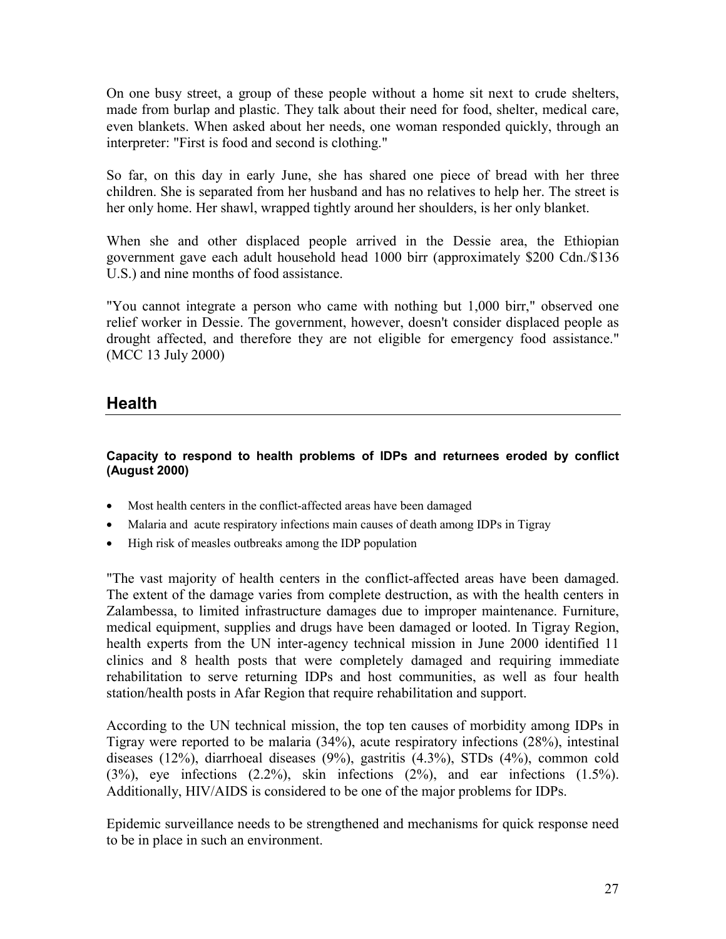On one busy street, a group of these people without a home sit next to crude shelters, made from burlap and plastic. They talk about their need for food, shelter, medical care, even blankets. When asked about her needs, one woman responded quickly, through an interpreter: "First is food and second is clothing."

So far, on this day in early June, she has shared one piece of bread with her three children. She is separated from her husband and has no relatives to help her. The street is her only home. Her shawl, wrapped tightly around her shoulders, is her only blanket.

When she and other displaced people arrived in the Dessie area, the Ethiopian government gave each adult household head 1000 birr (approximately \$200 Cdn./\$136 U.S.) and nine months of food assistance.

"You cannot integrate a person who came with nothing but 1,000 birr," observed one relief worker in Dessie. The government, however, doesn't consider displaced people as drought affected, and therefore they are not eligible for emergency food assistance." (MCC 13 July 2000)

### **Health**

### **Capacity to respond to health problems of IDPs and returnees eroded by conflict (August 2000)**

- Most health centers in the conflict-affected areas have been damaged
- Malaria and acute respiratory infections main causes of death among IDPs in Tigray
- High risk of measles outbreaks among the IDP population

"The vast majority of health centers in the conflict-affected areas have been damaged. The extent of the damage varies from complete destruction, as with the health centers in Zalambessa, to limited infrastructure damages due to improper maintenance. Furniture, medical equipment, supplies and drugs have been damaged or looted. In Tigray Region, health experts from the UN inter-agency technical mission in June 2000 identified 11 clinics and 8 health posts that were completely damaged and requiring immediate rehabilitation to serve returning IDPs and host communities, as well as four health station/health posts in Afar Region that require rehabilitation and support.

According to the UN technical mission, the top ten causes of morbidity among IDPs in Tigray were reported to be malaria (34%), acute respiratory infections (28%), intestinal diseases (12%), diarrhoeal diseases (9%), gastritis (4.3%), STDs (4%), common cold (3%), eye infections (2.2%), skin infections (2%), and ear infections (1.5%). Additionally, HIV/AIDS is considered to be one of the major problems for IDPs.

Epidemic surveillance needs to be strengthened and mechanisms for quick response need to be in place in such an environment.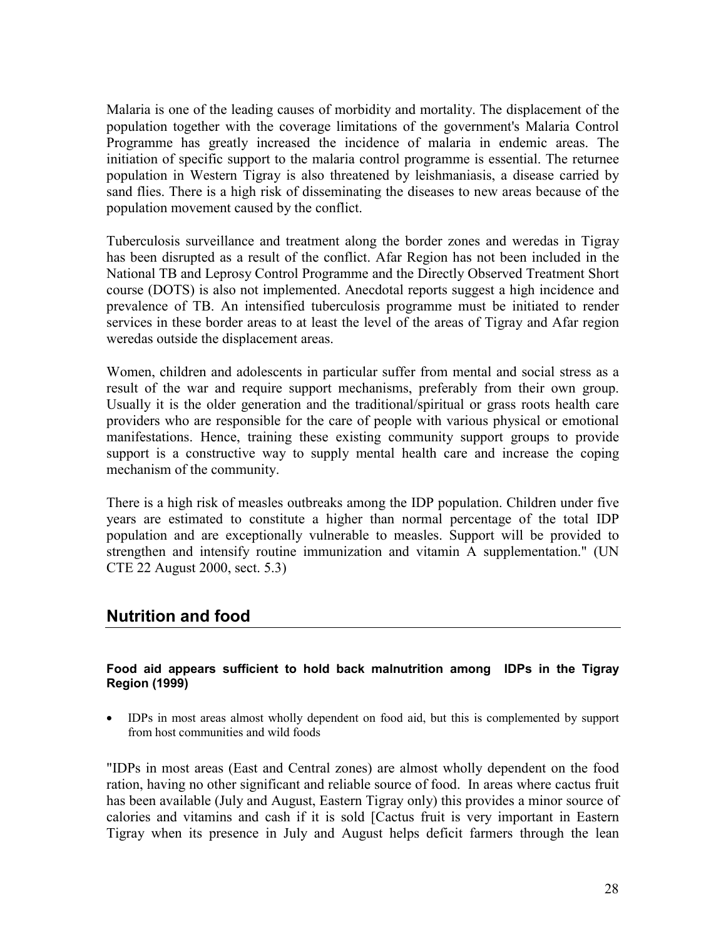Malaria is one of the leading causes of morbidity and mortality. The displacement of the population together with the coverage limitations of the government's Malaria Control Programme has greatly increased the incidence of malaria in endemic areas. The initiation of specific support to the malaria control programme is essential. The returnee population in Western Tigray is also threatened by leishmaniasis, a disease carried by sand flies. There is a high risk of disseminating the diseases to new areas because of the population movement caused by the conflict.

Tuberculosis surveillance and treatment along the border zones and weredas in Tigray has been disrupted as a result of the conflict. Afar Region has not been included in the National TB and Leprosy Control Programme and the Directly Observed Treatment Short course (DOTS) is also not implemented. Anecdotal reports suggest a high incidence and prevalence of TB. An intensified tuberculosis programme must be initiated to render services in these border areas to at least the level of the areas of Tigray and Afar region weredas outside the displacement areas.

Women, children and adolescents in particular suffer from mental and social stress as a result of the war and require support mechanisms, preferably from their own group. Usually it is the older generation and the traditional/spiritual or grass roots health care providers who are responsible for the care of people with various physical or emotional manifestations. Hence, training these existing community support groups to provide support is a constructive way to supply mental health care and increase the coping mechanism of the community.

There is a high risk of measles outbreaks among the IDP population. Children under five years are estimated to constitute a higher than normal percentage of the total IDP population and are exceptionally vulnerable to measles. Support will be provided to strengthen and intensify routine immunization and vitamin A supplementation." (UN CTE 22 August 2000, sect. 5.3)

### **Nutrition and food**

### **Food aid appears sufficient to hold back malnutrition among IDPs in the Tigray Region (1999)**

 IDPs in most areas almost wholly dependent on food aid, but this is complemented by support from host communities and wild foods

"IDPs in most areas (East and Central zones) are almost wholly dependent on the food ration, having no other significant and reliable source of food. In areas where cactus fruit has been available (July and August, Eastern Tigray only) this provides a minor source of calories and vitamins and cash if it is sold [Cactus fruit is very important in Eastern Tigray when its presence in July and August helps deficit farmers through the lean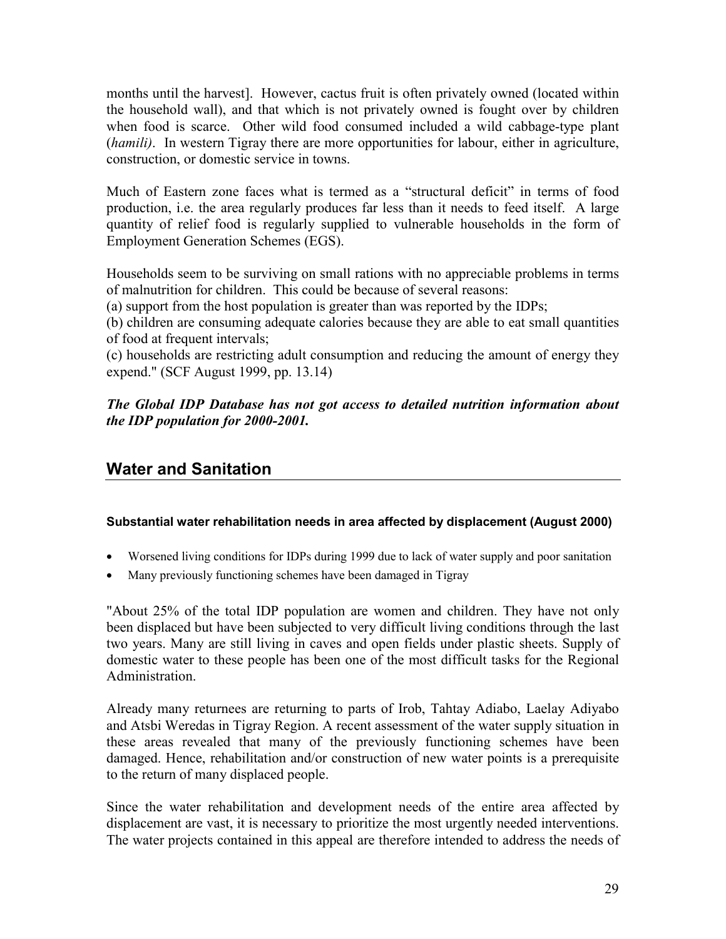months until the harvest]. However, cactus fruit is often privately owned (located within the household wall), and that which is not privately owned is fought over by children when food is scarce. Other wild food consumed included a wild cabbage-type plant (*hamili)*. In western Tigray there are more opportunities for labour, either in agriculture, construction, or domestic service in towns.

Much of Eastern zone faces what is termed as a "structural deficit" in terms of food production, i.e. the area regularly produces far less than it needs to feed itself. A large quantity of relief food is regularly supplied to vulnerable households in the form of Employment Generation Schemes (EGS).

Households seem to be surviving on small rations with no appreciable problems in terms of malnutrition for children. This could be because of several reasons:

(a) support from the host population is greater than was reported by the IDPs;

(b) children are consuming adequate calories because they are able to eat small quantities of food at frequent intervals;

(c) households are restricting adult consumption and reducing the amount of energy they expend." (SCF August 1999, pp. 13.14)

*The Global IDP Database has not got access to detailed nutrition information about the IDP population for 2000-2001.*

# **Water and Sanitation**

### **Substantial water rehabilitation needs in area affected by displacement (August 2000)**

- Worsened living conditions for IDPs during 1999 due to lack of water supply and poor sanitation
- Many previously functioning schemes have been damaged in Tigray

"About 25% of the total IDP population are women and children. They have not only been displaced but have been subjected to very difficult living conditions through the last two years. Many are still living in caves and open fields under plastic sheets. Supply of domestic water to these people has been one of the most difficult tasks for the Regional **Administration** 

Already many returnees are returning to parts of Irob, Tahtay Adiabo, Laelay Adiyabo and Atsbi Weredas in Tigray Region. A recent assessment of the water supply situation in these areas revealed that many of the previously functioning schemes have been damaged. Hence, rehabilitation and/or construction of new water points is a prerequisite to the return of many displaced people.

Since the water rehabilitation and development needs of the entire area affected by displacement are vast, it is necessary to prioritize the most urgently needed interventions. The water projects contained in this appeal are therefore intended to address the needs of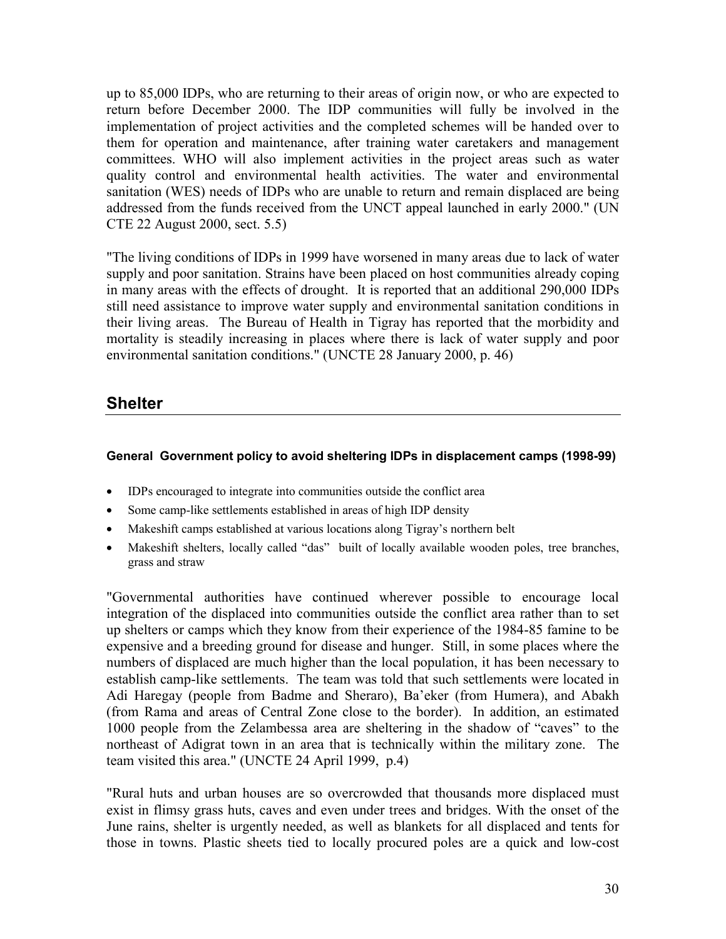up to 85,000 IDPs, who are returning to their areas of origin now, or who are expected to return before December 2000. The IDP communities will fully be involved in the implementation of project activities and the completed schemes will be handed over to them for operation and maintenance, after training water caretakers and management committees. WHO will also implement activities in the project areas such as water quality control and environmental health activities. The water and environmental sanitation (WES) needs of IDPs who are unable to return and remain displaced are being addressed from the funds received from the UNCT appeal launched in early 2000." (UN CTE 22 August 2000, sect. 5.5)

"The living conditions of IDPs in 1999 have worsened in many areas due to lack of water supply and poor sanitation. Strains have been placed on host communities already coping in many areas with the effects of drought. It is reported that an additional 290,000 IDPs still need assistance to improve water supply and environmental sanitation conditions in their living areas. The Bureau of Health in Tigray has reported that the morbidity and mortality is steadily increasing in places where there is lack of water supply and poor environmental sanitation conditions." (UNCTE 28 January 2000, p. 46)

### **Shelter**

### **General Government policy to avoid sheltering IDPs in displacement camps (1998-99)**

- IDPs encouraged to integrate into communities outside the conflict area
- Some camp-like settlements established in areas of high IDP density
- Makeshift camps established at various locations along Tigray's northern belt
- Makeshift shelters, locally called "das" built of locally available wooden poles, tree branches, grass and straw

"Governmental authorities have continued wherever possible to encourage local integration of the displaced into communities outside the conflict area rather than to set up shelters or camps which they know from their experience of the 1984-85 famine to be expensive and a breeding ground for disease and hunger. Still, in some places where the numbers of displaced are much higher than the local population, it has been necessary to establish camp-like settlements. The team was told that such settlements were located in Adi Haregay (people from Badme and Sheraro), Ba'eker (from Humera), and Abakh (from Rama and areas of Central Zone close to the border). In addition, an estimated 1000 people from the Zelambessa area are sheltering in the shadow of "caves" to the northeast of Adigrat town in an area that is technically within the military zone. The team visited this area." (UNCTE 24 April 1999, p.4)

"Rural huts and urban houses are so overcrowded that thousands more displaced must exist in flimsy grass huts, caves and even under trees and bridges. With the onset of the June rains, shelter is urgently needed, as well as blankets for all displaced and tents for those in towns. Plastic sheets tied to locally procured poles are a quick and low-cost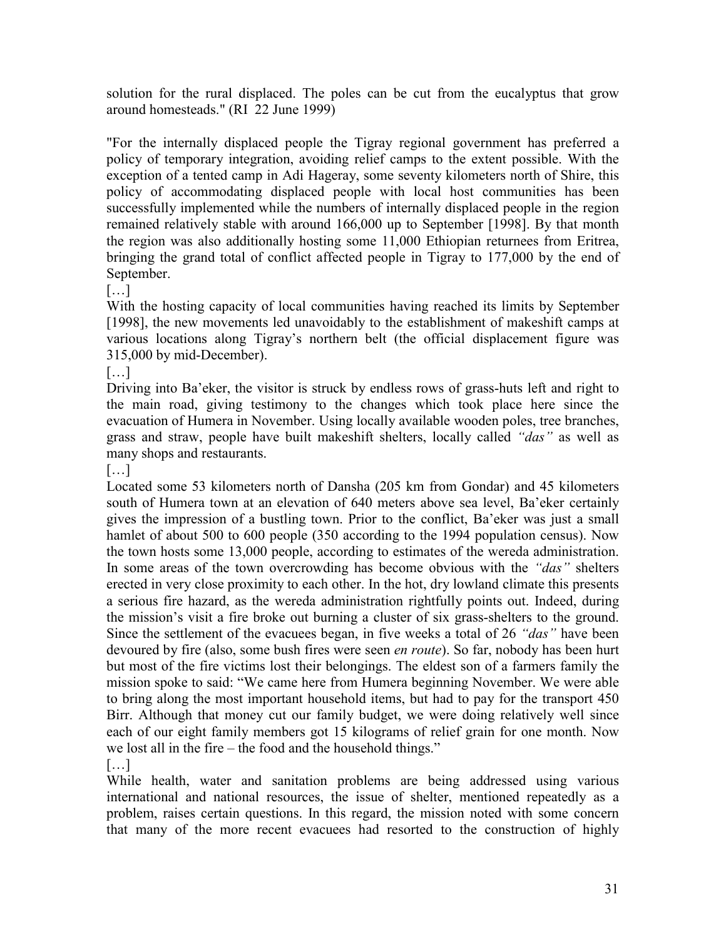solution for the rural displaced. The poles can be cut from the eucalyptus that grow around homesteads." (RI 22 June 1999)

"For the internally displaced people the Tigray regional government has preferred a policy of temporary integration, avoiding relief camps to the extent possible. With the exception of a tented camp in Adi Hageray, some seventy kilometers north of Shire, this policy of accommodating displaced people with local host communities has been successfully implemented while the numbers of internally displaced people in the region remained relatively stable with around 166,000 up to September [1998]. By that month the region was also additionally hosting some 11,000 Ethiopian returnees from Eritrea, bringing the grand total of conflict affected people in Tigray to 177,000 by the end of September.

[…]

With the hosting capacity of local communities having reached its limits by September [1998], the new movements led unavoidably to the establishment of makeshift camps at various locations along Tigray's northern belt (the official displacement figure was 315,000 by mid-December).

[…]

Driving into Ba'eker, the visitor is struck by endless rows of grass-huts left and right to the main road, giving testimony to the changes which took place here since the evacuation of Humera in November. Using locally available wooden poles, tree branches, grass and straw, people have built makeshift shelters, locally called *"das"* as well as many shops and restaurants.

[…]

Located some 53 kilometers north of Dansha (205 km from Gondar) and 45 kilometers south of Humera town at an elevation of 640 meters above sea level, Ba'eker certainly gives the impression of a bustling town. Prior to the conflict, Ba'eker was just a small hamlet of about 500 to 600 people (350 according to the 1994 population census). Now the town hosts some 13,000 people, according to estimates of the wereda administration. In some areas of the town overcrowding has become obvious with the *"das"* shelters erected in very close proximity to each other. In the hot, dry lowland climate this presents a serious fire hazard, as the wereda administration rightfully points out. Indeed, during the mission's visit a fire broke out burning a cluster of six grass-shelters to the ground. Since the settlement of the evacuees began, in five weeks a total of 26 *"das"* have been devoured by fire (also, some bush fires were seen *en route*). So far, nobody has been hurt but most of the fire victims lost their belongings. The eldest son of a farmers family the mission spoke to said: "We came here from Humera beginning November. We were able to bring along the most important household items, but had to pay for the transport 450 Birr. Although that money cut our family budget, we were doing relatively well since each of our eight family members got 15 kilograms of relief grain for one month. Now we lost all in the fire – the food and the household things."

[…]

While health, water and sanitation problems are being addressed using various international and national resources, the issue of shelter, mentioned repeatedly as a problem, raises certain questions. In this regard, the mission noted with some concern that many of the more recent evacuees had resorted to the construction of highly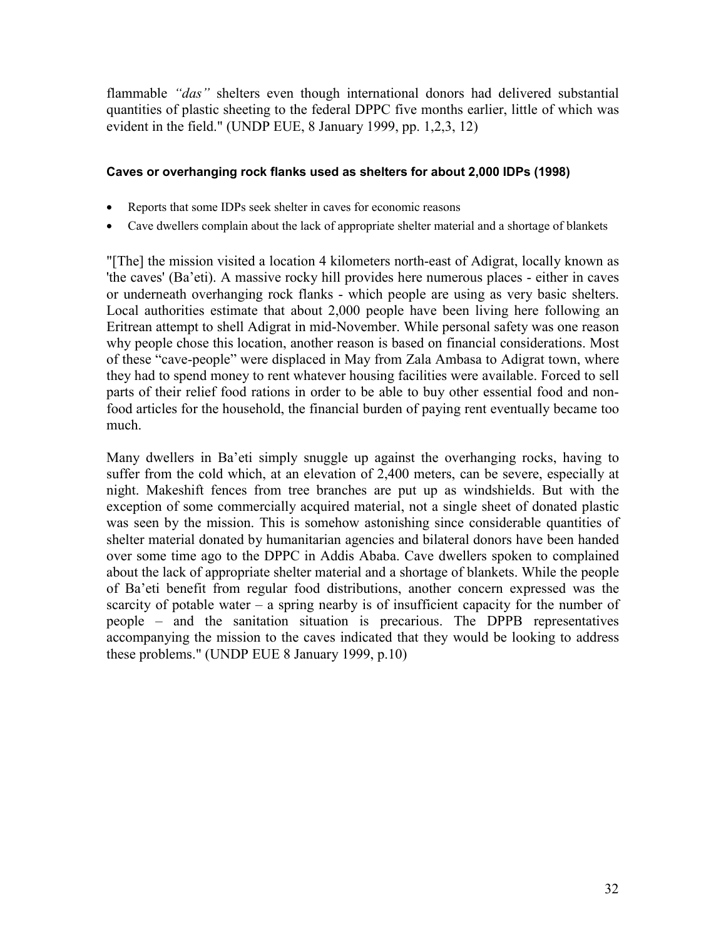flammable *"das"* shelters even though international donors had delivered substantial quantities of plastic sheeting to the federal DPPC five months earlier, little of which was evident in the field." (UNDP EUE, 8 January 1999, pp. 1,2,3, 12)

### **Caves or overhanging rock flanks used as shelters for about 2,000 IDPs (1998)**

- Reports that some IDPs seek shelter in caves for economic reasons
- Cave dwellers complain about the lack of appropriate shelter material and a shortage of blankets

"[The] the mission visited a location 4 kilometers north-east of Adigrat, locally known as 'the caves' (Ba'eti). A massive rocky hill provides here numerous places - either in caves or underneath overhanging rock flanks - which people are using as very basic shelters. Local authorities estimate that about 2,000 people have been living here following an Eritrean attempt to shell Adigrat in mid-November. While personal safety was one reason why people chose this location, another reason is based on financial considerations. Most of these "cave-people" were displaced in May from Zala Ambasa to Adigrat town, where they had to spend money to rent whatever housing facilities were available. Forced to sell parts of their relief food rations in order to be able to buy other essential food and nonfood articles for the household, the financial burden of paying rent eventually became too much.

Many dwellers in Ba'eti simply snuggle up against the overhanging rocks, having to suffer from the cold which, at an elevation of 2,400 meters, can be severe, especially at night. Makeshift fences from tree branches are put up as windshields. But with the exception of some commercially acquired material, not a single sheet of donated plastic was seen by the mission. This is somehow astonishing since considerable quantities of shelter material donated by humanitarian agencies and bilateral donors have been handed over some time ago to the DPPC in Addis Ababa. Cave dwellers spoken to complained about the lack of appropriate shelter material and a shortage of blankets. While the people of Ba'eti benefit from regular food distributions, another concern expressed was the scarcity of potable water  $-$  a spring nearby is of insufficient capacity for the number of people – and the sanitation situation is precarious. The DPPB representatives accompanying the mission to the caves indicated that they would be looking to address these problems." (UNDP EUE 8 January 1999, p.10)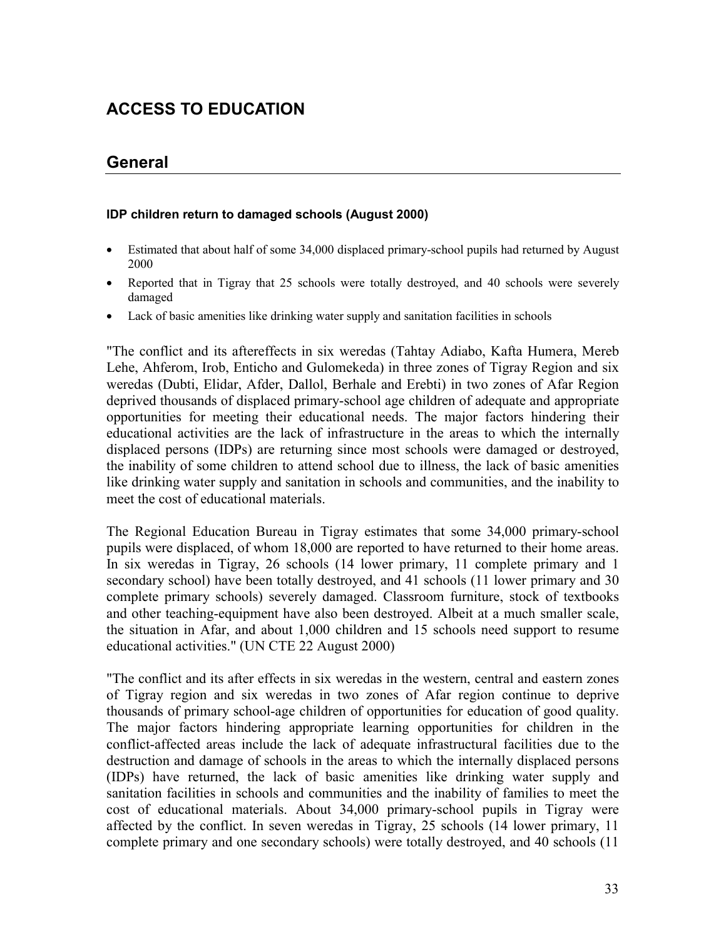# **ACCESS TO EDUCATION**

### **General**

### **IDP children return to damaged schools (August 2000)**

- Estimated that about half of some 34,000 displaced primary-school pupils had returned by August 2000
- Reported that in Tigray that 25 schools were totally destroyed, and 40 schools were severely damaged
- Lack of basic amenities like drinking water supply and sanitation facilities in schools

"The conflict and its aftereffects in six weredas (Tahtay Adiabo, Kafta Humera, Mereb Lehe, Ahferom, Irob, Enticho and Gulomekeda) in three zones of Tigray Region and six weredas (Dubti, Elidar, Afder, Dallol, Berhale and Erebti) in two zones of Afar Region deprived thousands of displaced primary-school age children of adequate and appropriate opportunities for meeting their educational needs. The major factors hindering their educational activities are the lack of infrastructure in the areas to which the internally displaced persons (IDPs) are returning since most schools were damaged or destroyed, the inability of some children to attend school due to illness, the lack of basic amenities like drinking water supply and sanitation in schools and communities, and the inability to meet the cost of educational materials.

The Regional Education Bureau in Tigray estimates that some 34,000 primary-school pupils were displaced, of whom 18,000 are reported to have returned to their home areas. In six weredas in Tigray, 26 schools (14 lower primary, 11 complete primary and 1 secondary school) have been totally destroyed, and 41 schools (11 lower primary and 30 complete primary schools) severely damaged. Classroom furniture, stock of textbooks and other teaching-equipment have also been destroyed. Albeit at a much smaller scale, the situation in Afar, and about 1,000 children and 15 schools need support to resume educational activities." (UN CTE 22 August 2000)

"The conflict and its after effects in six weredas in the western, central and eastern zones of Tigray region and six weredas in two zones of Afar region continue to deprive thousands of primary school-age children of opportunities for education of good quality. The major factors hindering appropriate learning opportunities for children in the conflict-affected areas include the lack of adequate infrastructural facilities due to the destruction and damage of schools in the areas to which the internally displaced persons (IDPs) have returned, the lack of basic amenities like drinking water supply and sanitation facilities in schools and communities and the inability of families to meet the cost of educational materials. About 34,000 primary-school pupils in Tigray were affected by the conflict. In seven weredas in Tigray, 25 schools (14 lower primary, 11 complete primary and one secondary schools) were totally destroyed, and 40 schools (11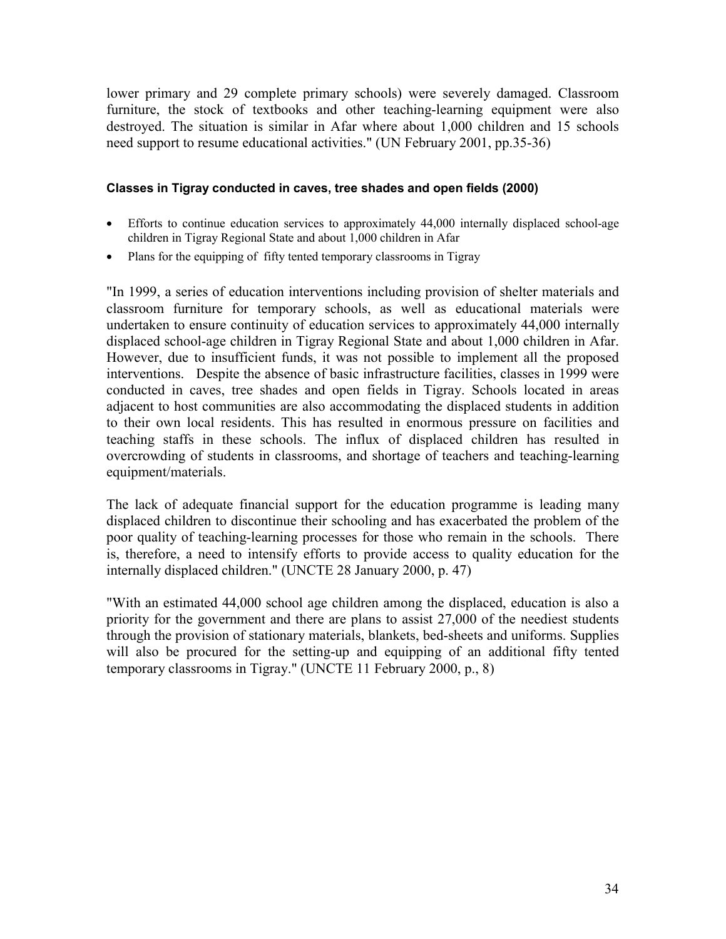lower primary and 29 complete primary schools) were severely damaged. Classroom furniture, the stock of textbooks and other teaching-learning equipment were also destroyed. The situation is similar in Afar where about 1,000 children and 15 schools need support to resume educational activities." (UN February 2001, pp.35-36)

### **Classes in Tigray conducted in caves, tree shades and open fields (2000)**

- Efforts to continue education services to approximately 44,000 internally displaced school-age children in Tigray Regional State and about 1,000 children in Afar
- Plans for the equipping of fifty tented temporary classrooms in Tigray

"In 1999, a series of education interventions including provision of shelter materials and classroom furniture for temporary schools, as well as educational materials were undertaken to ensure continuity of education services to approximately 44,000 internally displaced school-age children in Tigray Regional State and about 1,000 children in Afar. However, due to insufficient funds, it was not possible to implement all the proposed interventions. Despite the absence of basic infrastructure facilities, classes in 1999 were conducted in caves, tree shades and open fields in Tigray. Schools located in areas adjacent to host communities are also accommodating the displaced students in addition to their own local residents. This has resulted in enormous pressure on facilities and teaching staffs in these schools. The influx of displaced children has resulted in overcrowding of students in classrooms, and shortage of teachers and teaching-learning equipment/materials.

The lack of adequate financial support for the education programme is leading many displaced children to discontinue their schooling and has exacerbated the problem of the poor quality of teaching-learning processes for those who remain in the schools. There is, therefore, a need to intensify efforts to provide access to quality education for the internally displaced children." (UNCTE 28 January 2000, p. 47)

"With an estimated 44,000 school age children among the displaced, education is also a priority for the government and there are plans to assist 27,000 of the neediest students through the provision of stationary materials, blankets, bed-sheets and uniforms. Supplies will also be procured for the setting-up and equipping of an additional fifty tented temporary classrooms in Tigray." (UNCTE 11 February 2000, p., 8)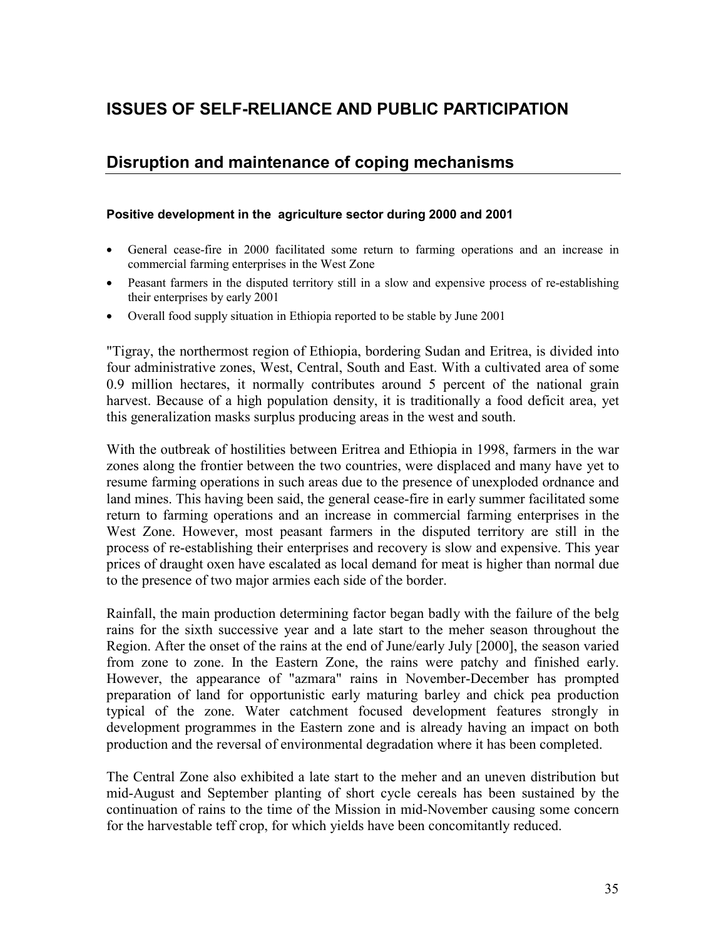# **ISSUES OF SELF-RELIANCE AND PUBLIC PARTICIPATION**

### **Disruption and maintenance of coping mechanisms**

### **Positive development in the agriculture sector during 2000 and 2001**

- General cease-fire in 2000 facilitated some return to farming operations and an increase in commercial farming enterprises in the West Zone
- Peasant farmers in the disputed territory still in a slow and expensive process of re-establishing their enterprises by early 2001
- Overall food supply situation in Ethiopia reported to be stable by June 2001

"Tigray, the northermost region of Ethiopia, bordering Sudan and Eritrea, is divided into four administrative zones, West, Central, South and East. With a cultivated area of some 0.9 million hectares, it normally contributes around 5 percent of the national grain harvest. Because of a high population density, it is traditionally a food deficit area, yet this generalization masks surplus producing areas in the west and south.

With the outbreak of hostilities between Eritrea and Ethiopia in 1998, farmers in the war zones along the frontier between the two countries, were displaced and many have yet to resume farming operations in such areas due to the presence of unexploded ordnance and land mines. This having been said, the general cease-fire in early summer facilitated some return to farming operations and an increase in commercial farming enterprises in the West Zone. However, most peasant farmers in the disputed territory are still in the process of re-establishing their enterprises and recovery is slow and expensive. This year prices of draught oxen have escalated as local demand for meat is higher than normal due to the presence of two major armies each side of the border.

Rainfall, the main production determining factor began badly with the failure of the belg rains for the sixth successive year and a late start to the meher season throughout the Region. After the onset of the rains at the end of June/early July [2000], the season varied from zone to zone. In the Eastern Zone, the rains were patchy and finished early. However, the appearance of "azmara" rains in November-December has prompted preparation of land for opportunistic early maturing barley and chick pea production typical of the zone. Water catchment focused development features strongly in development programmes in the Eastern zone and is already having an impact on both production and the reversal of environmental degradation where it has been completed.

The Central Zone also exhibited a late start to the meher and an uneven distribution but mid-August and September planting of short cycle cereals has been sustained by the continuation of rains to the time of the Mission in mid-November causing some concern for the harvestable teff crop, for which yields have been concomitantly reduced.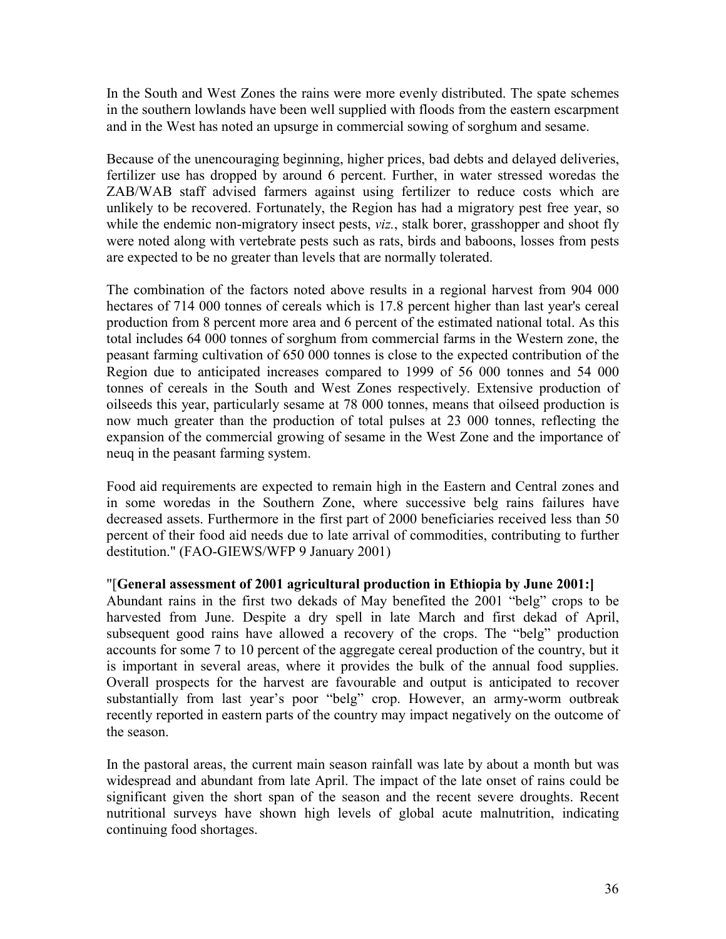In the South and West Zones the rains were more evenly distributed. The spate schemes in the southern lowlands have been well supplied with floods from the eastern escarpment and in the West has noted an upsurge in commercial sowing of sorghum and sesame.

Because of the unencouraging beginning, higher prices, bad debts and delayed deliveries, fertilizer use has dropped by around 6 percent. Further, in water stressed woredas the ZAB/WAB staff advised farmers against using fertilizer to reduce costs which are unlikely to be recovered. Fortunately, the Region has had a migratory pest free year, so while the endemic non-migratory insect pests, *viz.*, stalk borer, grasshopper and shoot fly were noted along with vertebrate pests such as rats, birds and baboons, losses from pests are expected to be no greater than levels that are normally tolerated.

The combination of the factors noted above results in a regional harvest from 904 000 hectares of 714 000 tonnes of cereals which is 17.8 percent higher than last year's cereal production from 8 percent more area and 6 percent of the estimated national total. As this total includes 64 000 tonnes of sorghum from commercial farms in the Western zone, the peasant farming cultivation of 650 000 tonnes is close to the expected contribution of the Region due to anticipated increases compared to 1999 of 56 000 tonnes and 54 000 tonnes of cereals in the South and West Zones respectively. Extensive production of oilseeds this year, particularly sesame at 78 000 tonnes, means that oilseed production is now much greater than the production of total pulses at 23 000 tonnes, reflecting the expansion of the commercial growing of sesame in the West Zone and the importance of neuq in the peasant farming system.

Food aid requirements are expected to remain high in the Eastern and Central zones and in some woredas in the Southern Zone, where successive belg rains failures have decreased assets. Furthermore in the first part of 2000 beneficiaries received less than 50 percent of their food aid needs due to late arrival of commodities, contributing to further destitution." (FAO-GIEWS/WFP 9 January 2001)

## "[**General assessment of 2001 agricultural production in Ethiopia by June 2001:]**

Abundant rains in the first two dekads of May benefited the 2001 "belg" crops to be harvested from June. Despite a dry spell in late March and first dekad of April, subsequent good rains have allowed a recovery of the crops. The "belg" production accounts for some 7 to 10 percent of the aggregate cereal production of the country, but it is important in several areas, where it provides the bulk of the annual food supplies. Overall prospects for the harvest are favourable and output is anticipated to recover substantially from last year's poor "belg" crop. However, an army-worm outbreak recently reported in eastern parts of the country may impact negatively on the outcome of the season.

In the pastoral areas, the current main season rainfall was late by about a month but was widespread and abundant from late April. The impact of the late onset of rains could be significant given the short span of the season and the recent severe droughts. Recent nutritional surveys have shown high levels of global acute malnutrition, indicating continuing food shortages.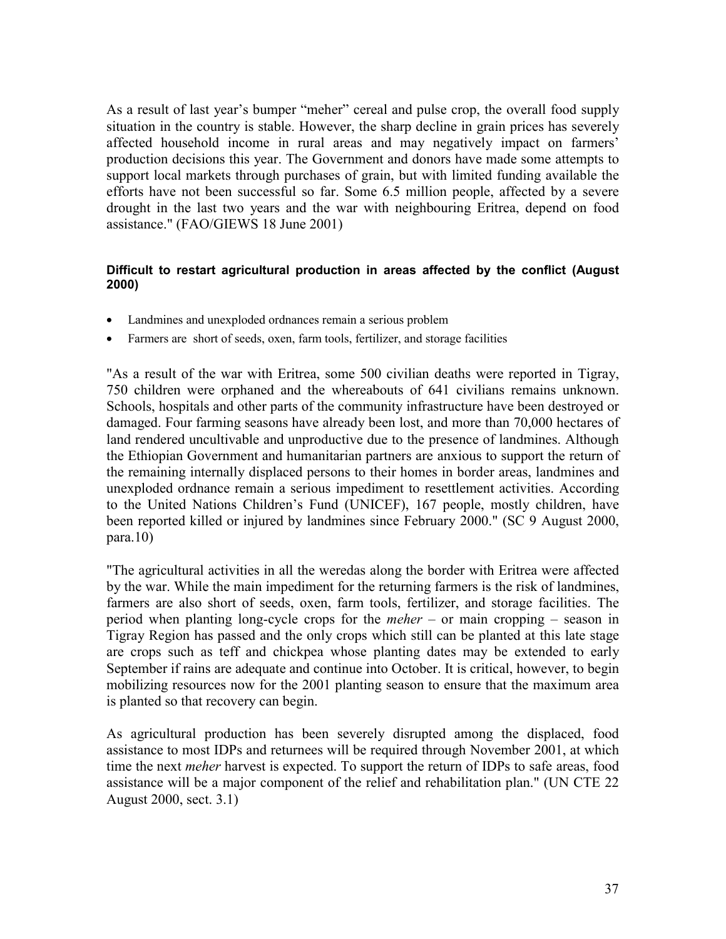As a result of last year's bumper "meher" cereal and pulse crop, the overall food supply situation in the country is stable. However, the sharp decline in grain prices has severely affected household income in rural areas and may negatively impact on farmers' production decisions this year. The Government and donors have made some attempts to support local markets through purchases of grain, but with limited funding available the efforts have not been successful so far. Some 6.5 million people, affected by a severe drought in the last two years and the war with neighbouring Eritrea, depend on food assistance." (FAO/GIEWS 18 June 2001)

#### **Difficult to restart agricultural production in areas affected by the conflict (August 2000)**

- Landmines and unexploded ordnances remain a serious problem
- Farmers are short of seeds, oxen, farm tools, fertilizer, and storage facilities

"As a result of the war with Eritrea, some 500 civilian deaths were reported in Tigray, 750 children were orphaned and the whereabouts of 641 civilians remains unknown. Schools, hospitals and other parts of the community infrastructure have been destroyed or damaged. Four farming seasons have already been lost, and more than 70,000 hectares of land rendered uncultivable and unproductive due to the presence of landmines. Although the Ethiopian Government and humanitarian partners are anxious to support the return of the remaining internally displaced persons to their homes in border areas, landmines and unexploded ordnance remain a serious impediment to resettlement activities. According to the United Nations Children's Fund (UNICEF), 167 people, mostly children, have been reported killed or injured by landmines since February 2000." (SC 9 August 2000, para.10)

"The agricultural activities in all the weredas along the border with Eritrea were affected by the war. While the main impediment for the returning farmers is the risk of landmines, farmers are also short of seeds, oxen, farm tools, fertilizer, and storage facilities. The period when planting long-cycle crops for the *meher* – or main cropping – season in Tigray Region has passed and the only crops which still can be planted at this late stage are crops such as teff and chickpea whose planting dates may be extended to early September if rains are adequate and continue into October. It is critical, however, to begin mobilizing resources now for the 2001 planting season to ensure that the maximum area is planted so that recovery can begin.

As agricultural production has been severely disrupted among the displaced, food assistance to most IDPs and returnees will be required through November 2001, at which time the next *meher* harvest is expected. To support the return of IDPs to safe areas, food assistance will be a major component of the relief and rehabilitation plan." (UN CTE 22 August 2000, sect. 3.1)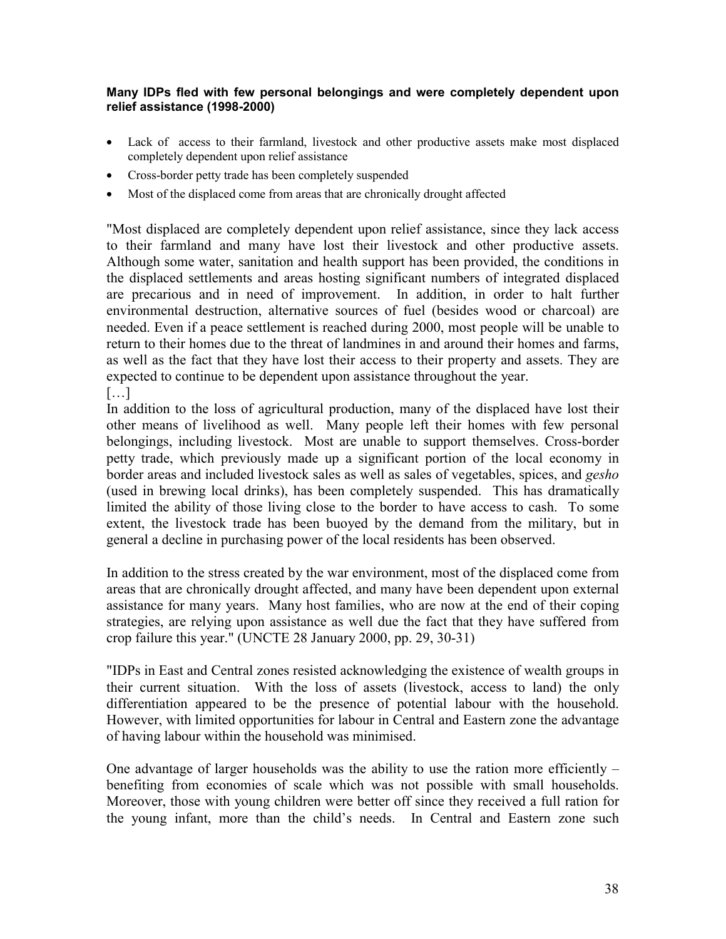#### **Many IDPs fled with few personal belongings and were completely dependent upon relief assistance (1998-2000)**

- Lack of access to their farmland, livestock and other productive assets make most displaced completely dependent upon relief assistance
- Cross-border petty trade has been completely suspended
- Most of the displaced come from areas that are chronically drought affected

"Most displaced are completely dependent upon relief assistance, since they lack access to their farmland and many have lost their livestock and other productive assets. Although some water, sanitation and health support has been provided, the conditions in the displaced settlements and areas hosting significant numbers of integrated displaced are precarious and in need of improvement. In addition, in order to halt further environmental destruction, alternative sources of fuel (besides wood or charcoal) are needed. Even if a peace settlement is reached during 2000, most people will be unable to return to their homes due to the threat of landmines in and around their homes and farms, as well as the fact that they have lost their access to their property and assets. They are expected to continue to be dependent upon assistance throughout the year. […]

In addition to the loss of agricultural production, many of the displaced have lost their other means of livelihood as well. Many people left their homes with few personal belongings, including livestock. Most are unable to support themselves. Cross-border petty trade, which previously made up a significant portion of the local economy in border areas and included livestock sales as well as sales of vegetables, spices, and *gesho* (used in brewing local drinks), has been completely suspended. This has dramatically limited the ability of those living close to the border to have access to cash. To some extent, the livestock trade has been buoyed by the demand from the military, but in general a decline in purchasing power of the local residents has been observed.

In addition to the stress created by the war environment, most of the displaced come from areas that are chronically drought affected, and many have been dependent upon external assistance for many years. Many host families, who are now at the end of their coping strategies, are relying upon assistance as well due the fact that they have suffered from crop failure this year." (UNCTE 28 January 2000, pp. 29, 30-31)

"IDPs in East and Central zones resisted acknowledging the existence of wealth groups in their current situation. With the loss of assets (livestock, access to land) the only differentiation appeared to be the presence of potential labour with the household. However, with limited opportunities for labour in Central and Eastern zone the advantage of having labour within the household was minimised.

One advantage of larger households was the ability to use the ration more efficiently  $$ benefiting from economies of scale which was not possible with small households. Moreover, those with young children were better off since they received a full ration for the young infant, more than the child's needs. In Central and Eastern zone such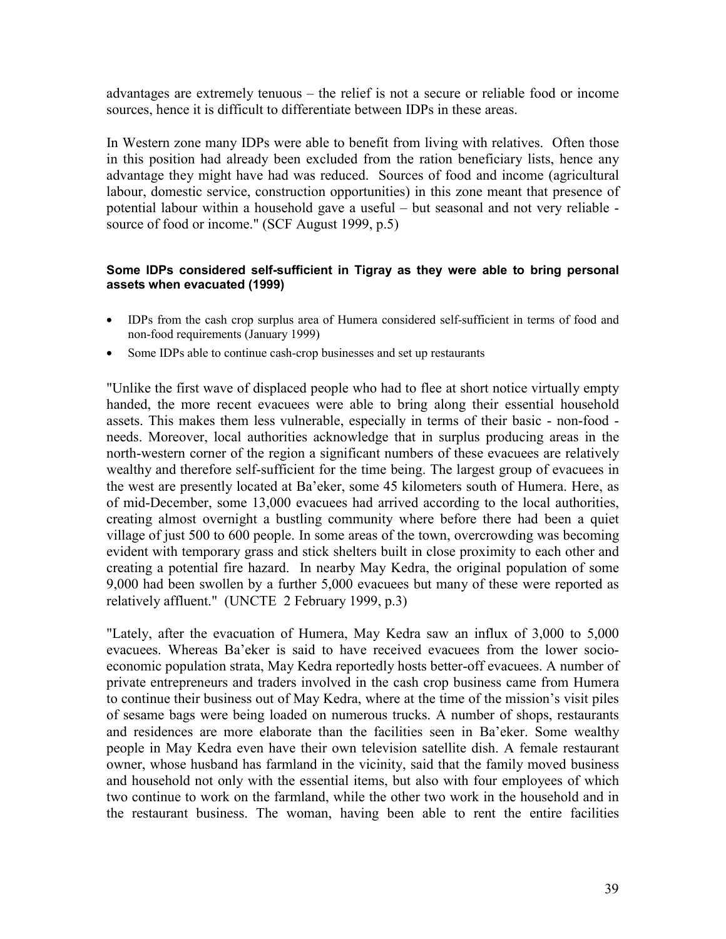advantages are extremely tenuous – the relief is not a secure or reliable food or income sources, hence it is difficult to differentiate between IDPs in these areas.

In Western zone many IDPs were able to benefit from living with relatives. Often those in this position had already been excluded from the ration beneficiary lists, hence any advantage they might have had was reduced. Sources of food and income (agricultural labour, domestic service, construction opportunities) in this zone meant that presence of potential labour within a household gave a useful – but seasonal and not very reliable source of food or income." (SCF August 1999, p.5)

#### **Some IDPs considered self-sufficient in Tigray as they were able to bring personal assets when evacuated (1999)**

- IDPs from the cash crop surplus area of Humera considered self-sufficient in terms of food and non-food requirements (January 1999)
- Some IDPs able to continue cash-crop businesses and set up restaurants

"Unlike the first wave of displaced people who had to flee at short notice virtually empty handed, the more recent evacuees were able to bring along their essential household assets. This makes them less vulnerable, especially in terms of their basic - non-food needs. Moreover, local authorities acknowledge that in surplus producing areas in the north-western corner of the region a significant numbers of these evacuees are relatively wealthy and therefore self-sufficient for the time being. The largest group of evacuees in the west are presently located at Ba'eker, some 45 kilometers south of Humera. Here, as of mid-December, some 13,000 evacuees had arrived according to the local authorities, creating almost overnight a bustling community where before there had been a quiet village of just 500 to 600 people. In some areas of the town, overcrowding was becoming evident with temporary grass and stick shelters built in close proximity to each other and creating a potential fire hazard. In nearby May Kedra, the original population of some 9,000 had been swollen by a further 5,000 evacuees but many of these were reported as relatively affluent." (UNCTE 2 February 1999, p.3)

"Lately, after the evacuation of Humera, May Kedra saw an influx of 3,000 to 5,000 evacuees. Whereas Ba'eker is said to have received evacuees from the lower socioeconomic population strata, May Kedra reportedly hosts better-off evacuees. A number of private entrepreneurs and traders involved in the cash crop business came from Humera to continue their business out of May Kedra, where at the time of the mission's visit piles of sesame bags were being loaded on numerous trucks. A number of shops, restaurants and residences are more elaborate than the facilities seen in Ba'eker. Some wealthy people in May Kedra even have their own television satellite dish. A female restaurant owner, whose husband has farmland in the vicinity, said that the family moved business and household not only with the essential items, but also with four employees of which two continue to work on the farmland, while the other two work in the household and in the restaurant business. The woman, having been able to rent the entire facilities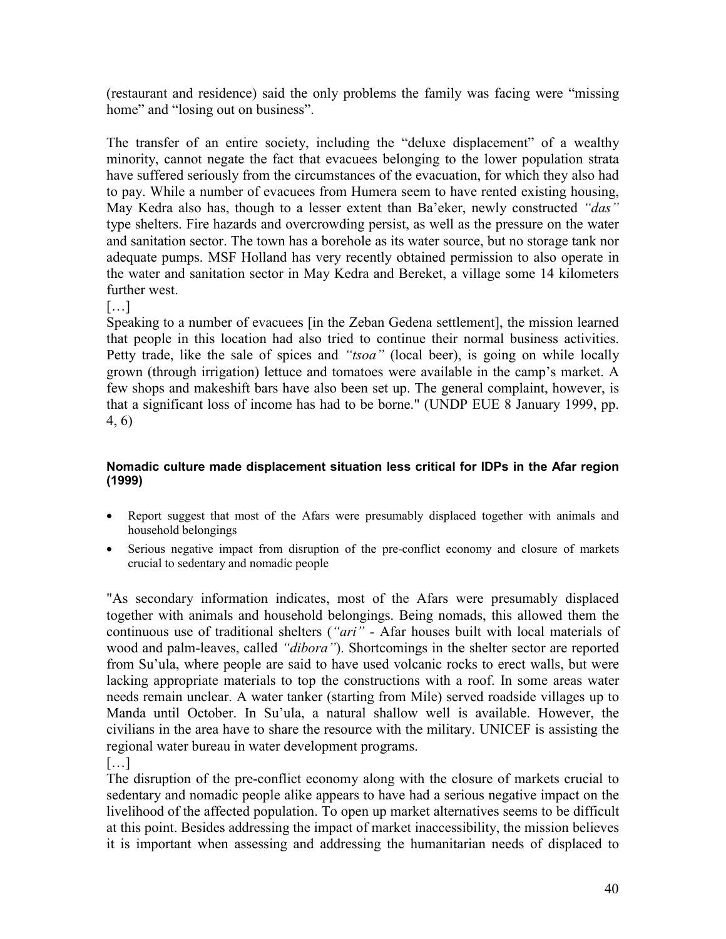(restaurant and residence) said the only problems the family was facing were "missing home" and "losing out on business".

The transfer of an entire society, including the "deluxe displacement" of a wealthy minority, cannot negate the fact that evacuees belonging to the lower population strata have suffered seriously from the circumstances of the evacuation, for which they also had to pay. While a number of evacuees from Humera seem to have rented existing housing, May Kedra also has, though to a lesser extent than Ba'eker, newly constructed *"das"* type shelters. Fire hazards and overcrowding persist, as well as the pressure on the water and sanitation sector. The town has a borehole as its water source, but no storage tank nor adequate pumps. MSF Holland has very recently obtained permission to also operate in the water and sanitation sector in May Kedra and Bereket, a village some 14 kilometers further west.

[…]

Speaking to a number of evacuees [in the Zeban Gedena settlement], the mission learned that people in this location had also tried to continue their normal business activities. Petty trade, like the sale of spices and *"tsoa"* (local beer), is going on while locally grown (through irrigation) lettuce and tomatoes were available in the camp's market. A few shops and makeshift bars have also been set up. The general complaint, however, is that a significant loss of income has had to be borne." (UNDP EUE 8 January 1999, pp. 4, 6)

#### **Nomadic culture made displacement situation less critical for IDPs in the Afar region (1999)**

- Report suggest that most of the Afars were presumably displaced together with animals and household belongings
- Serious negative impact from disruption of the pre-conflict economy and closure of markets crucial to sedentary and nomadic people

"As secondary information indicates, most of the Afars were presumably displaced together with animals and household belongings. Being nomads, this allowed them the continuous use of traditional shelters (*"ari" -* Afar houses built with local materials of wood and palm-leaves, called *"dibora"*). Shortcomings in the shelter sector are reported from Su'ula, where people are said to have used volcanic rocks to erect walls, but were lacking appropriate materials to top the constructions with a roof. In some areas water needs remain unclear. A water tanker (starting from Mile) served roadside villages up to Manda until October. In Su'ula, a natural shallow well is available. However, the civilians in the area have to share the resource with the military. UNICEF is assisting the regional water bureau in water development programs.

[…]

The disruption of the pre-conflict economy along with the closure of markets crucial to sedentary and nomadic people alike appears to have had a serious negative impact on the livelihood of the affected population. To open up market alternatives seems to be difficult at this point. Besides addressing the impact of market inaccessibility, the mission believes it is important when assessing and addressing the humanitarian needs of displaced to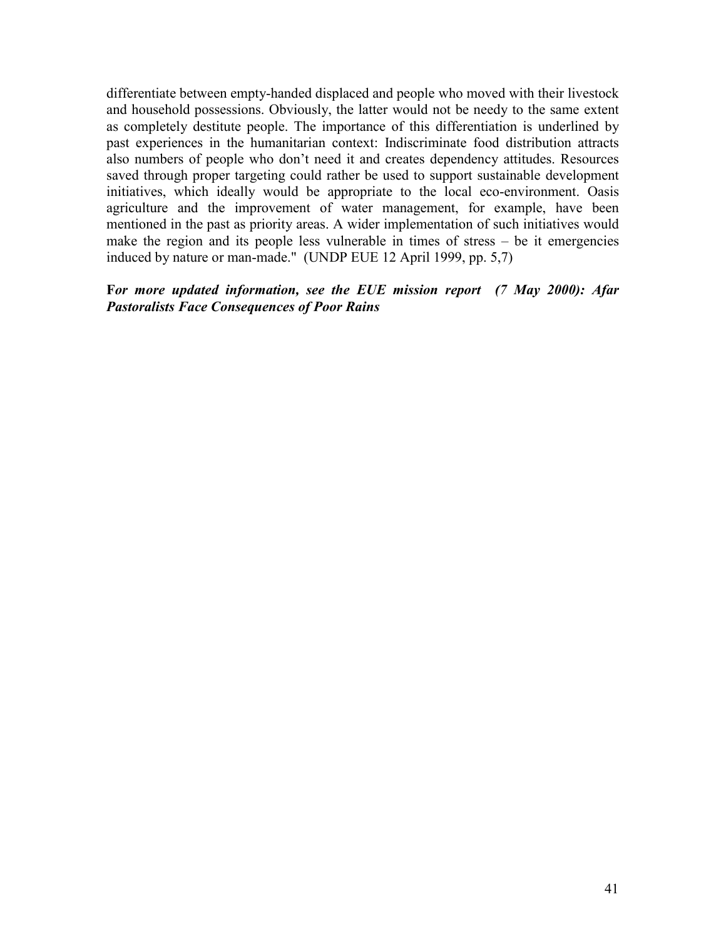differentiate between empty-handed displaced and people who moved with their livestock and household possessions. Obviously, the latter would not be needy to the same extent as completely destitute people. The importance of this differentiation is underlined by past experiences in the humanitarian context: Indiscriminate food distribution attracts also numbers of people who don't need it and creates dependency attitudes. Resources saved through proper targeting could rather be used to support sustainable development initiatives, which ideally would be appropriate to the local eco-environment. Oasis agriculture and the improvement of water management, for example, have been mentioned in the past as priority areas. A wider implementation of such initiatives would make the region and its people less vulnerable in times of stress – be it emergencies induced by nature or man-made." (UNDP EUE 12 April 1999, pp. 5,7)

## **F***or more updated information, see the EUE mission report (7 May 2000): Afar Pastoralists Face Consequences of Poor Rains*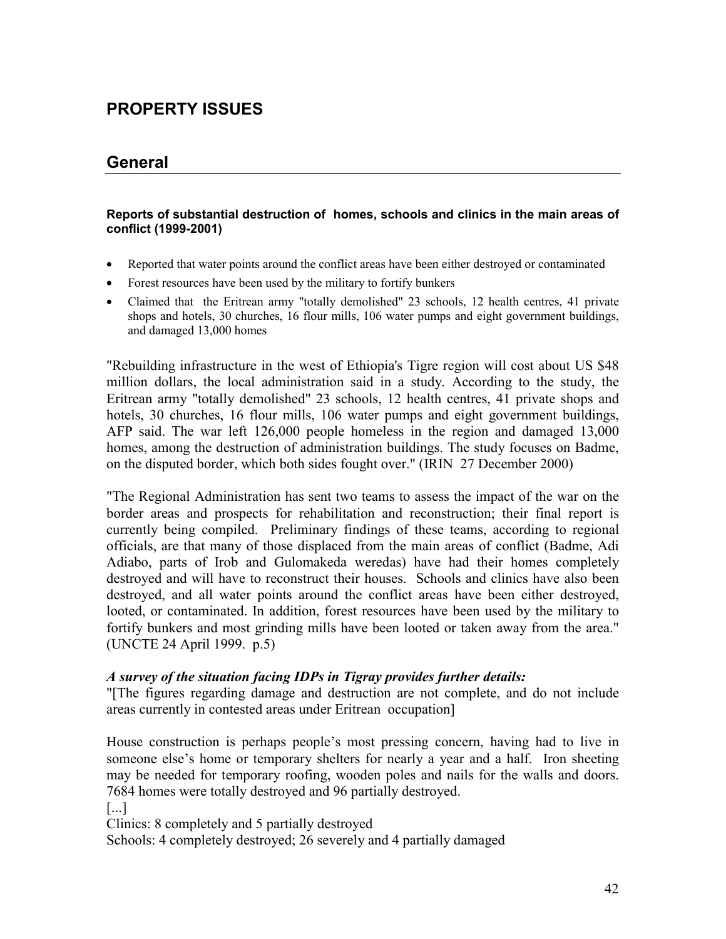# **PROPERTY ISSUES**

## **General**

#### **Reports of substantial destruction of homes, schools and clinics in the main areas of conflict (1999-2001)**

- Reported that water points around the conflict areas have been either destroyed or contaminated
- Forest resources have been used by the military to fortify bunkers
- Claimed that the Eritrean army "totally demolished" 23 schools, 12 health centres, 41 private shops and hotels, 30 churches, 16 flour mills, 106 water pumps and eight government buildings, and damaged 13,000 homes

"Rebuilding infrastructure in the west of Ethiopia's Tigre region will cost about US \$48 million dollars, the local administration said in a study. According to the study, the Eritrean army "totally demolished" 23 schools, 12 health centres, 41 private shops and hotels, 30 churches, 16 flour mills, 106 water pumps and eight government buildings, AFP said. The war left 126,000 people homeless in the region and damaged 13,000 homes, among the destruction of administration buildings. The study focuses on Badme, on the disputed border, which both sides fought over." (IRIN 27 December 2000)

"The Regional Administration has sent two teams to assess the impact of the war on the border areas and prospects for rehabilitation and reconstruction; their final report is currently being compiled. Preliminary findings of these teams, according to regional officials, are that many of those displaced from the main areas of conflict (Badme, Adi Adiabo, parts of Irob and Gulomakeda weredas) have had their homes completely destroyed and will have to reconstruct their houses. Schools and clinics have also been destroyed, and all water points around the conflict areas have been either destroyed, looted, or contaminated. In addition, forest resources have been used by the military to fortify bunkers and most grinding mills have been looted or taken away from the area." (UNCTE 24 April 1999. p.5)

#### *A survey of the situation facing IDPs in Tigray provides further details:*

"[The figures regarding damage and destruction are not complete, and do not include areas currently in contested areas under Eritrean occupation]

House construction is perhaps people's most pressing concern, having had to live in someone else's home or temporary shelters for nearly a year and a half. Iron sheeting may be needed for temporary roofing, wooden poles and nails for the walls and doors. 7684 homes were totally destroyed and 96 partially destroyed.

[...]

Clinics: 8 completely and 5 partially destroyed

Schools: 4 completely destroyed; 26 severely and 4 partially damaged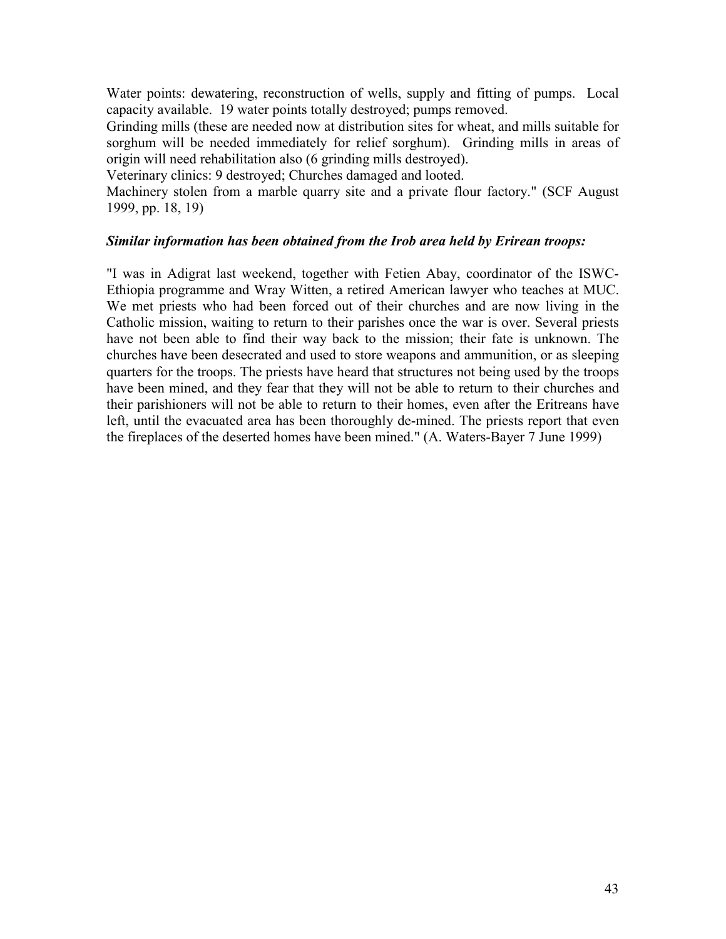Water points: dewatering, reconstruction of wells, supply and fitting of pumps. Local capacity available. 19 water points totally destroyed; pumps removed.

Grinding mills (these are needed now at distribution sites for wheat, and mills suitable for sorghum will be needed immediately for relief sorghum). Grinding mills in areas of origin will need rehabilitation also (6 grinding mills destroyed).

Veterinary clinics: 9 destroyed; Churches damaged and looted.

Machinery stolen from a marble quarry site and a private flour factory." (SCF August 1999, pp. 18, 19)

### *Similar information has been obtained from the Irob area held by Erirean troops:*

"I was in Adigrat last weekend, together with Fetien Abay, coordinator of the ISWC-Ethiopia programme and Wray Witten, a retired American lawyer who teaches at MUC. We met priests who had been forced out of their churches and are now living in the Catholic mission, waiting to return to their parishes once the war is over. Several priests have not been able to find their way back to the mission; their fate is unknown. The churches have been desecrated and used to store weapons and ammunition, or as sleeping quarters for the troops. The priests have heard that structures not being used by the troops have been mined, and they fear that they will not be able to return to their churches and their parishioners will not be able to return to their homes, even after the Eritreans have left, until the evacuated area has been thoroughly de-mined. The priests report that even the fireplaces of the deserted homes have been mined." (A. Waters-Bayer 7 June 1999)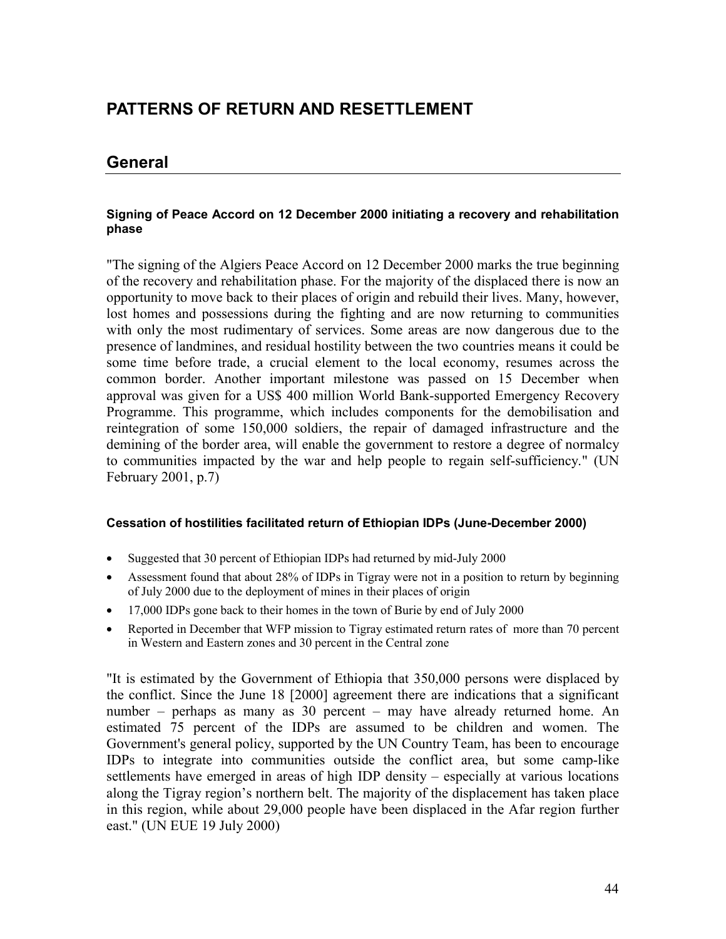# **PATTERNS OF RETURN AND RESETTLEMENT**

## **General**

#### **Signing of Peace Accord on 12 December 2000 initiating a recovery and rehabilitation phase**

"The signing of the Algiers Peace Accord on 12 December 2000 marks the true beginning of the recovery and rehabilitation phase. For the majority of the displaced there is now an opportunity to move back to their places of origin and rebuild their lives. Many, however, lost homes and possessions during the fighting and are now returning to communities with only the most rudimentary of services. Some areas are now dangerous due to the presence of landmines, and residual hostility between the two countries means it could be some time before trade, a crucial element to the local economy, resumes across the common border. Another important milestone was passed on 15 December when approval was given for a US\$ 400 million World Bank-supported Emergency Recovery Programme. This programme, which includes components for the demobilisation and reintegration of some 150,000 soldiers, the repair of damaged infrastructure and the demining of the border area, will enable the government to restore a degree of normalcy to communities impacted by the war and help people to regain self-sufficiency." (UN February 2001, p.7)

#### **Cessation of hostilities facilitated return of Ethiopian IDPs (June-December 2000)**

- Suggested that 30 percent of Ethiopian IDPs had returned by mid-July 2000
- Assessment found that about 28% of IDPs in Tigray were not in a position to return by beginning of July 2000 due to the deployment of mines in their places of origin
- 17,000 IDPs gone back to their homes in the town of Burie by end of July 2000
- Reported in December that WFP mission to Tigray estimated return rates of more than 70 percent in Western and Eastern zones and 30 percent in the Central zone

"It is estimated by the Government of Ethiopia that 350,000 persons were displaced by the conflict. Since the June 18 [2000] agreement there are indications that a significant number – perhaps as many as 30 percent – may have already returned home. An estimated 75 percent of the IDPs are assumed to be children and women. The Government's general policy, supported by the UN Country Team, has been to encourage IDPs to integrate into communities outside the conflict area, but some camp-like settlements have emerged in areas of high IDP density – especially at various locations along the Tigray region's northern belt. The majority of the displacement has taken place in this region, while about 29,000 people have been displaced in the Afar region further east." (UN EUE 19 July 2000)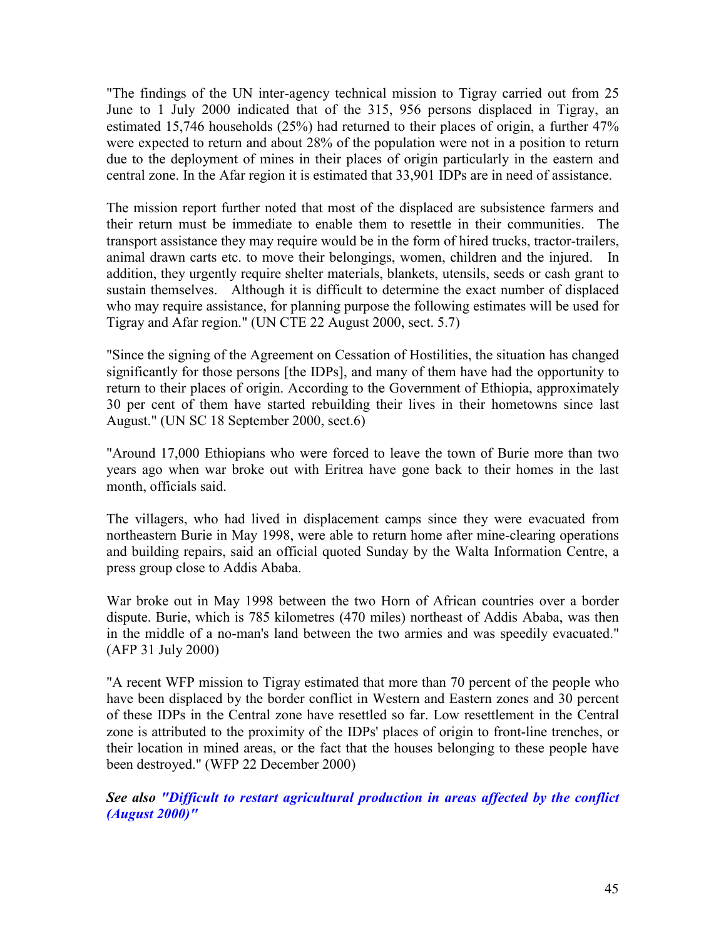"The findings of the UN inter-agency technical mission to Tigray carried out from 25 June to 1 July 2000 indicated that of the 315, 956 persons displaced in Tigray, an estimated 15,746 households (25%) had returned to their places of origin, a further 47% were expected to return and about 28% of the population were not in a position to return due to the deployment of mines in their places of origin particularly in the eastern and central zone. In the Afar region it is estimated that 33,901 IDPs are in need of assistance.

The mission report further noted that most of the displaced are subsistence farmers and their return must be immediate to enable them to resettle in their communities. The transport assistance they may require would be in the form of hired trucks, tractor-trailers, animal drawn carts etc. to move their belongings, women, children and the injured. In addition, they urgently require shelter materials, blankets, utensils, seeds or cash grant to sustain themselves. Although it is difficult to determine the exact number of displaced who may require assistance, for planning purpose the following estimates will be used for Tigray and Afar region." (UN CTE 22 August 2000, sect. 5.7)

"Since the signing of the Agreement on Cessation of Hostilities, the situation has changed significantly for those persons [the IDPs], and many of them have had the opportunity to return to their places of origin. According to the Government of Ethiopia, approximately 30 per cent of them have started rebuilding their lives in their hometowns since last August." (UN SC 18 September 2000, sect.6)

"Around 17,000 Ethiopians who were forced to leave the town of Burie more than two years ago when war broke out with Eritrea have gone back to their homes in the last month, officials said.

The villagers, who had lived in displacement camps since they were evacuated from northeastern Burie in May 1998, were able to return home after mine-clearing operations and building repairs, said an official quoted Sunday by the Walta Information Centre, a press group close to Addis Ababa.

War broke out in May 1998 between the two Horn of African countries over a border dispute. Burie, which is 785 kilometres (470 miles) northeast of Addis Ababa, was then in the middle of a no-man's land between the two armies and was speedily evacuated." (AFP 31 July 2000)

"A recent WFP mission to Tigray estimated that more than 70 percent of the people who have been displaced by the border conflict in Western and Eastern zones and 30 percent of these IDPs in the Central zone have resettled so far. Low resettlement in the Central zone is attributed to the proximity of the IDPs' places of origin to front-line trenches, or their location in mined areas, or the fact that the houses belonging to these people have been destroyed." (WFP 22 December 2000)

*See also "Difficult to restart agricultural production in areas affected by the conflict (August 2000)"*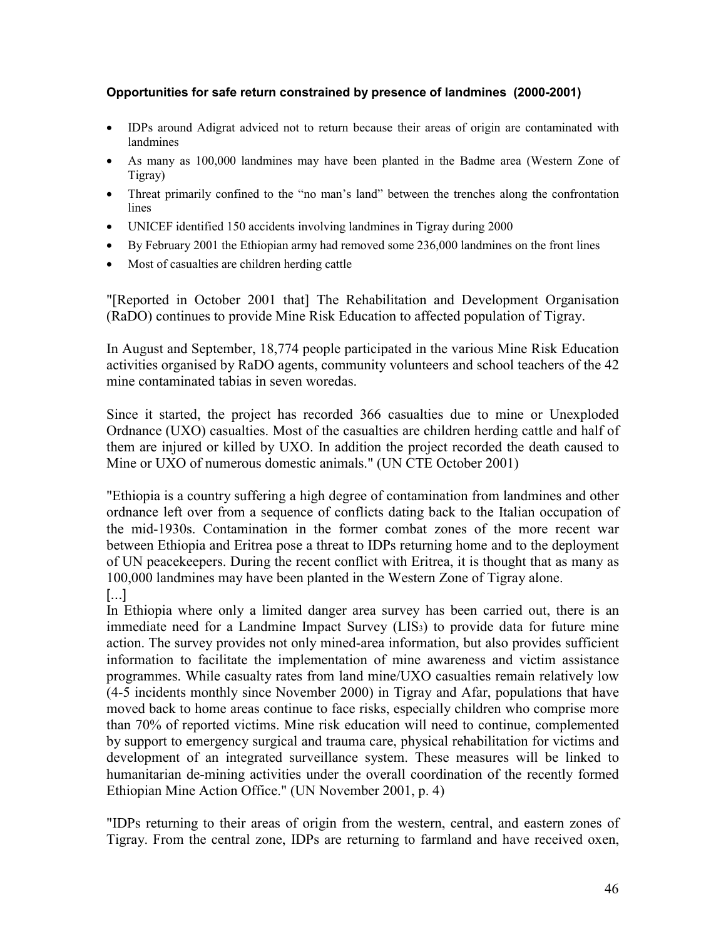#### **Opportunities for safe return constrained by presence of landmines (2000-2001)**

- IDPs around Adigrat adviced not to return because their areas of origin are contaminated with landmines
- As many as 100,000 landmines may have been planted in the Badme area (Western Zone of Tigray)
- Threat primarily confined to the "no man's land" between the trenches along the confrontation lines
- UNICEF identified 150 accidents involving landmines in Tigray during 2000
- By February 2001 the Ethiopian army had removed some 236,000 landmines on the front lines
- Most of casualties are children herding cattle

"[Reported in October 2001 that] The Rehabilitation and Development Organisation (RaDO) continues to provide Mine Risk Education to affected population of Tigray.

In August and September, 18,774 people participated in the various Mine Risk Education activities organised by RaDO agents, community volunteers and school teachers of the 42 mine contaminated tabias in seven woredas.

Since it started, the project has recorded 366 casualties due to mine or Unexploded Ordnance (UXO) casualties. Most of the casualties are children herding cattle and half of them are injured or killed by UXO. In addition the project recorded the death caused to Mine or UXO of numerous domestic animals." (UN CTE October 2001)

"Ethiopia is a country suffering a high degree of contamination from landmines and other ordnance left over from a sequence of conflicts dating back to the Italian occupation of the mid-1930s. Contamination in the former combat zones of the more recent war between Ethiopia and Eritrea pose a threat to IDPs returning home and to the deployment of UN peacekeepers. During the recent conflict with Eritrea, it is thought that as many as 100,000 landmines may have been planted in the Western Zone of Tigray alone.

[...]

In Ethiopia where only a limited danger area survey has been carried out, there is an immediate need for a Landmine Impact Survey (LIS3) to provide data for future mine action. The survey provides not only mined-area information, but also provides sufficient information to facilitate the implementation of mine awareness and victim assistance programmes. While casualty rates from land mine/UXO casualties remain relatively low (4-5 incidents monthly since November 2000) in Tigray and Afar, populations that have moved back to home areas continue to face risks, especially children who comprise more than 70% of reported victims. Mine risk education will need to continue, complemented by support to emergency surgical and trauma care, physical rehabilitation for victims and development of an integrated surveillance system. These measures will be linked to humanitarian de-mining activities under the overall coordination of the recently formed Ethiopian Mine Action Office." (UN November 2001, p. 4)

"IDPs returning to their areas of origin from the western, central, and eastern zones of Tigray. From the central zone, IDPs are returning to farmland and have received oxen,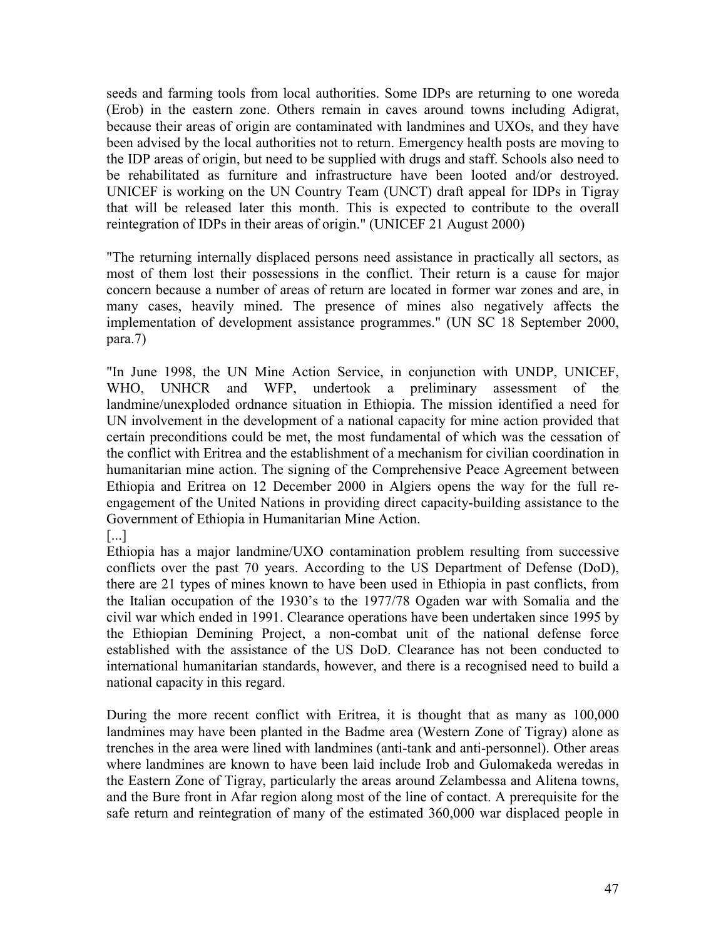seeds and farming tools from local authorities. Some IDPs are returning to one woreda (Erob) in the eastern zone. Others remain in caves around towns including Adigrat, because their areas of origin are contaminated with landmines and UXOs, and they have been advised by the local authorities not to return. Emergency health posts are moving to the IDP areas of origin, but need to be supplied with drugs and staff. Schools also need to be rehabilitated as furniture and infrastructure have been looted and/or destroyed. UNICEF is working on the UN Country Team (UNCT) draft appeal for IDPs in Tigray that will be released later this month. This is expected to contribute to the overall reintegration of IDPs in their areas of origin." (UNICEF 21 August 2000)

"The returning internally displaced persons need assistance in practically all sectors, as most of them lost their possessions in the conflict. Their return is a cause for major concern because a number of areas of return are located in former war zones and are, in many cases, heavily mined. The presence of mines also negatively affects the implementation of development assistance programmes." (UN SC 18 September 2000, para.7)

"In June 1998, the UN Mine Action Service, in conjunction with UNDP, UNICEF, WHO, UNHCR and WFP, undertook a preliminary assessment of the landmine/unexploded ordnance situation in Ethiopia. The mission identified a need for UN involvement in the development of a national capacity for mine action provided that certain preconditions could be met, the most fundamental of which was the cessation of the conflict with Eritrea and the establishment of a mechanism for civilian coordination in humanitarian mine action. The signing of the Comprehensive Peace Agreement between Ethiopia and Eritrea on 12 December 2000 in Algiers opens the way for the full reengagement of the United Nations in providing direct capacity-building assistance to the Government of Ethiopia in Humanitarian Mine Action.

[...]

Ethiopia has a major landmine/UXO contamination problem resulting from successive conflicts over the past 70 years. According to the US Department of Defense (DoD), there are 21 types of mines known to have been used in Ethiopia in past conflicts, from the Italian occupation of the 1930's to the 1977/78 Ogaden war with Somalia and the civil war which ended in 1991. Clearance operations have been undertaken since 1995 by the Ethiopian Demining Project, a non-combat unit of the national defense force established with the assistance of the US DoD. Clearance has not been conducted to international humanitarian standards, however, and there is a recognised need to build a national capacity in this regard.

During the more recent conflict with Eritrea, it is thought that as many as 100,000 landmines may have been planted in the Badme area (Western Zone of Tigray) alone as trenches in the area were lined with landmines (anti-tank and anti-personnel). Other areas where landmines are known to have been laid include Irob and Gulomakeda weredas in the Eastern Zone of Tigray, particularly the areas around Zelambessa and Alitena towns, and the Bure front in Afar region along most of the line of contact. A prerequisite for the safe return and reintegration of many of the estimated 360,000 war displaced people in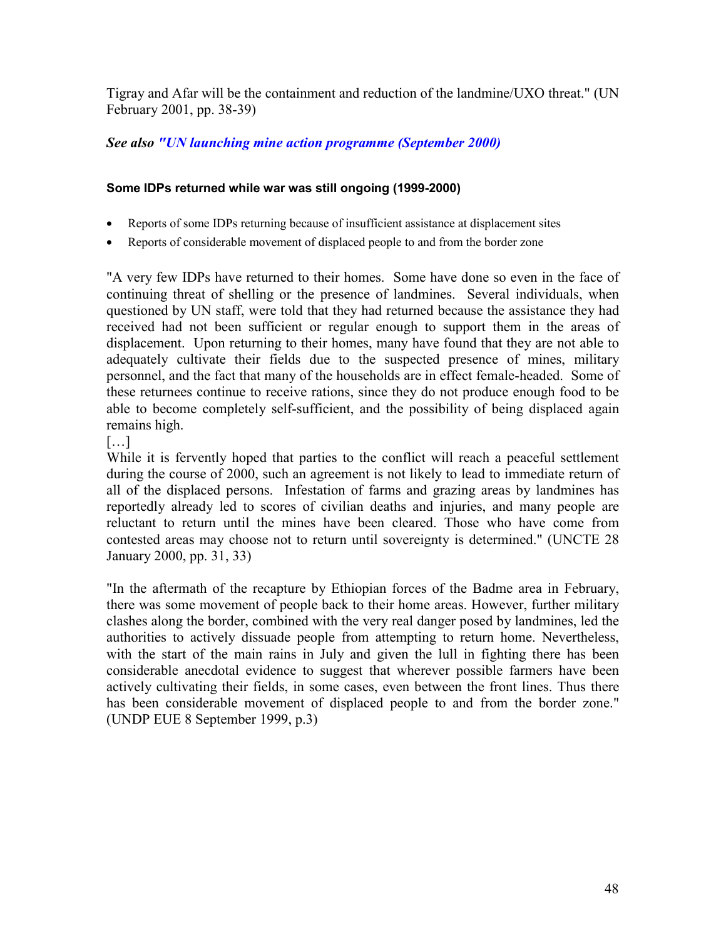Tigray and Afar will be the containment and reduction of the landmine/UXO threat." (UN February 2001, pp. 38-39)

## *See also "UN launching mine action programme (September 2000)*

### **Some IDPs returned while war was still ongoing (1999-2000)**

- Reports of some IDPs returning because of insufficient assistance at displacement sites
- Reports of considerable movement of displaced people to and from the border zone

"A very few IDPs have returned to their homes. Some have done so even in the face of continuing threat of shelling or the presence of landmines. Several individuals, when questioned by UN staff, were told that they had returned because the assistance they had received had not been sufficient or regular enough to support them in the areas of displacement. Upon returning to their homes, many have found that they are not able to adequately cultivate their fields due to the suspected presence of mines, military personnel, and the fact that many of the households are in effect female-headed. Some of these returnees continue to receive rations, since they do not produce enough food to be able to become completely self-sufficient, and the possibility of being displaced again remains high.

[…]

While it is fervently hoped that parties to the conflict will reach a peaceful settlement during the course of 2000, such an agreement is not likely to lead to immediate return of all of the displaced persons. Infestation of farms and grazing areas by landmines has reportedly already led to scores of civilian deaths and injuries, and many people are reluctant to return until the mines have been cleared. Those who have come from contested areas may choose not to return until sovereignty is determined." (UNCTE 28 January 2000, pp. 31, 33)

"In the aftermath of the recapture by Ethiopian forces of the Badme area in February, there was some movement of people back to their home areas. However, further military clashes along the border, combined with the very real danger posed by landmines, led the authorities to actively dissuade people from attempting to return home. Nevertheless, with the start of the main rains in July and given the lull in fighting there has been considerable anecdotal evidence to suggest that wherever possible farmers have been actively cultivating their fields, in some cases, even between the front lines. Thus there has been considerable movement of displaced people to and from the border zone." (UNDP EUE 8 September 1999, p.3)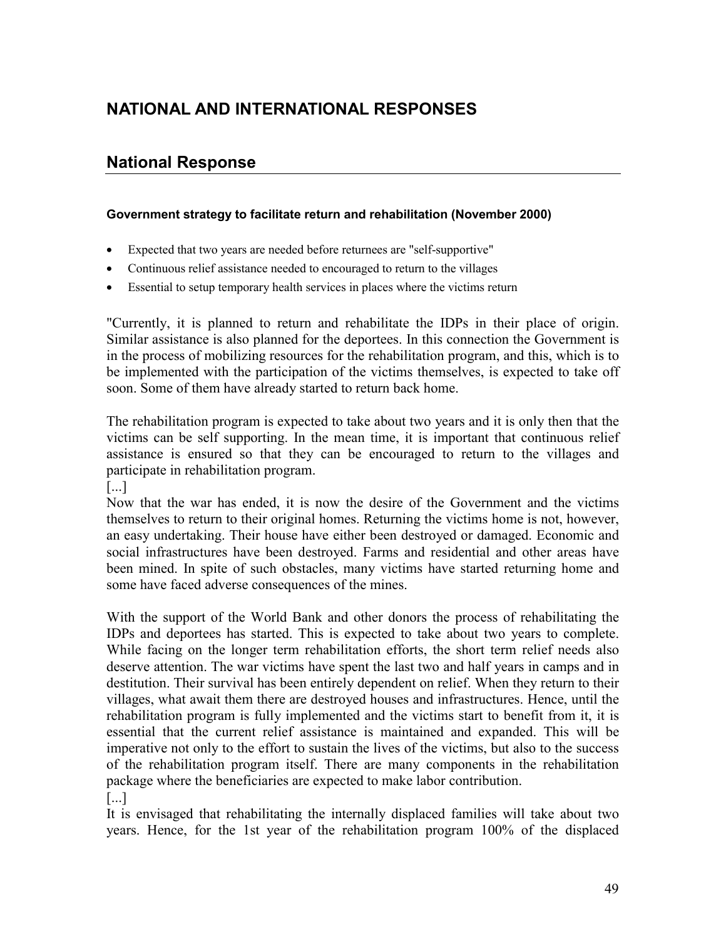# **NATIONAL AND INTERNATIONAL RESPONSES**

## **National Response**

#### **Government strategy to facilitate return and rehabilitation (November 2000)**

- Expected that two years are needed before returnees are "self-supportive"
- Continuous relief assistance needed to encouraged to return to the villages
- Essential to setup temporary health services in places where the victims return

"Currently, it is planned to return and rehabilitate the IDPs in their place of origin. Similar assistance is also planned for the deportees. In this connection the Government is in the process of mobilizing resources for the rehabilitation program, and this, which is to be implemented with the participation of the victims themselves, is expected to take off soon. Some of them have already started to return back home.

The rehabilitation program is expected to take about two years and it is only then that the victims can be self supporting. In the mean time, it is important that continuous relief assistance is ensured so that they can be encouraged to return to the villages and participate in rehabilitation program.

[...]

Now that the war has ended, it is now the desire of the Government and the victims themselves to return to their original homes. Returning the victims home is not, however, an easy undertaking. Their house have either been destroyed or damaged. Economic and social infrastructures have been destroyed. Farms and residential and other areas have been mined. In spite of such obstacles, many victims have started returning home and some have faced adverse consequences of the mines.

With the support of the World Bank and other donors the process of rehabilitating the IDPs and deportees has started. This is expected to take about two years to complete. While facing on the longer term rehabilitation efforts, the short term relief needs also deserve attention. The war victims have spent the last two and half years in camps and in destitution. Their survival has been entirely dependent on relief. When they return to their villages, what await them there are destroyed houses and infrastructures. Hence, until the rehabilitation program is fully implemented and the victims start to benefit from it, it is essential that the current relief assistance is maintained and expanded. This will be imperative not only to the effort to sustain the lives of the victims, but also to the success of the rehabilitation program itself. There are many components in the rehabilitation package where the beneficiaries are expected to make labor contribution.

[...]

It is envisaged that rehabilitating the internally displaced families will take about two years. Hence, for the 1st year of the rehabilitation program 100% of the displaced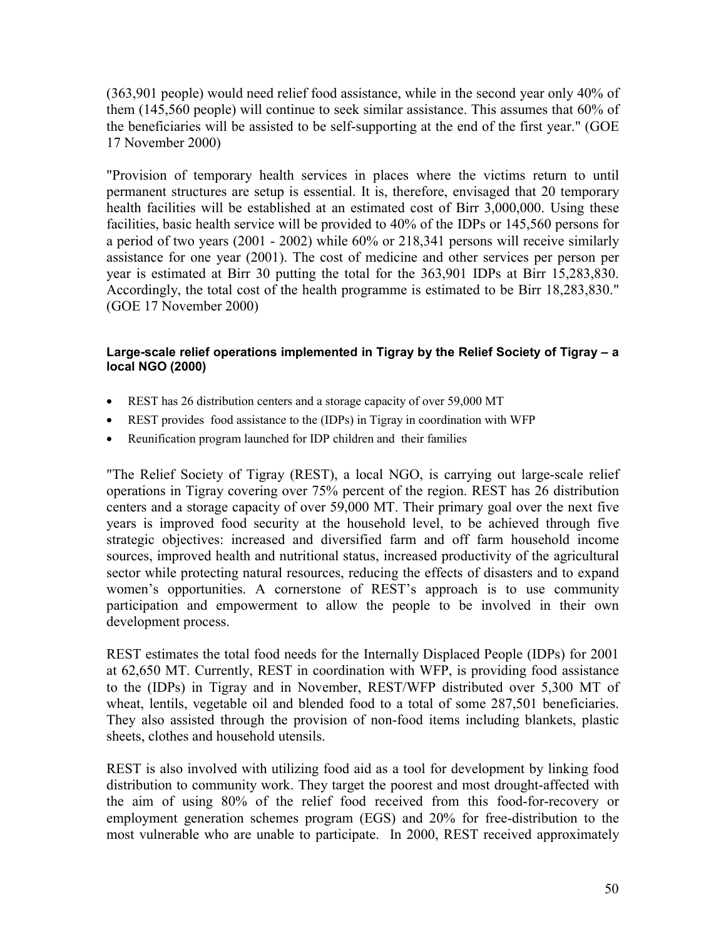(363,901 people) would need relief food assistance, while in the second year only 40% of them (145,560 people) will continue to seek similar assistance. This assumes that 60% of the beneficiaries will be assisted to be self-supporting at the end of the first year." (GOE 17 November 2000)

"Provision of temporary health services in places where the victims return to until permanent structures are setup is essential. It is, therefore, envisaged that 20 temporary health facilities will be established at an estimated cost of Birr 3,000,000. Using these facilities, basic health service will be provided to 40% of the IDPs or 145,560 persons for a period of two years (2001 - 2002) while 60% or 218,341 persons will receive similarly assistance for one year (2001). The cost of medicine and other services per person per year is estimated at Birr 30 putting the total for the 363,901 IDPs at Birr 15,283,830. Accordingly, the total cost of the health programme is estimated to be Birr 18,283,830." (GOE 17 November 2000)

#### **Large-scale relief operations implemented in Tigray by the Relief Society of Tigray – a local NGO (2000)**

- REST has 26 distribution centers and a storage capacity of over 59,000 MT
- REST provides food assistance to the (IDPs) in Tigray in coordination with WFP
- Reunification program launched for IDP children and their families

"The Relief Society of Tigray (REST), a local NGO, is carrying out large-scale relief operations in Tigray covering over 75% percent of the region. REST has 26 distribution centers and a storage capacity of over 59,000 MT. Their primary goal over the next five years is improved food security at the household level, to be achieved through five strategic objectives: increased and diversified farm and off farm household income sources, improved health and nutritional status, increased productivity of the agricultural sector while protecting natural resources, reducing the effects of disasters and to expand women's opportunities. A cornerstone of REST's approach is to use community participation and empowerment to allow the people to be involved in their own development process.

REST estimates the total food needs for the Internally Displaced People (IDPs) for 2001 at 62,650 MT. Currently, REST in coordination with WFP, is providing food assistance to the (IDPs) in Tigray and in November, REST/WFP distributed over 5,300 MT of wheat, lentils, vegetable oil and blended food to a total of some 287,501 beneficiaries. They also assisted through the provision of non-food items including blankets, plastic sheets, clothes and household utensils.

REST is also involved with utilizing food aid as a tool for development by linking food distribution to community work. They target the poorest and most drought-affected with the aim of using 80% of the relief food received from this food-for-recovery or employment generation schemes program (EGS) and 20% for free-distribution to the most vulnerable who are unable to participate. In 2000, REST received approximately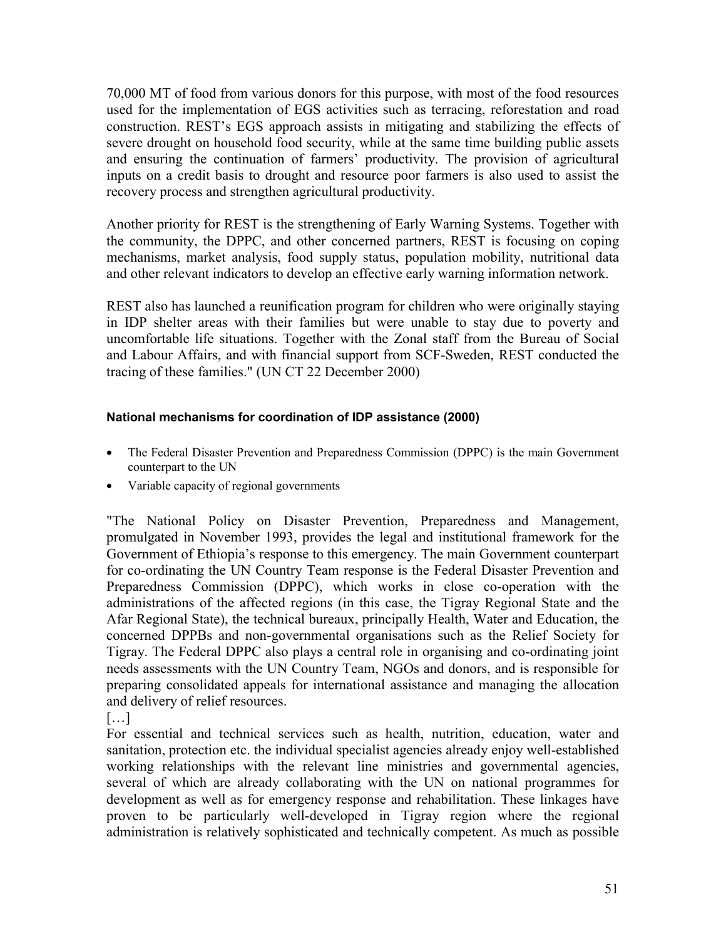70,000 MT of food from various donors for this purpose, with most of the food resources used for the implementation of EGS activities such as terracing, reforestation and road construction. REST's EGS approach assists in mitigating and stabilizing the effects of severe drought on household food security, while at the same time building public assets and ensuring the continuation of farmers' productivity. The provision of agricultural inputs on a credit basis to drought and resource poor farmers is also used to assist the recovery process and strengthen agricultural productivity.

Another priority for REST is the strengthening of Early Warning Systems. Together with the community, the DPPC, and other concerned partners, REST is focusing on coping mechanisms, market analysis, food supply status, population mobility, nutritional data and other relevant indicators to develop an effective early warning information network.

REST also has launched a reunification program for children who were originally staying in IDP shelter areas with their families but were unable to stay due to poverty and uncomfortable life situations. Together with the Zonal staff from the Bureau of Social and Labour Affairs, and with financial support from SCF-Sweden, REST conducted the tracing of these families." (UN CT 22 December 2000)

## **National mechanisms for coordination of IDP assistance (2000)**

- The Federal Disaster Prevention and Preparedness Commission (DPPC) is the main Government counterpart to the UN
- Variable capacity of regional governments

"The National Policy on Disaster Prevention, Preparedness and Management, promulgated in November 1993, provides the legal and institutional framework for the Government of Ethiopia's response to this emergency. The main Government counterpart for co-ordinating the UN Country Team response is the Federal Disaster Prevention and Preparedness Commission (DPPC), which works in close co-operation with the administrations of the affected regions (in this case, the Tigray Regional State and the Afar Regional State), the technical bureaux, principally Health, Water and Education, the concerned DPPBs and non-governmental organisations such as the Relief Society for Tigray. The Federal DPPC also plays a central role in organising and co-ordinating joint needs assessments with the UN Country Team, NGOs and donors, and is responsible for preparing consolidated appeals for international assistance and managing the allocation and delivery of relief resources.

[…]

For essential and technical services such as health, nutrition, education, water and sanitation, protection etc. the individual specialist agencies already enjoy well-established working relationships with the relevant line ministries and governmental agencies, several of which are already collaborating with the UN on national programmes for development as well as for emergency response and rehabilitation. These linkages have proven to be particularly well-developed in Tigray region where the regional administration is relatively sophisticated and technically competent. As much as possible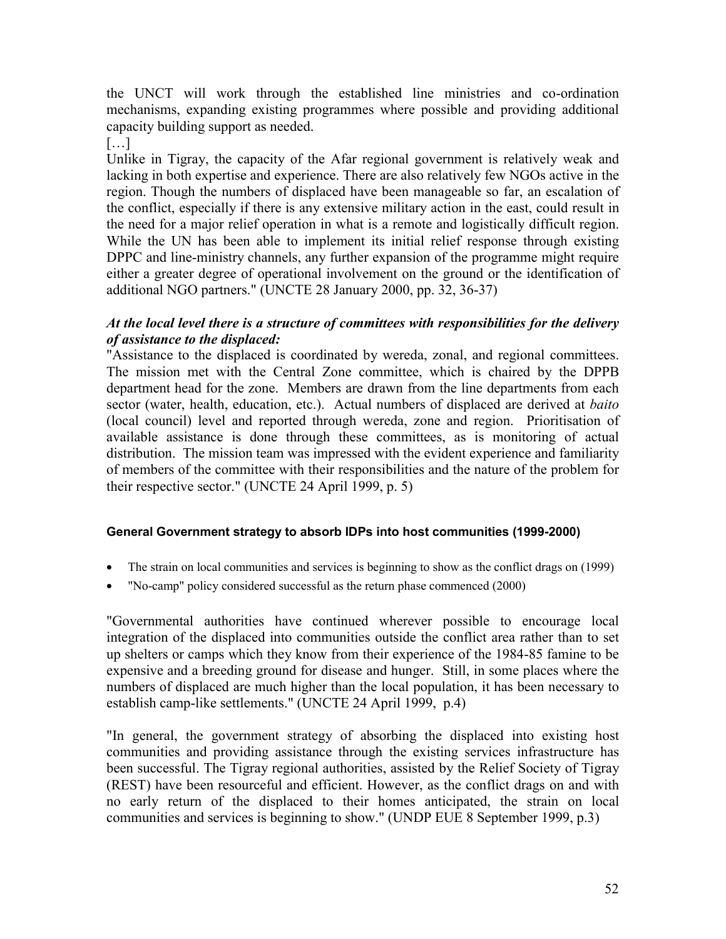the UNCT will work through the established line ministries and co-ordination mechanisms, expanding existing programmes where possible and providing additional capacity building support as needed.

[…]

Unlike in Tigray, the capacity of the Afar regional government is relatively weak and lacking in both expertise and experience. There are also relatively few NGOs active in the region. Though the numbers of displaced have been manageable so far, an escalation of the conflict, especially if there is any extensive military action in the east, could result in the need for a major relief operation in what is a remote and logistically difficult region. While the UN has been able to implement its initial relief response through existing DPPC and line-ministry channels, any further expansion of the programme might require either a greater degree of operational involvement on the ground or the identification of additional NGO partners." (UNCTE 28 January 2000, pp. 32, 36-37)

## *At the local level there is a structure of committees with responsibilities for the delivery of assistance to the displaced:*

"Assistance to the displaced is coordinated by wereda, zonal, and regional committees. The mission met with the Central Zone committee, which is chaired by the DPPB department head for the zone. Members are drawn from the line departments from each sector (water, health, education, etc.). Actual numbers of displaced are derived at *baito* (local council) level and reported through wereda, zone and region. Prioritisation of available assistance is done through these committees, as is monitoring of actual distribution. The mission team was impressed with the evident experience and familiarity of members of the committee with their responsibilities and the nature of the problem for their respective sector." (UNCTE 24 April 1999, p. 5)

## **General Government strategy to absorb IDPs into host communities (1999-2000)**

- The strain on local communities and services is beginning to show as the conflict drags on (1999)
- "No-camp" policy considered successful as the return phase commenced (2000)

"Governmental authorities have continued wherever possible to encourage local integration of the displaced into communities outside the conflict area rather than to set up shelters or camps which they know from their experience of the 1984-85 famine to be expensive and a breeding ground for disease and hunger. Still, in some places where the numbers of displaced are much higher than the local population, it has been necessary to establish camp-like settlements." (UNCTE 24 April 1999, p.4)

"In general, the government strategy of absorbing the displaced into existing host communities and providing assistance through the existing services infrastructure has been successful. The Tigray regional authorities, assisted by the Relief Society of Tigray (REST) have been resourceful and efficient. However, as the conflict drags on and with no early return of the displaced to their homes anticipated, the strain on local communities and services is beginning to show." (UNDP EUE 8 September 1999, p.3)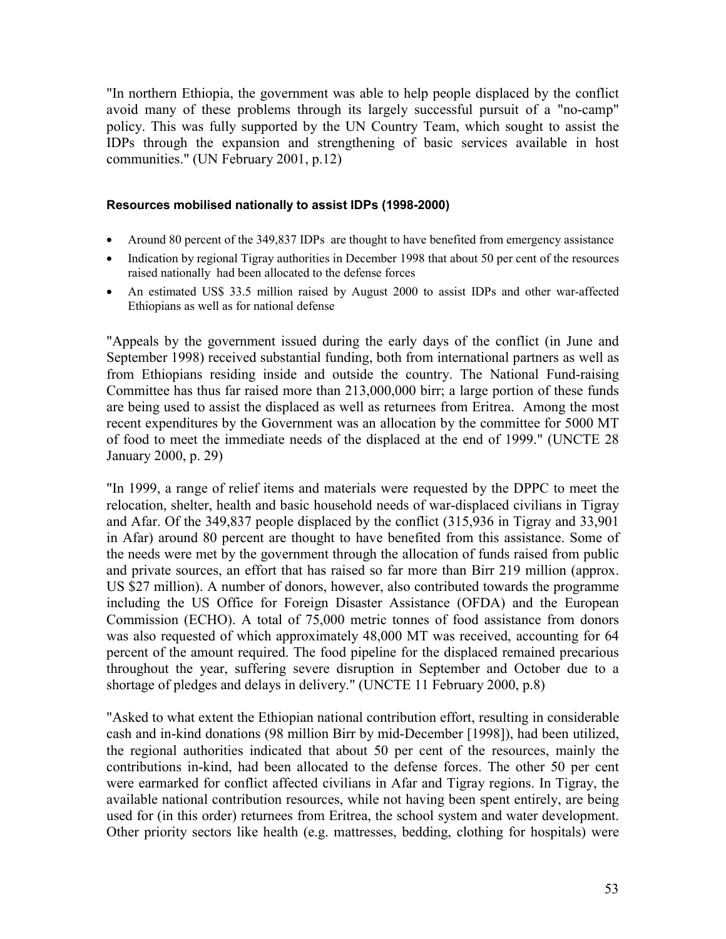"In northern Ethiopia, the government was able to help people displaced by the conflict avoid many of these problems through its largely successful pursuit of a "no-camp" policy. This was fully supported by the UN Country Team, which sought to assist the IDPs through the expansion and strengthening of basic services available in host communities." (UN February 2001, p.12)

#### **Resources mobilised nationally to assist IDPs (1998-2000)**

- Around 80 percent of the 349,837 IDPs are thought to have benefited from emergency assistance
- Indication by regional Tigray authorities in December 1998 that about 50 per cent of the resources raised nationally had been allocated to the defense forces
- An estimated US\$ 33.5 million raised by August 2000 to assist IDPs and other war-affected Ethiopians as well as for national defense

"Appeals by the government issued during the early days of the conflict (in June and September 1998) received substantial funding, both from international partners as well as from Ethiopians residing inside and outside the country. The National Fund-raising Committee has thus far raised more than 213,000,000 birr; a large portion of these funds are being used to assist the displaced as well as returnees from Eritrea. Among the most recent expenditures by the Government was an allocation by the committee for 5000 MT of food to meet the immediate needs of the displaced at the end of 1999." (UNCTE 28 January 2000, p. 29)

"In 1999, a range of relief items and materials were requested by the DPPC to meet the relocation, shelter, health and basic household needs of war-displaced civilians in Tigray and Afar. Of the 349,837 people displaced by the conflict (315,936 in Tigray and 33,901 in Afar) around 80 percent are thought to have benefited from this assistance. Some of the needs were met by the government through the allocation of funds raised from public and private sources, an effort that has raised so far more than Birr 219 million (approx. US \$27 million). A number of donors, however, also contributed towards the programme including the US Office for Foreign Disaster Assistance (OFDA) and the European Commission (ECHO). A total of 75,000 metric tonnes of food assistance from donors was also requested of which approximately 48,000 MT was received, accounting for 64 percent of the amount required. The food pipeline for the displaced remained precarious throughout the year, suffering severe disruption in September and October due to a shortage of pledges and delays in delivery." (UNCTE 11 February 2000, p.8)

"Asked to what extent the Ethiopian national contribution effort, resulting in considerable cash and in-kind donations (98 million Birr by mid-December [1998]), had been utilized, the regional authorities indicated that about 50 per cent of the resources, mainly the contributions in-kind, had been allocated to the defense forces. The other 50 per cent were earmarked for conflict affected civilians in Afar and Tigray regions. In Tigray, the available national contribution resources, while not having been spent entirely, are being used for (in this order) returnees from Eritrea, the school system and water development. Other priority sectors like health (e.g. mattresses, bedding, clothing for hospitals) were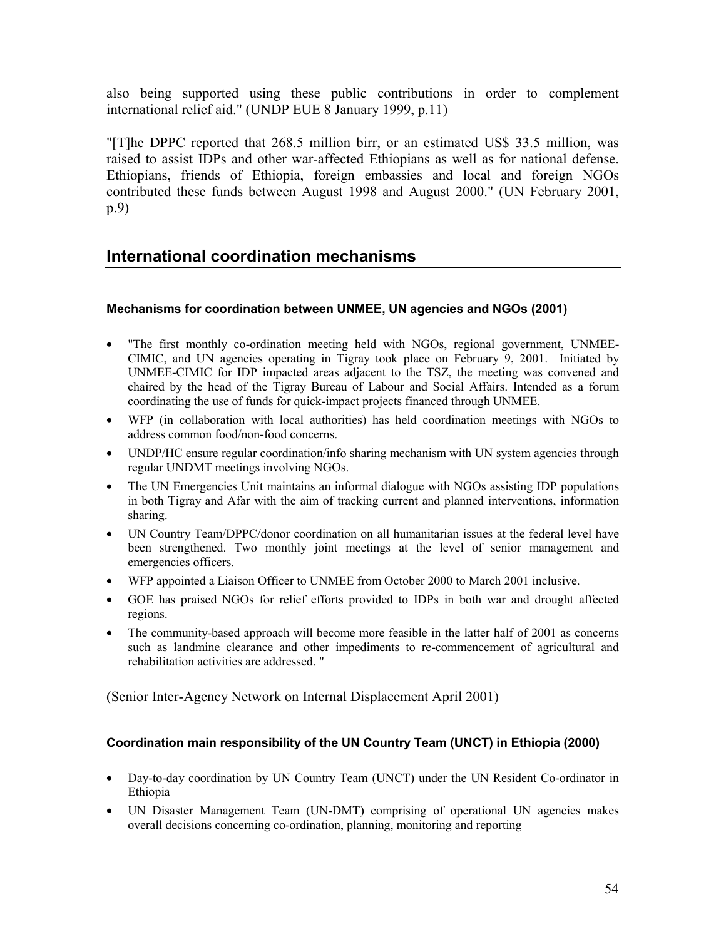also being supported using these public contributions in order to complement international relief aid." (UNDP EUE 8 January 1999, p.11)

"[T]he DPPC reported that 268.5 million birr, or an estimated US\$ 33.5 million, was raised to assist IDPs and other war-affected Ethiopians as well as for national defense. Ethiopians, friends of Ethiopia, foreign embassies and local and foreign NGOs contributed these funds between August 1998 and August 2000." (UN February 2001, p.9)

## **International coordination mechanisms**

### **Mechanisms for coordination between UNMEE, UN agencies and NGOs (2001)**

- "The first monthly co-ordination meeting held with NGOs, regional government, UNMEE-CIMIC, and UN agencies operating in Tigray took place on February 9, 2001. Initiated by UNMEE-CIMIC for IDP impacted areas adjacent to the TSZ, the meeting was convened and chaired by the head of the Tigray Bureau of Labour and Social Affairs. Intended as a forum coordinating the use of funds for quick-impact projects financed through UNMEE.
- WFP (in collaboration with local authorities) has held coordination meetings with NGOs to address common food/non-food concerns.
- UNDP/HC ensure regular coordination/info sharing mechanism with UN system agencies through regular UNDMT meetings involving NGOs.
- The UN Emergencies Unit maintains an informal dialogue with NGOs assisting IDP populations in both Tigray and Afar with the aim of tracking current and planned interventions, information sharing.
- UN Country Team/DPPC/donor coordination on all humanitarian issues at the federal level have been strengthened. Two monthly joint meetings at the level of senior management and emergencies officers.
- WFP appointed a Liaison Officer to UNMEE from October 2000 to March 2001 inclusive.
- GOE has praised NGOs for relief efforts provided to IDPs in both war and drought affected regions.
- The community-based approach will become more feasible in the latter half of 2001 as concerns such as landmine clearance and other impediments to re-commencement of agricultural and rehabilitation activities are addressed. "

(Senior Inter-Agency Network on Internal Displacement April 2001)

#### **Coordination main responsibility of the UN Country Team (UNCT) in Ethiopia (2000)**

- Day-to-day coordination by UN Country Team (UNCT) under the UN Resident Co-ordinator in Ethiopia
- UN Disaster Management Team (UN-DMT) comprising of operational UN agencies makes overall decisions concerning co-ordination, planning, monitoring and reporting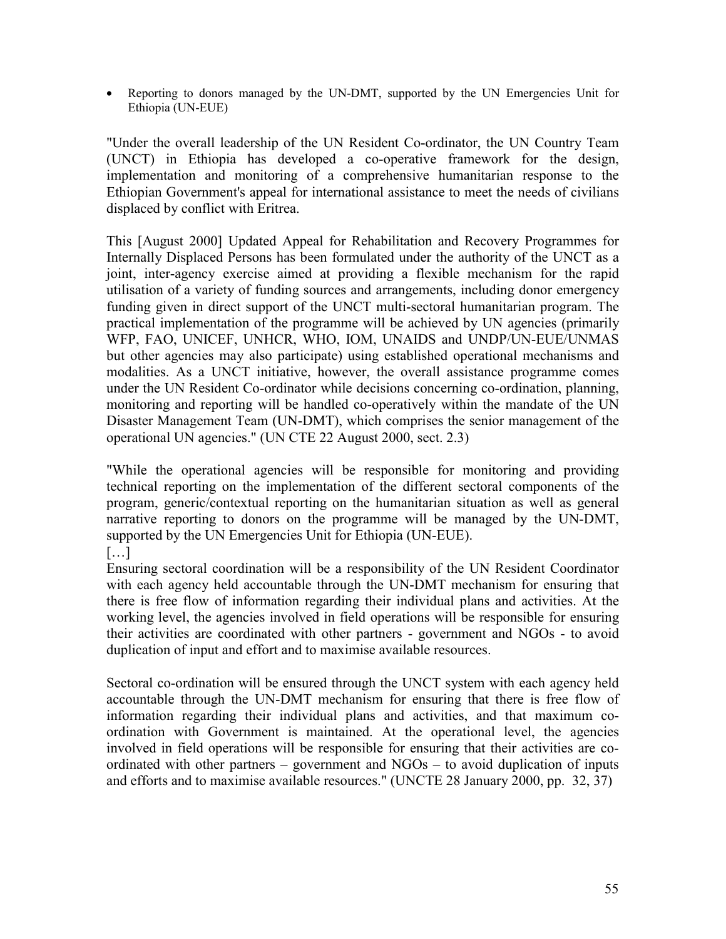Reporting to donors managed by the UN-DMT, supported by the UN Emergencies Unit for Ethiopia (UN-EUE)

"Under the overall leadership of the UN Resident Co-ordinator, the UN Country Team (UNCT) in Ethiopia has developed a co-operative framework for the design, implementation and monitoring of a comprehensive humanitarian response to the Ethiopian Government's appeal for international assistance to meet the needs of civilians displaced by conflict with Eritrea.

This [August 2000] Updated Appeal for Rehabilitation and Recovery Programmes for Internally Displaced Persons has been formulated under the authority of the UNCT as a joint, inter-agency exercise aimed at providing a flexible mechanism for the rapid utilisation of a variety of funding sources and arrangements, including donor emergency funding given in direct support of the UNCT multi-sectoral humanitarian program. The practical implementation of the programme will be achieved by UN agencies (primarily WFP, FAO, UNICEF, UNHCR, WHO, IOM, UNAIDS and UNDP/UN-EUE/UNMAS but other agencies may also participate) using established operational mechanisms and modalities. As a UNCT initiative, however, the overall assistance programme comes under the UN Resident Co-ordinator while decisions concerning co-ordination, planning, monitoring and reporting will be handled co-operatively within the mandate of the UN Disaster Management Team (UN-DMT), which comprises the senior management of the operational UN agencies." (UN CTE 22 August 2000, sect. 2.3)

"While the operational agencies will be responsible for monitoring and providing technical reporting on the implementation of the different sectoral components of the program, generic/contextual reporting on the humanitarian situation as well as general narrative reporting to donors on the programme will be managed by the UN-DMT, supported by the UN Emergencies Unit for Ethiopia (UN-EUE).

[…]

Ensuring sectoral coordination will be a responsibility of the UN Resident Coordinator with each agency held accountable through the UN-DMT mechanism for ensuring that there is free flow of information regarding their individual plans and activities. At the working level, the agencies involved in field operations will be responsible for ensuring their activities are coordinated with other partners - government and NGOs - to avoid duplication of input and effort and to maximise available resources.

Sectoral co-ordination will be ensured through the UNCT system with each agency held accountable through the UN-DMT mechanism for ensuring that there is free flow of information regarding their individual plans and activities, and that maximum coordination with Government is maintained. At the operational level, the agencies involved in field operations will be responsible for ensuring that their activities are coordinated with other partners – government and NGOs – to avoid duplication of inputs and efforts and to maximise available resources." (UNCTE 28 January 2000, pp. 32, 37)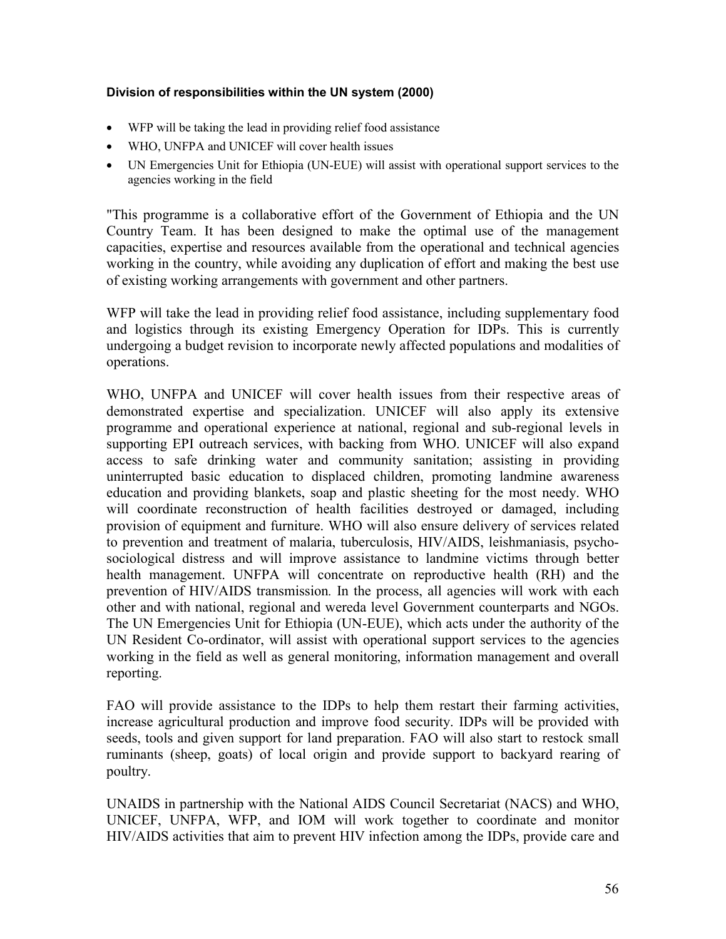#### **Division of responsibilities within the UN system (2000)**

- WFP will be taking the lead in providing relief food assistance
- WHO, UNFPA and UNICEF will cover health issues
- UN Emergencies Unit for Ethiopia (UN-EUE) will assist with operational support services to the agencies working in the field

"This programme is a collaborative effort of the Government of Ethiopia and the UN Country Team. It has been designed to make the optimal use of the management capacities, expertise and resources available from the operational and technical agencies working in the country, while avoiding any duplication of effort and making the best use of existing working arrangements with government and other partners.

WFP will take the lead in providing relief food assistance, including supplementary food and logistics through its existing Emergency Operation for IDPs. This is currently undergoing a budget revision to incorporate newly affected populations and modalities of operations.

WHO, UNFPA and UNICEF will cover health issues from their respective areas of demonstrated expertise and specialization. UNICEF will also apply its extensive programme and operational experience at national, regional and sub-regional levels in supporting EPI outreach services, with backing from WHO. UNICEF will also expand access to safe drinking water and community sanitation; assisting in providing uninterrupted basic education to displaced children, promoting landmine awareness education and providing blankets, soap and plastic sheeting for the most needy. WHO will coordinate reconstruction of health facilities destroyed or damaged, including provision of equipment and furniture. WHO will also ensure delivery of services related to prevention and treatment of malaria, tuberculosis, HIV/AIDS, leishmaniasis, psychosociological distress and will improve assistance to landmine victims through better health management. UNFPA will concentrate on reproductive health (RH) and the prevention of HIV/AIDS transmission*.* In the process, all agencies will work with each other and with national, regional and wereda level Government counterparts and NGOs. The UN Emergencies Unit for Ethiopia (UN-EUE), which acts under the authority of the UN Resident Co-ordinator, will assist with operational support services to the agencies working in the field as well as general monitoring, information management and overall reporting.

FAO will provide assistance to the IDPs to help them restart their farming activities, increase agricultural production and improve food security. IDPs will be provided with seeds, tools and given support for land preparation. FAO will also start to restock small ruminants (sheep, goats) of local origin and provide support to backyard rearing of poultry.

UNAIDS in partnership with the National AIDS Council Secretariat (NACS) and WHO, UNICEF, UNFPA, WFP, and IOM will work together to coordinate and monitor HIV/AIDS activities that aim to prevent HIV infection among the IDPs, provide care and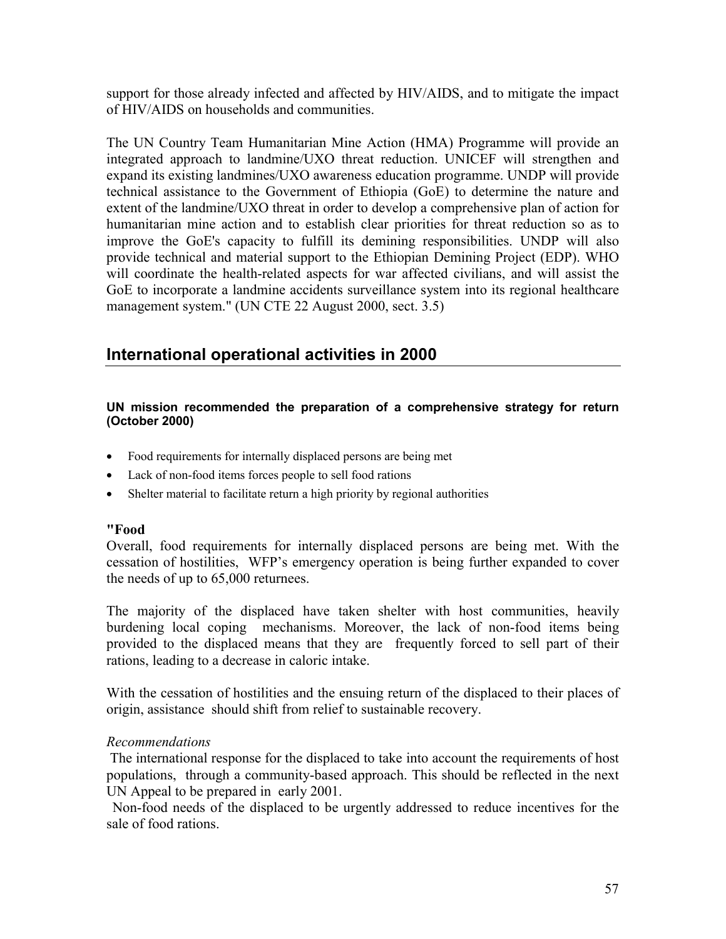support for those already infected and affected by HIV/AIDS, and to mitigate the impact of HIV/AIDS on households and communities.

The UN Country Team Humanitarian Mine Action (HMA) Programme will provide an integrated approach to landmine/UXO threat reduction. UNICEF will strengthen and expand its existing landmines/UXO awareness education programme. UNDP will provide technical assistance to the Government of Ethiopia (GoE) to determine the nature and extent of the landmine/UXO threat in order to develop a comprehensive plan of action for humanitarian mine action and to establish clear priorities for threat reduction so as to improve the GoE's capacity to fulfill its demining responsibilities. UNDP will also provide technical and material support to the Ethiopian Demining Project (EDP). WHO will coordinate the health-related aspects for war affected civilians, and will assist the GoE to incorporate a landmine accidents surveillance system into its regional healthcare management system." (UN CTE 22 August 2000, sect. 3.5)

## **International operational activities in 2000**

#### **UN mission recommended the preparation of a comprehensive strategy for return (October 2000)**

- Food requirements for internally displaced persons are being met
- Lack of non-food items forces people to sell food rations
- Shelter material to facilitate return a high priority by regional authorities

#### **"Food**

Overall, food requirements for internally displaced persons are being met. With the cessation of hostilities, WFP's emergency operation is being further expanded to cover the needs of up to 65,000 returnees.

The majority of the displaced have taken shelter with host communities, heavily burdening local coping mechanisms. Moreover, the lack of non-food items being provided to the displaced means that they are frequently forced to sell part of their rations, leading to a decrease in caloric intake.

With the cessation of hostilities and the ensuing return of the displaced to their places of origin, assistance should shift from relief to sustainable recovery.

#### *Recommendations*

The international response for the displaced to take into account the requirements of host populations, through a community-based approach. This should be reflected in the next UN Appeal to be prepared in early 2001.

Non-food needs of the displaced to be urgently addressed to reduce incentives for the sale of food rations.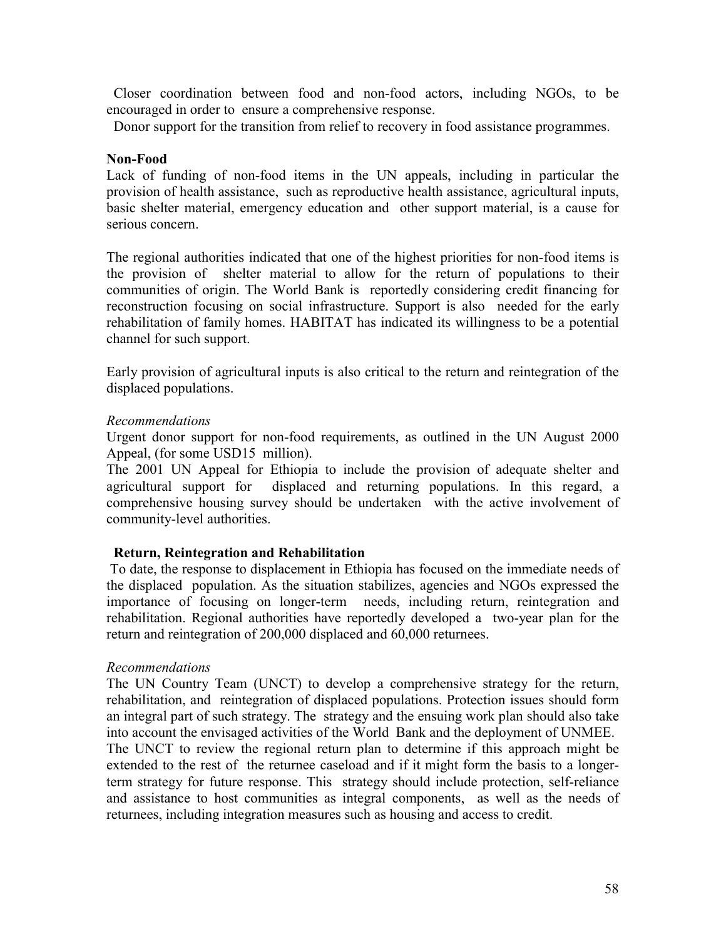Closer coordination between food and non-food actors, including NGOs, to be encouraged in order to ensure a comprehensive response.

Donor support for the transition from relief to recovery in food assistance programmes.

#### **Non-Food**

Lack of funding of non-food items in the UN appeals, including in particular the provision of health assistance, such as reproductive health assistance, agricultural inputs, basic shelter material, emergency education and other support material, is a cause for serious concern.

The regional authorities indicated that one of the highest priorities for non-food items is the provision of shelter material to allow for the return of populations to their communities of origin. The World Bank is reportedly considering credit financing for reconstruction focusing on social infrastructure. Support is also needed for the early rehabilitation of family homes. HABITAT has indicated its willingness to be a potential channel for such support.

Early provision of agricultural inputs is also critical to the return and reintegration of the displaced populations.

#### *Recommendations*

Urgent donor support for non-food requirements, as outlined in the UN August 2000 Appeal, (for some USD15 million).

The 2001 UN Appeal for Ethiopia to include the provision of adequate shelter and agricultural support for displaced and returning populations. In this regard, a comprehensive housing survey should be undertaken with the active involvement of community-level authorities.

#### **Return, Reintegration and Rehabilitation**

To date, the response to displacement in Ethiopia has focused on the immediate needs of the displaced population. As the situation stabilizes, agencies and NGOs expressed the importance of focusing on longer-term needs, including return, reintegration and rehabilitation. Regional authorities have reportedly developed a two-year plan for the return and reintegration of 200,000 displaced and 60,000 returnees.

#### *Recommendations*

The UN Country Team (UNCT) to develop a comprehensive strategy for the return, rehabilitation, and reintegration of displaced populations. Protection issues should form an integral part of such strategy. The strategy and the ensuing work plan should also take into account the envisaged activities of the World Bank and the deployment of UNMEE. The UNCT to review the regional return plan to determine if this approach might be extended to the rest of the returnee caseload and if it might form the basis to a longerterm strategy for future response. This strategy should include protection, self-reliance and assistance to host communities as integral components, as well as the needs of returnees, including integration measures such as housing and access to credit.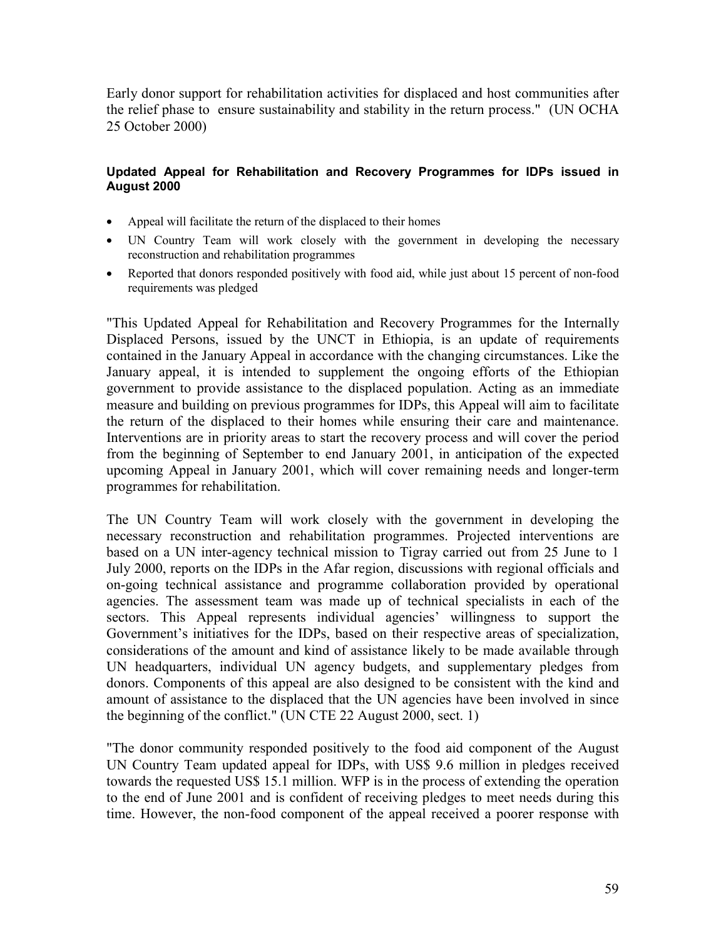Early donor support for rehabilitation activities for displaced and host communities after the relief phase to ensure sustainability and stability in the return process." (UN OCHA 25 October 2000)

#### **Updated Appeal for Rehabilitation and Recovery Programmes for IDPs issued in August 2000**

- Appeal will facilitate the return of the displaced to their homes
- UN Country Team will work closely with the government in developing the necessary reconstruction and rehabilitation programmes
- Reported that donors responded positively with food aid, while just about 15 percent of non-food requirements was pledged

"This Updated Appeal for Rehabilitation and Recovery Programmes for the Internally Displaced Persons, issued by the UNCT in Ethiopia, is an update of requirements contained in the January Appeal in accordance with the changing circumstances. Like the January appeal, it is intended to supplement the ongoing efforts of the Ethiopian government to provide assistance to the displaced population. Acting as an immediate measure and building on previous programmes for IDPs, this Appeal will aim to facilitate the return of the displaced to their homes while ensuring their care and maintenance. Interventions are in priority areas to start the recovery process and will cover the period from the beginning of September to end January 2001, in anticipation of the expected upcoming Appeal in January 2001, which will cover remaining needs and longer-term programmes for rehabilitation.

The UN Country Team will work closely with the government in developing the necessary reconstruction and rehabilitation programmes. Projected interventions are based on a UN inter-agency technical mission to Tigray carried out from 25 June to 1 July 2000, reports on the IDPs in the Afar region, discussions with regional officials and on-going technical assistance and programme collaboration provided by operational agencies. The assessment team was made up of technical specialists in each of the sectors. This Appeal represents individual agencies' willingness to support the Government's initiatives for the IDPs, based on their respective areas of specialization, considerations of the amount and kind of assistance likely to be made available through UN headquarters, individual UN agency budgets, and supplementary pledges from donors. Components of this appeal are also designed to be consistent with the kind and amount of assistance to the displaced that the UN agencies have been involved in since the beginning of the conflict." (UN CTE 22 August 2000, sect. 1)

"The donor community responded positively to the food aid component of the August UN Country Team updated appeal for IDPs, with US\$ 9.6 million in pledges received towards the requested US\$ 15.1 million. WFP is in the process of extending the operation to the end of June 2001 and is confident of receiving pledges to meet needs during this time. However, the non-food component of the appeal received a poorer response with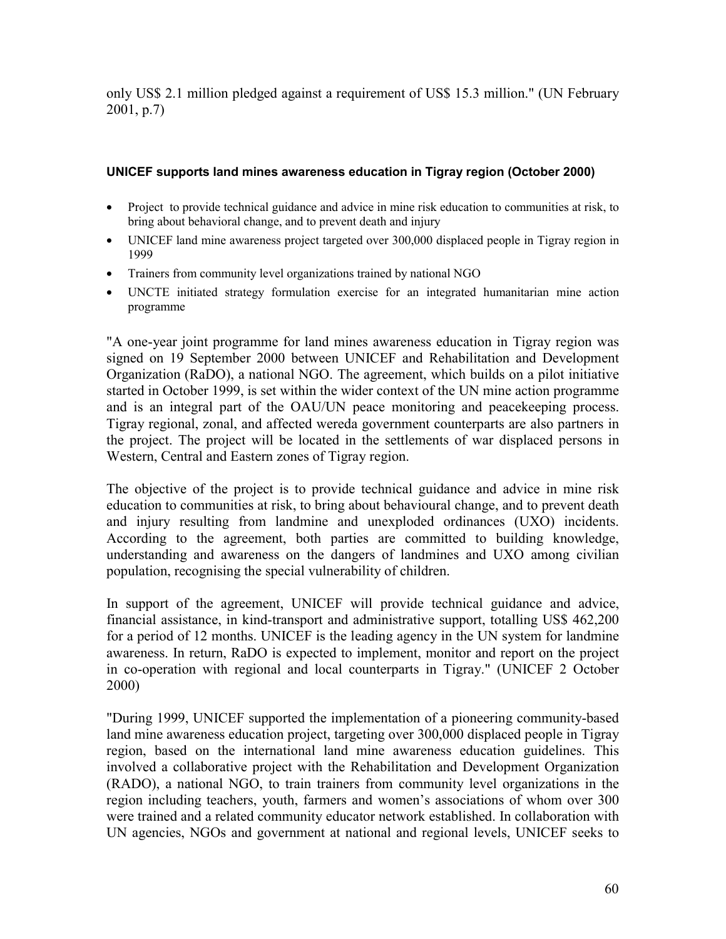only US\$ 2.1 million pledged against a requirement of US\$ 15.3 million." (UN February 2001, p.7)

### **UNICEF supports land mines awareness education in Tigray region (October 2000)**

- Project to provide technical guidance and advice in mine risk education to communities at risk, to bring about behavioral change, and to prevent death and injury
- UNICEF land mine awareness project targeted over 300,000 displaced people in Tigray region in 1999
- Trainers from community level organizations trained by national NGO
- UNCTE initiated strategy formulation exercise for an integrated humanitarian mine action programme

"A one-year joint programme for land mines awareness education in Tigray region was signed on 19 September 2000 between UNICEF and Rehabilitation and Development Organization (RaDO), a national NGO. The agreement, which builds on a pilot initiative started in October 1999, is set within the wider context of the UN mine action programme and is an integral part of the OAU/UN peace monitoring and peacekeeping process. Tigray regional, zonal, and affected wereda government counterparts are also partners in the project. The project will be located in the settlements of war displaced persons in Western, Central and Eastern zones of Tigray region.

The objective of the project is to provide technical guidance and advice in mine risk education to communities at risk, to bring about behavioural change, and to prevent death and injury resulting from landmine and unexploded ordinances (UXO) incidents. According to the agreement, both parties are committed to building knowledge, understanding and awareness on the dangers of landmines and UXO among civilian population, recognising the special vulnerability of children.

In support of the agreement, UNICEF will provide technical guidance and advice, financial assistance, in kind-transport and administrative support, totalling US\$ 462,200 for a period of 12 months. UNICEF is the leading agency in the UN system for landmine awareness. In return, RaDO is expected to implement, monitor and report on the project in co-operation with regional and local counterparts in Tigray." (UNICEF 2 October 2000)

"During 1999, UNICEF supported the implementation of a pioneering community-based land mine awareness education project, targeting over 300,000 displaced people in Tigray region, based on the international land mine awareness education guidelines. This involved a collaborative project with the Rehabilitation and Development Organization (RADO), a national NGO, to train trainers from community level organizations in the region including teachers, youth, farmers and women's associations of whom over 300 were trained and a related community educator network established. In collaboration with UN agencies, NGOs and government at national and regional levels, UNICEF seeks to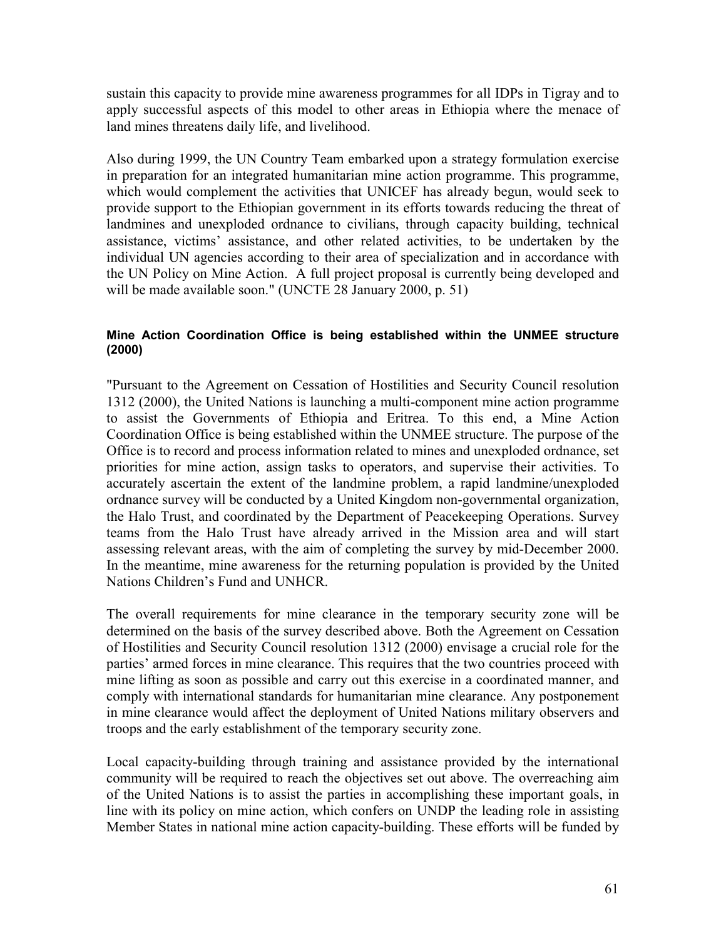sustain this capacity to provide mine awareness programmes for all IDPs in Tigray and to apply successful aspects of this model to other areas in Ethiopia where the menace of land mines threatens daily life, and livelihood.

Also during 1999, the UN Country Team embarked upon a strategy formulation exercise in preparation for an integrated humanitarian mine action programme. This programme, which would complement the activities that UNICEF has already begun, would seek to provide support to the Ethiopian government in its efforts towards reducing the threat of landmines and unexploded ordnance to civilians, through capacity building, technical assistance, victims' assistance, and other related activities, to be undertaken by the individual UN agencies according to their area of specialization and in accordance with the UN Policy on Mine Action. A full project proposal is currently being developed and will be made available soon." (UNCTE 28 January 2000, p. 51)

#### **Mine Action Coordination Office is being established within the UNMEE structure (2000)**

"Pursuant to the Agreement on Cessation of Hostilities and Security Council resolution 1312 (2000), the United Nations is launching a multi-component mine action programme to assist the Governments of Ethiopia and Eritrea. To this end, a Mine Action Coordination Office is being established within the UNMEE structure. The purpose of the Office is to record and process information related to mines and unexploded ordnance, set priorities for mine action, assign tasks to operators, and supervise their activities. To accurately ascertain the extent of the landmine problem, a rapid landmine/unexploded ordnance survey will be conducted by a United Kingdom non-governmental organization, the Halo Trust, and coordinated by the Department of Peacekeeping Operations. Survey teams from the Halo Trust have already arrived in the Mission area and will start assessing relevant areas, with the aim of completing the survey by mid-December 2000. In the meantime, mine awareness for the returning population is provided by the United Nations Children's Fund and UNHCR.

The overall requirements for mine clearance in the temporary security zone will be determined on the basis of the survey described above. Both the Agreement on Cessation of Hostilities and Security Council resolution 1312 (2000) envisage a crucial role for the parties' armed forces in mine clearance. This requires that the two countries proceed with mine lifting as soon as possible and carry out this exercise in a coordinated manner, and comply with international standards for humanitarian mine clearance. Any postponement in mine clearance would affect the deployment of United Nations military observers and troops and the early establishment of the temporary security zone.

Local capacity-building through training and assistance provided by the international community will be required to reach the objectives set out above. The overreaching aim of the United Nations is to assist the parties in accomplishing these important goals, in line with its policy on mine action, which confers on UNDP the leading role in assisting Member States in national mine action capacity-building. These efforts will be funded by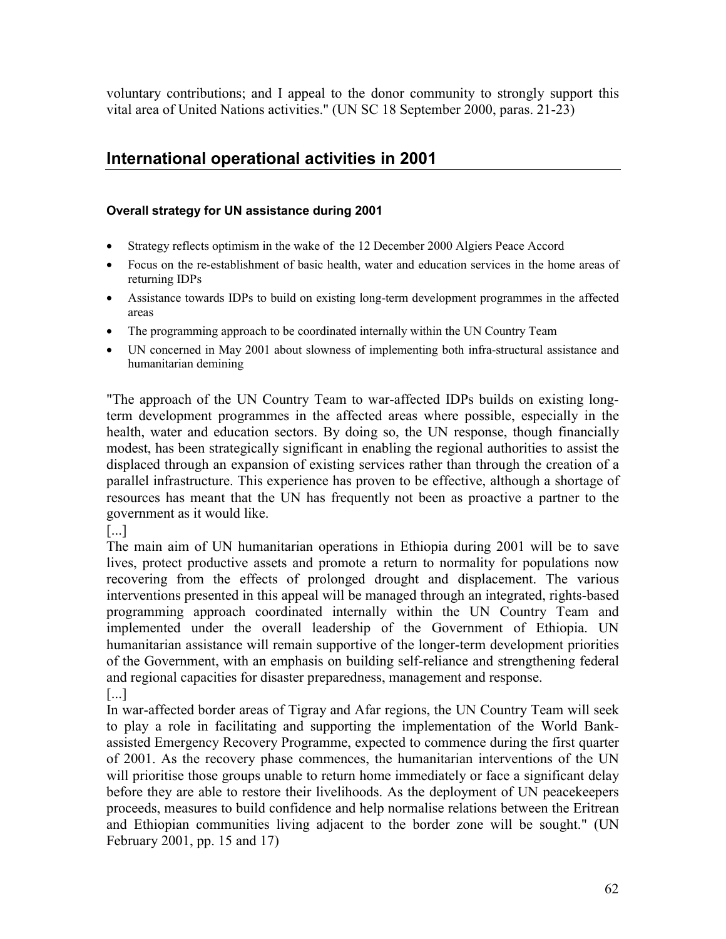voluntary contributions; and I appeal to the donor community to strongly support this vital area of United Nations activities." (UN SC 18 September 2000, paras. 21-23)

# **International operational activities in 2001**

## **Overall strategy for UN assistance during 2001**

- Strategy reflects optimism in the wake of the 12 December 2000 Algiers Peace Accord
- Focus on the re-establishment of basic health, water and education services in the home areas of returning IDPs
- Assistance towards IDPs to build on existing long-term development programmes in the affected areas
- The programming approach to be coordinated internally within the UN Country Team
- UN concerned in May 2001 about slowness of implementing both infra-structural assistance and humanitarian demining

"The approach of the UN Country Team to war-affected IDPs builds on existing longterm development programmes in the affected areas where possible, especially in the health, water and education sectors. By doing so, the UN response, though financially modest, has been strategically significant in enabling the regional authorities to assist the displaced through an expansion of existing services rather than through the creation of a parallel infrastructure. This experience has proven to be effective, although a shortage of resources has meant that the UN has frequently not been as proactive a partner to the government as it would like.

[...]

The main aim of UN humanitarian operations in Ethiopia during 2001 will be to save lives, protect productive assets and promote a return to normality for populations now recovering from the effects of prolonged drought and displacement. The various interventions presented in this appeal will be managed through an integrated, rights-based programming approach coordinated internally within the UN Country Team and implemented under the overall leadership of the Government of Ethiopia. UN humanitarian assistance will remain supportive of the longer-term development priorities of the Government, with an emphasis on building self-reliance and strengthening federal and regional capacities for disaster preparedness, management and response.

[...]

In war-affected border areas of Tigray and Afar regions, the UN Country Team will seek to play a role in facilitating and supporting the implementation of the World Bankassisted Emergency Recovery Programme, expected to commence during the first quarter of 2001. As the recovery phase commences, the humanitarian interventions of the UN will prioritise those groups unable to return home immediately or face a significant delay before they are able to restore their livelihoods. As the deployment of UN peacekeepers proceeds, measures to build confidence and help normalise relations between the Eritrean and Ethiopian communities living adjacent to the border zone will be sought." (UN February 2001, pp. 15 and 17)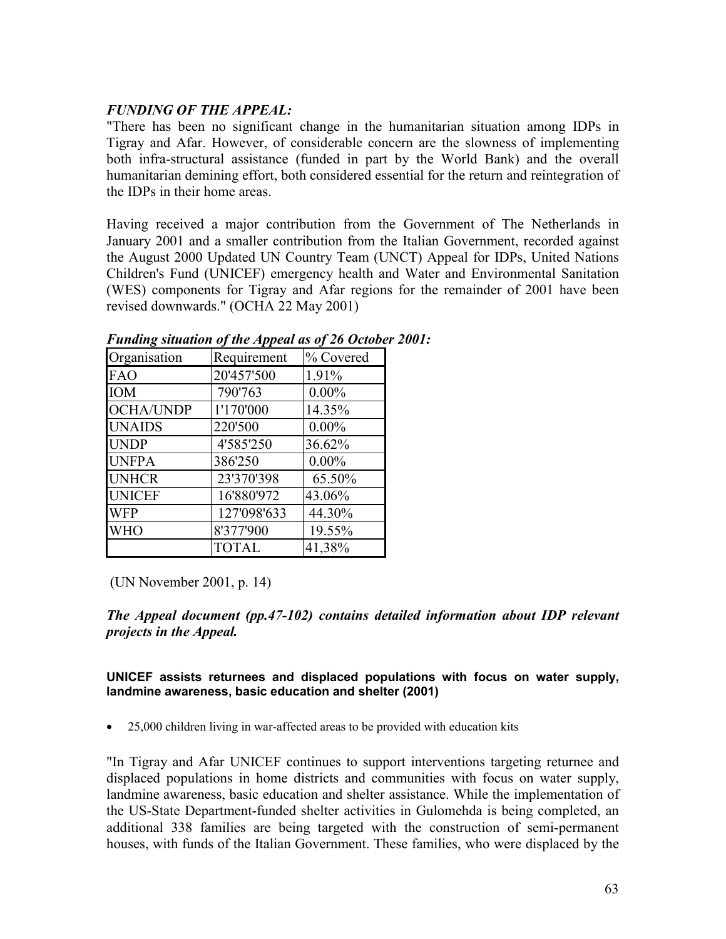### *FUNDING OF THE APPEAL:*

"There has been no significant change in the humanitarian situation among IDPs in Tigray and Afar. However, of considerable concern are the slowness of implementing both infra-structural assistance (funded in part by the World Bank) and the overall humanitarian demining effort, both considered essential for the return and reintegration of the IDPs in their home areas.

Having received a major contribution from the Government of The Netherlands in January 2001 and a smaller contribution from the Italian Government, recorded against the August 2000 Updated UN Country Team (UNCT) Appeal for IDPs, United Nations Children's Fund (UNICEF) emergency health and Water and Environmental Sanitation (WES) components for Tigray and Afar regions for the remainder of 2001 have been revised downwards." (OCHA 22 May 2001)

| Organisation     | Requirement  | % Covered |
|------------------|--------------|-----------|
| <b>FAO</b>       | 20'457'500   | 1.91%     |
| <b>IOM</b>       | 790'763      | $0.00\%$  |
| <b>OCHA/UNDP</b> | 1'170'000    | 14.35%    |
| <b>UNAIDS</b>    | 220'500      | $0.00\%$  |
| <b>UNDP</b>      | 4'585'250    | 36.62%    |
| <b>UNFPA</b>     | 386'250      | $0.00\%$  |
| <b>UNHCR</b>     | 23'370'398   | 65.50%    |
| <b>UNICEF</b>    | 16'880'972   | 43.06%    |
| <b>WFP</b>       | 127'098'633  | 44.30%    |
| WHO              | 8'377'900    | 19.55%    |
|                  | <b>TOTAL</b> | 41,38%    |

#### *Funding situation of the Appeal as of 26 October 2001:*

(UN November 2001, p. 14)

*The Appeal document (pp.47-102) contains detailed information about IDP relevant projects in the Appeal.*

**UNICEF assists returnees and displaced populations with focus on water supply, landmine awareness, basic education and shelter (2001)**

25,000 children living in war-affected areas to be provided with education kits

"In Tigray and Afar UNICEF continues to support interventions targeting returnee and displaced populations in home districts and communities with focus on water supply, landmine awareness, basic education and shelter assistance. While the implementation of the US-State Department-funded shelter activities in Gulomehda is being completed, an additional 338 families are being targeted with the construction of semi-permanent houses, with funds of the Italian Government. These families, who were displaced by the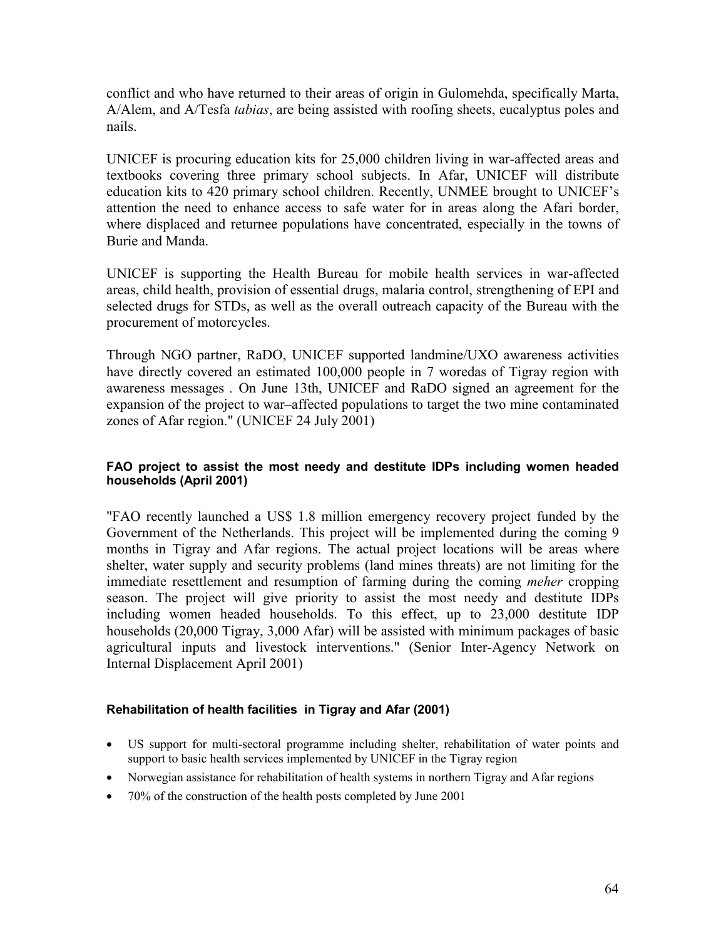conflict and who have returned to their areas of origin in Gulomehda, specifically Marta, A/Alem, and A/Tesfa *tabias*, are being assisted with roofing sheets, eucalyptus poles and nails.

UNICEF is procuring education kits for 25,000 children living in war-affected areas and textbooks covering three primary school subjects. In Afar, UNICEF will distribute education kits to 420 primary school children. Recently, UNMEE brought to UNICEF's attention the need to enhance access to safe water for in areas along the Afari border, where displaced and returnee populations have concentrated, especially in the towns of Burie and Manda.

UNICEF is supporting the Health Bureau for mobile health services in war-affected areas, child health, provision of essential drugs, malaria control, strengthening of EPI and selected drugs for STDs, as well as the overall outreach capacity of the Bureau with the procurement of motorcycles.

Through NGO partner, RaDO, UNICEF supported landmine/UXO awareness activities have directly covered an estimated 100,000 people in 7 woredas of Tigray region with awareness messages *.* On June 13th, UNICEF and RaDO signed an agreement for the expansion of the project to war–affected populations to target the two mine contaminated zones of Afar region." (UNICEF 24 July 2001)

#### **FAO project to assist the most needy and destitute IDPs including women headed households (April 2001)**

"FAO recently launched a US\$ 1.8 million emergency recovery project funded by the Government of the Netherlands. This project will be implemented during the coming 9 months in Tigray and Afar regions. The actual project locations will be areas where shelter, water supply and security problems (land mines threats) are not limiting for the immediate resettlement and resumption of farming during the coming *meher* cropping season. The project will give priority to assist the most needy and destitute IDPs including women headed households. To this effect, up to 23,000 destitute IDP households (20,000 Tigray, 3,000 Afar) will be assisted with minimum packages of basic agricultural inputs and livestock interventions." (Senior Inter-Agency Network on Internal Displacement April 2001)

#### **Rehabilitation of health facilities in Tigray and Afar (2001)**

- US support for multi-sectoral programme including shelter, rehabilitation of water points and support to basic health services implemented by UNICEF in the Tigray region
- Norwegian assistance for rehabilitation of health systems in northern Tigray and Afar regions
- 70% of the construction of the health posts completed by June 2001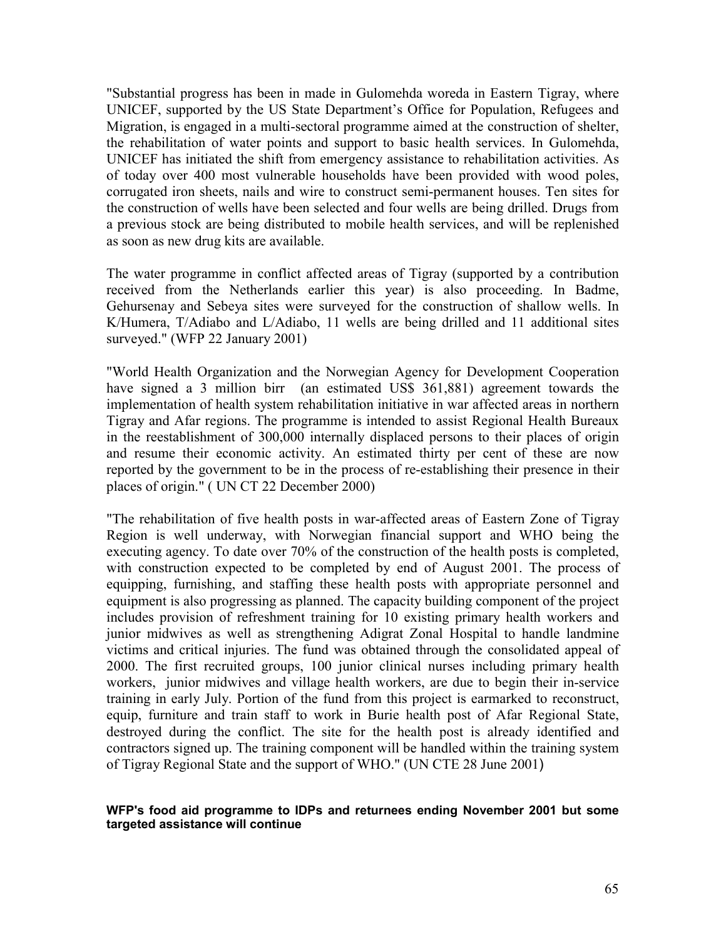"Substantial progress has been in made in Gulomehda woreda in Eastern Tigray, where UNICEF, supported by the US State Department's Office for Population, Refugees and Migration, is engaged in a multi-sectoral programme aimed at the construction of shelter, the rehabilitation of water points and support to basic health services. In Gulomehda, UNICEF has initiated the shift from emergency assistance to rehabilitation activities. As of today over 400 most vulnerable households have been provided with wood poles, corrugated iron sheets, nails and wire to construct semi-permanent houses. Ten sites for the construction of wells have been selected and four wells are being drilled. Drugs from a previous stock are being distributed to mobile health services, and will be replenished as soon as new drug kits are available.

The water programme in conflict affected areas of Tigray (supported by a contribution received from the Netherlands earlier this year) is also proceeding. In Badme, Gehursenay and Sebeya sites were surveyed for the construction of shallow wells. In K/Humera, T/Adiabo and L/Adiabo, 11 wells are being drilled and 11 additional sites surveyed." (WFP 22 January 2001)

"World Health Organization and the Norwegian Agency for Development Cooperation have signed a 3 million birr (an estimated US\$ 361,881) agreement towards the implementation of health system rehabilitation initiative in war affected areas in northern Tigray and Afar regions. The programme is intended to assist Regional Health Bureaux in the reestablishment of 300,000 internally displaced persons to their places of origin and resume their economic activity. An estimated thirty per cent of these are now reported by the government to be in the process of re-establishing their presence in their places of origin." ( UN CT 22 December 2000)

"The rehabilitation of five health posts in war-affected areas of Eastern Zone of Tigray Region is well underway, with Norwegian financial support and WHO being the executing agency. To date over 70% of the construction of the health posts is completed, with construction expected to be completed by end of August 2001. The process of equipping, furnishing, and staffing these health posts with appropriate personnel and equipment is also progressing as planned. The capacity building component of the project includes provision of refreshment training for 10 existing primary health workers and junior midwives as well as strengthening Adigrat Zonal Hospital to handle landmine victims and critical injuries. The fund was obtained through the consolidated appeal of 2000. The first recruited groups, 100 junior clinical nurses including primary health workers, junior midwives and village health workers, are due to begin their in-service training in early July. Portion of the fund from this project is earmarked to reconstruct, equip, furniture and train staff to work in Burie health post of Afar Regional State, destroyed during the conflict. The site for the health post is already identified and contractors signed up. The training component will be handled within the training system of Tigray Regional State and the support of WHO." (UN CTE 28 June 2001)

#### **WFP's food aid programme to IDPs and returnees ending November 2001 but some targeted assistance will continue**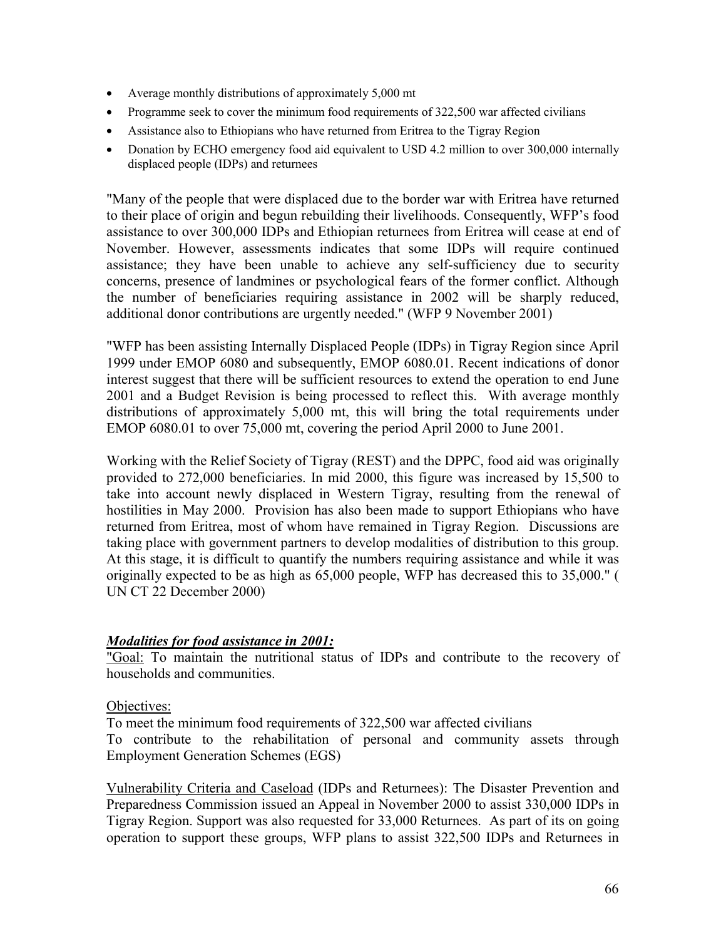- Average monthly distributions of approximately 5,000 mt
- Programme seek to cover the minimum food requirements of 322,500 war affected civilians
- Assistance also to Ethiopians who have returned from Eritrea to the Tigray Region
- Donation by ECHO emergency food aid equivalent to USD 4.2 million to over 300,000 internally displaced people (IDPs) and returnees

"Many of the people that were displaced due to the border war with Eritrea have returned to their place of origin and begun rebuilding their livelihoods. Consequently, WFP's food assistance to over 300,000 IDPs and Ethiopian returnees from Eritrea will cease at end of November. However, assessments indicates that some IDPs will require continued assistance; they have been unable to achieve any self-sufficiency due to security concerns, presence of landmines or psychological fears of the former conflict. Although the number of beneficiaries requiring assistance in 2002 will be sharply reduced, additional donor contributions are urgently needed." (WFP 9 November 2001)

"WFP has been assisting Internally Displaced People (IDPs) in Tigray Region since April 1999 under EMOP 6080 and subsequently, EMOP 6080.01. Recent indications of donor interest suggest that there will be sufficient resources to extend the operation to end June 2001 and a Budget Revision is being processed to reflect this. With average monthly distributions of approximately 5,000 mt, this will bring the total requirements under EMOP 6080.01 to over 75,000 mt, covering the period April 2000 to June 2001.

Working with the Relief Society of Tigray (REST) and the DPPC, food aid was originally provided to 272,000 beneficiaries. In mid 2000, this figure was increased by 15,500 to take into account newly displaced in Western Tigray, resulting from the renewal of hostilities in May 2000. Provision has also been made to support Ethiopians who have returned from Eritrea, most of whom have remained in Tigray Region. Discussions are taking place with government partners to develop modalities of distribution to this group. At this stage, it is difficult to quantify the numbers requiring assistance and while it was originally expected to be as high as 65,000 people, WFP has decreased this to 35,000." ( UN CT 22 December 2000)

#### *Modalities for food assistance in 2001:*

"Goal: To maintain the nutritional status of IDPs and contribute to the recovery of households and communities.

#### Objectives:

To meet the minimum food requirements of 322,500 war affected civilians To contribute to the rehabilitation of personal and community assets through Employment Generation Schemes (EGS)

Vulnerability Criteria and Caseload (IDPs and Returnees): The Disaster Prevention and Preparedness Commission issued an Appeal in November 2000 to assist 330,000 IDPs in Tigray Region. Support was also requested for 33,000 Returnees. As part of its on going operation to support these groups, WFP plans to assist 322,500 IDPs and Returnees in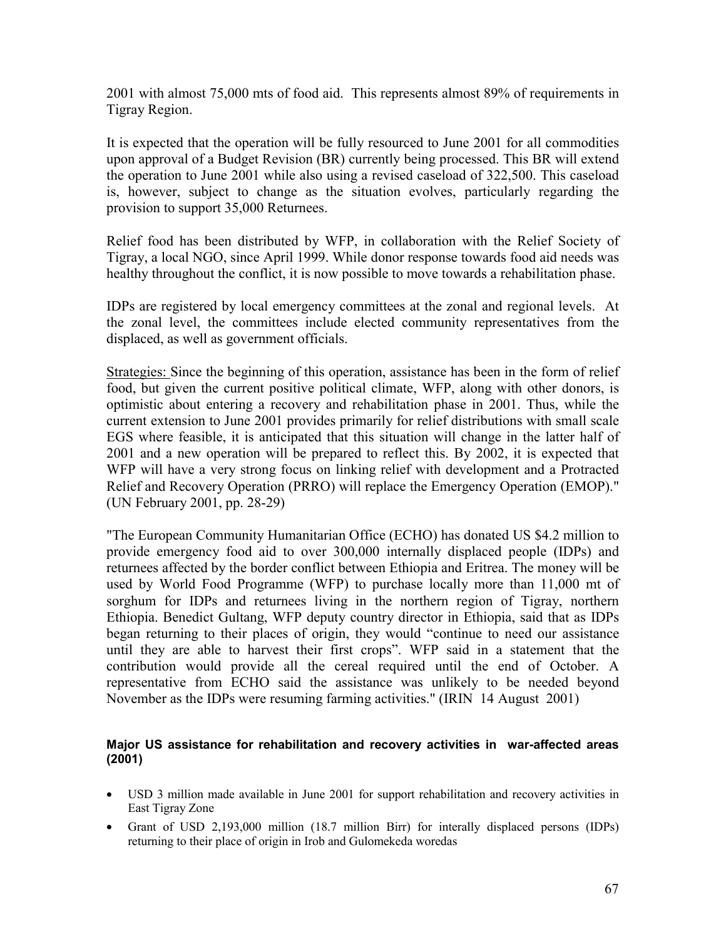2001 with almost 75,000 mts of food aid. This represents almost 89% of requirements in Tigray Region.

It is expected that the operation will be fully resourced to June 2001 for all commodities upon approval of a Budget Revision (BR) currently being processed. This BR will extend the operation to June 2001 while also using a revised caseload of 322,500. This caseload is, however, subject to change as the situation evolves, particularly regarding the provision to support 35,000 Returnees.

Relief food has been distributed by WFP, in collaboration with the Relief Society of Tigray, a local NGO, since April 1999. While donor response towards food aid needs was healthy throughout the conflict, it is now possible to move towards a rehabilitation phase.

IDPs are registered by local emergency committees at the zonal and regional levels. At the zonal level, the committees include elected community representatives from the displaced, as well as government officials.

Strategies: Since the beginning of this operation, assistance has been in the form of relief food, but given the current positive political climate, WFP, along with other donors, is optimistic about entering a recovery and rehabilitation phase in 2001. Thus, while the current extension to June 2001 provides primarily for relief distributions with small scale EGS where feasible, it is anticipated that this situation will change in the latter half of 2001 and a new operation will be prepared to reflect this. By 2002, it is expected that WFP will have a very strong focus on linking relief with development and a Protracted Relief and Recovery Operation (PRRO) will replace the Emergency Operation (EMOP)." (UN February 2001, pp. 28-29)

"The European Community Humanitarian Office (ECHO) has donated US \$4.2 million to provide emergency food aid to over 300,000 internally displaced people (IDPs) and returnees affected by the border conflict between Ethiopia and Eritrea. The money will be used by World Food Programme (WFP) to purchase locally more than 11,000 mt of sorghum for IDPs and returnees living in the northern region of Tigray, northern Ethiopia. Benedict Gultang, WFP deputy country director in Ethiopia, said that as IDPs began returning to their places of origin, they would "continue to need our assistance until they are able to harvest their first crops". WFP said in a statement that the contribution would provide all the cereal required until the end of October. A representative from ECHO said the assistance was unlikely to be needed beyond November as the IDPs were resuming farming activities." (IRIN 14 August 2001)

#### **Major US assistance for rehabilitation and recovery activities in war-affected areas (2001)**

- USD 3 million made available in June 2001 for support rehabilitation and recovery activities in East Tigray Zone
- Grant of USD 2,193,000 million (18.7 million Birr) for interally displaced persons (IDPs) returning to their place of origin in Irob and Gulomekeda woredas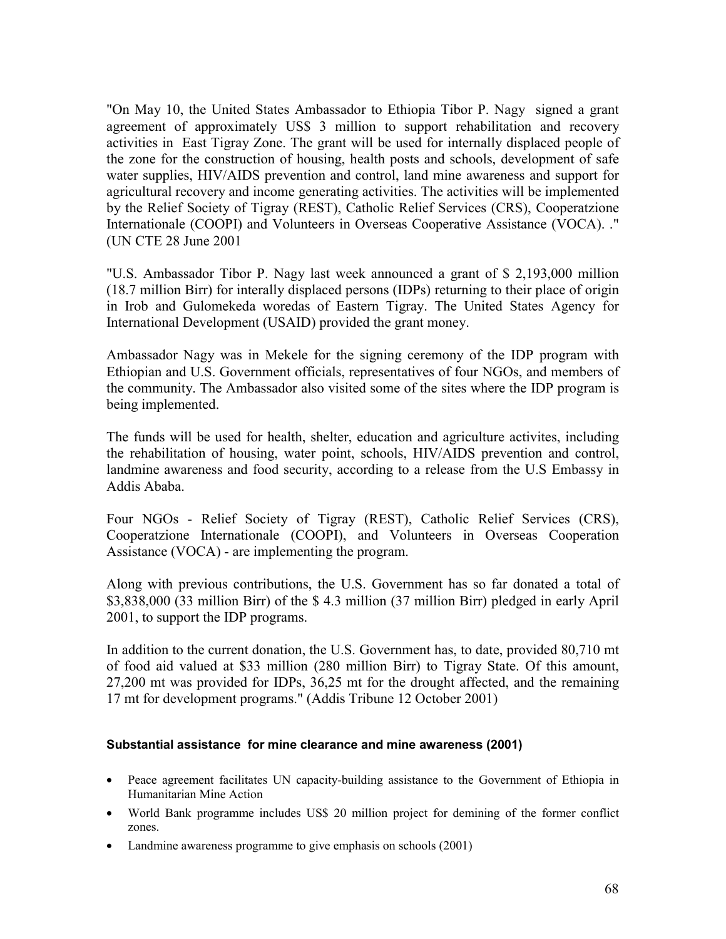"On May 10, the United States Ambassador to Ethiopia Tibor P. Nagy signed a grant agreement of approximately US\$ 3 million to support rehabilitation and recovery activities in East Tigray Zone. The grant will be used for internally displaced people of the zone for the construction of housing, health posts and schools, development of safe water supplies, HIV/AIDS prevention and control, land mine awareness and support for agricultural recovery and income generating activities. The activities will be implemented by the Relief Society of Tigray (REST), Catholic Relief Services (CRS), Cooperatzione Internationale (COOPI) and Volunteers in Overseas Cooperative Assistance (VOCA). ." (UN CTE 28 June 2001

"U.S. Ambassador Tibor P. Nagy last week announced a grant of \$ 2,193,000 million (18.7 million Birr) for interally displaced persons (IDPs) returning to their place of origin in Irob and Gulomekeda woredas of Eastern Tigray. The United States Agency for International Development (USAID) provided the grant money.

Ambassador Nagy was in Mekele for the signing ceremony of the IDP program with Ethiopian and U.S. Government officials, representatives of four NGOs, and members of the community. The Ambassador also visited some of the sites where the IDP program is being implemented.

The funds will be used for health, shelter, education and agriculture activites, including the rehabilitation of housing, water point, schools, HIV/AIDS prevention and control, landmine awareness and food security, according to a release from the U.S Embassy in Addis Ababa.

Four NGOs - Relief Society of Tigray (REST), Catholic Relief Services (CRS), Cooperatzione Internationale (COOPI), and Volunteers in Overseas Cooperation Assistance (VOCA) - are implementing the program.

Along with previous contributions, the U.S. Government has so far donated a total of \$3,838,000 (33 million Birr) of the \$ 4.3 million (37 million Birr) pledged in early April 2001, to support the IDP programs.

In addition to the current donation, the U.S. Government has, to date, provided 80,710 mt of food aid valued at \$33 million (280 million Birr) to Tigray State. Of this amount, 27,200 mt was provided for IDPs, 36,25 mt for the drought affected, and the remaining 17 mt for development programs." (Addis Tribune 12 October 2001)

#### **Substantial assistance for mine clearance and mine awareness (2001)**

- Peace agreement facilitates UN capacity-building assistance to the Government of Ethiopia in Humanitarian Mine Action
- World Bank programme includes US\$ 20 million project for demining of the former conflict zones.
- Landmine awareness programme to give emphasis on schools (2001)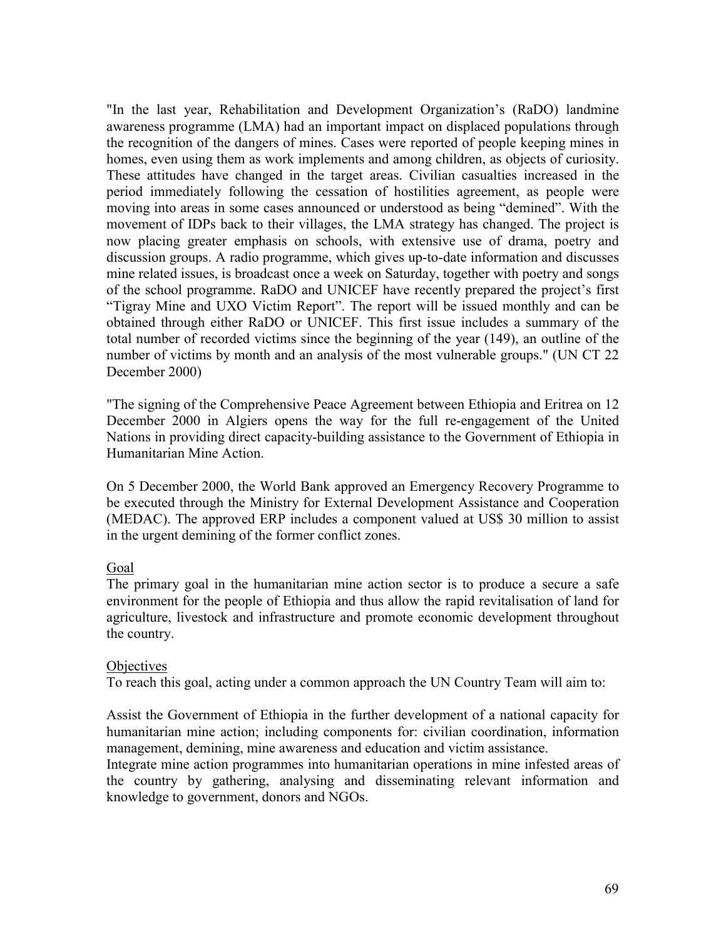"In the last year, Rehabilitation and Development Organization's (RaDO) landmine awareness programme (LMA) had an important impact on displaced populations through the recognition of the dangers of mines. Cases were reported of people keeping mines in homes, even using them as work implements and among children, as objects of curiosity. These attitudes have changed in the target areas. Civilian casualties increased in the period immediately following the cessation of hostilities agreement, as people were moving into areas in some cases announced or understood as being "demined". With the movement of IDPs back to their villages, the LMA strategy has changed. The project is now placing greater emphasis on schools, with extensive use of drama, poetry and discussion groups. A radio programme, which gives up-to-date information and discusses mine related issues, is broadcast once a week on Saturday, together with poetry and songs of the school programme. RaDO and UNICEF have recently prepared the project's first "Tigray Mine and UXO Victim Report". The report will be issued monthly and can be obtained through either RaDO or UNICEF. This first issue includes a summary of the total number of recorded victims since the beginning of the year (149), an outline of the number of victims by month and an analysis of the most vulnerable groups." (UN CT 22 December 2000)

"The signing of the Comprehensive Peace Agreement between Ethiopia and Eritrea on 12 December 2000 in Algiers opens the way for the full re-engagement of the United Nations in providing direct capacity-building assistance to the Government of Ethiopia in Humanitarian Mine Action.

On 5 December 2000, the World Bank approved an Emergency Recovery Programme to be executed through the Ministry for External Development Assistance and Cooperation (MEDAC). The approved ERP includes a component valued at US\$ 30 million to assist in the urgent demining of the former conflict zones.

#### Goal

The primary goal in the humanitarian mine action sector is to produce a secure a safe environment for the people of Ethiopia and thus allow the rapid revitalisation of land for agriculture, livestock and infrastructure and promote economic development throughout the country.

#### **Objectives**

To reach this goal, acting under a common approach the UN Country Team will aim to:

Assist the Government of Ethiopia in the further development of a national capacity for humanitarian mine action; including components for: civilian coordination, information management, demining, mine awareness and education and victim assistance.

Integrate mine action programmes into humanitarian operations in mine infested areas of the country by gathering, analysing and disseminating relevant information and knowledge to government, donors and NGOs.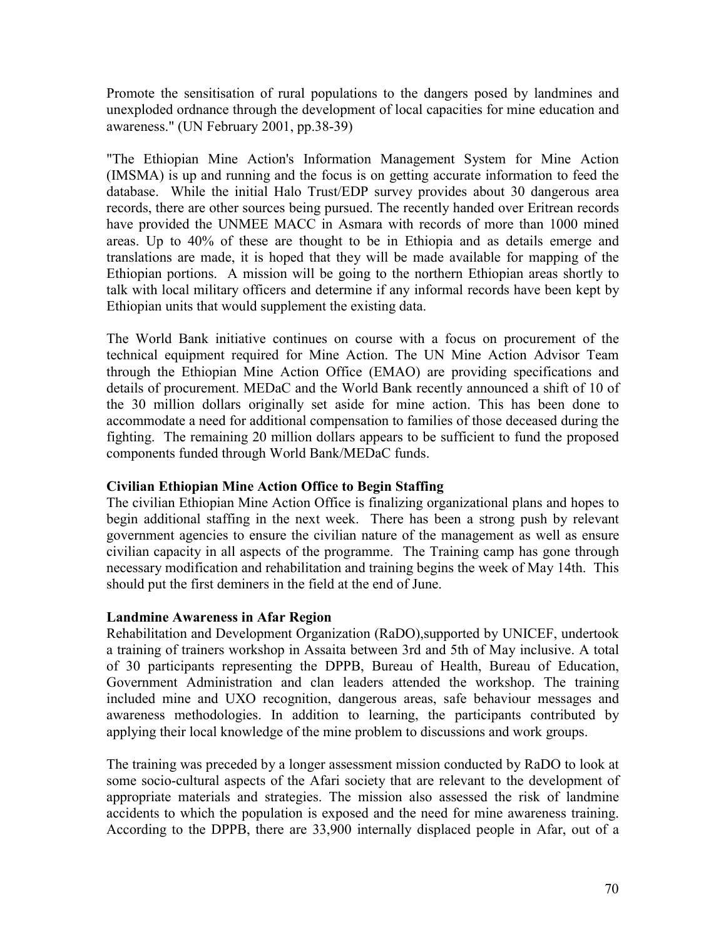Promote the sensitisation of rural populations to the dangers posed by landmines and unexploded ordnance through the development of local capacities for mine education and awareness." (UN February 2001, pp.38-39)

"The Ethiopian Mine Action's Information Management System for Mine Action (IMSMA) is up and running and the focus is on getting accurate information to feed the database. While the initial Halo Trust/EDP survey provides about 30 dangerous area records, there are other sources being pursued. The recently handed over Eritrean records have provided the UNMEE MACC in Asmara with records of more than 1000 mined areas. Up to 40% of these are thought to be in Ethiopia and as details emerge and translations are made, it is hoped that they will be made available for mapping of the Ethiopian portions. A mission will be going to the northern Ethiopian areas shortly to talk with local military officers and determine if any informal records have been kept by Ethiopian units that would supplement the existing data.

The World Bank initiative continues on course with a focus on procurement of the technical equipment required for Mine Action. The UN Mine Action Advisor Team through the Ethiopian Mine Action Office (EMAO) are providing specifications and details of procurement. MEDaC and the World Bank recently announced a shift of 10 of the 30 million dollars originally set aside for mine action. This has been done to accommodate a need for additional compensation to families of those deceased during the fighting. The remaining 20 million dollars appears to be sufficient to fund the proposed components funded through World Bank/MEDaC funds.

## **Civilian Ethiopian Mine Action Office to Begin Staffing**

The civilian Ethiopian Mine Action Office is finalizing organizational plans and hopes to begin additional staffing in the next week. There has been a strong push by relevant government agencies to ensure the civilian nature of the management as well as ensure civilian capacity in all aspects of the programme. The Training camp has gone through necessary modification and rehabilitation and training begins the week of May 14th. This should put the first deminers in the field at the end of June.

## **Landmine Awareness in Afar Region**

Rehabilitation and Development Organization (RaDO),supported by UNICEF, undertook a training of trainers workshop in Assaita between 3rd and 5th of May inclusive. A total of 30 participants representing the DPPB, Bureau of Health, Bureau of Education, Government Administration and clan leaders attended the workshop. The training included mine and UXO recognition, dangerous areas, safe behaviour messages and awareness methodologies. In addition to learning, the participants contributed by applying their local knowledge of the mine problem to discussions and work groups.

The training was preceded by a longer assessment mission conducted by RaDO to look at some socio-cultural aspects of the Afari society that are relevant to the development of appropriate materials and strategies. The mission also assessed the risk of landmine accidents to which the population is exposed and the need for mine awareness training. According to the DPPB, there are 33,900 internally displaced people in Afar, out of a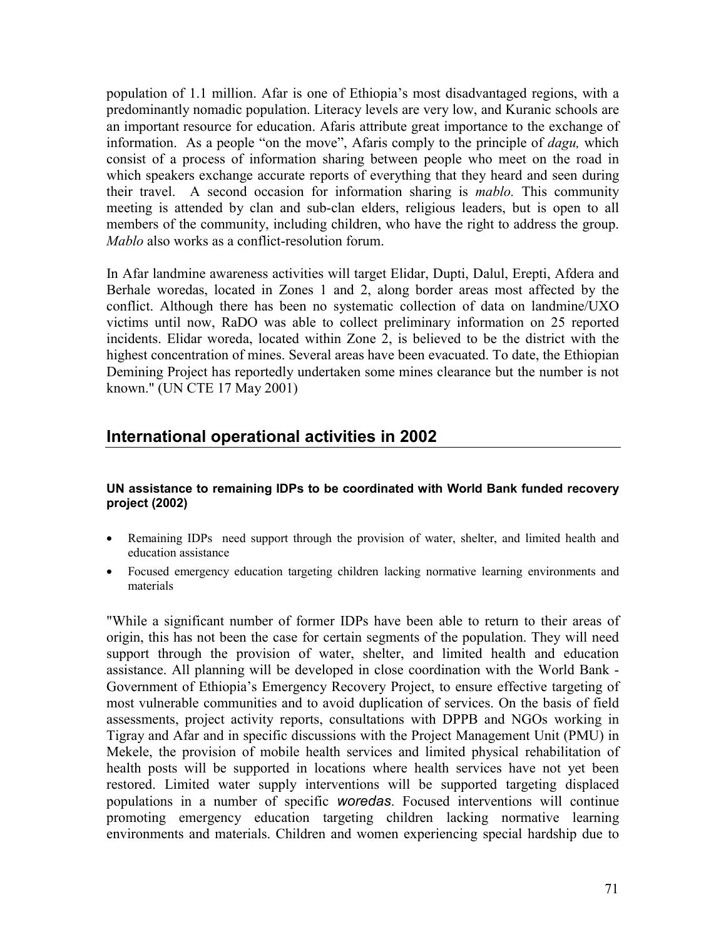population of 1.1 million. Afar is one of Ethiopia's most disadvantaged regions, with a predominantly nomadic population. Literacy levels are very low, and Kuranic schools are an important resource for education. Afaris attribute great importance to the exchange of information. As a people "on the move", Afaris comply to the principle of *dagu,* which consist of a process of information sharing between people who meet on the road in which speakers exchange accurate reports of everything that they heard and seen during their travel. A second occasion for information sharing is *mablo.* This community meeting is attended by clan and sub-clan elders, religious leaders, but is open to all members of the community, including children, who have the right to address the group. *Mablo* also works as a conflict-resolution forum.

In Afar landmine awareness activities will target Elidar, Dupti, Dalul, Erepti, Afdera and Berhale woredas, located in Zones 1 and 2, along border areas most affected by the conflict. Although there has been no systematic collection of data on landmine/UXO victims until now, RaDO was able to collect preliminary information on 25 reported incidents. Elidar woreda, located within Zone 2, is believed to be the district with the highest concentration of mines. Several areas have been evacuated. To date, the Ethiopian Demining Project has reportedly undertaken some mines clearance but the number is not known." (UN CTE 17 May 2001)

## **International operational activities in 2002**

#### **UN assistance to remaining IDPs to be coordinated with World Bank funded recovery project (2002)**

- Remaining IDPs need support through the provision of water, shelter, and limited health and education assistance
- Focused emergency education targeting children lacking normative learning environments and materials

"While a significant number of former IDPs have been able to return to their areas of origin, this has not been the case for certain segments of the population. They will need support through the provision of water, shelter, and limited health and education assistance. All planning will be developed in close coordination with the World Bank - Government of Ethiopia's Emergency Recovery Project, to ensure effective targeting of most vulnerable communities and to avoid duplication of services. On the basis of field assessments, project activity reports, consultations with DPPB and NGOs working in Tigray and Afar and in specific discussions with the Project Management Unit (PMU) in Mekele, the provision of mobile health services and limited physical rehabilitation of health posts will be supported in locations where health services have not yet been restored. Limited water supply interventions will be supported targeting displaced populations in a number of specific *woredas*. Focused interventions will continue promoting emergency education targeting children lacking normative learning environments and materials. Children and women experiencing special hardship due to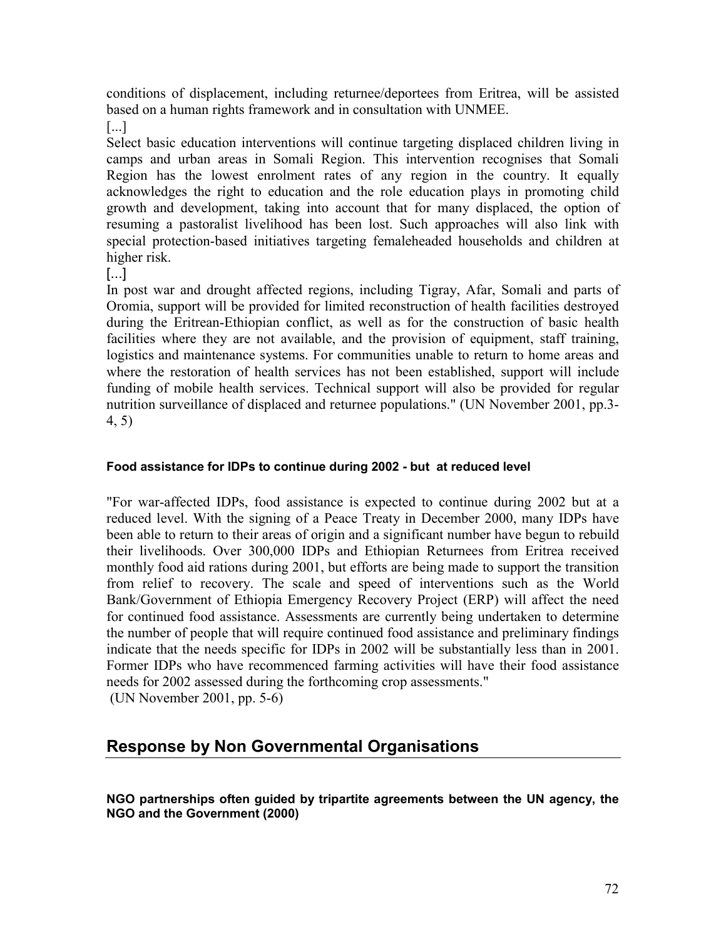conditions of displacement, including returnee/deportees from Eritrea, will be assisted based on a human rights framework and in consultation with UNMEE.

[...]

Select basic education interventions will continue targeting displaced children living in camps and urban areas in Somali Region. This intervention recognises that Somali Region has the lowest enrolment rates of any region in the country. It equally acknowledges the right to education and the role education plays in promoting child growth and development, taking into account that for many displaced, the option of resuming a pastoralist livelihood has been lost. Such approaches will also link with special protection-based initiatives targeting femaleheaded households and children at higher risk.

[...]

In post war and drought affected regions, including Tigray, Afar, Somali and parts of Oromia, support will be provided for limited reconstruction of health facilities destroyed during the Eritrean-Ethiopian conflict, as well as for the construction of basic health facilities where they are not available, and the provision of equipment, staff training, logistics and maintenance systems. For communities unable to return to home areas and where the restoration of health services has not been established, support will include funding of mobile health services. Technical support will also be provided for regular nutrition surveillance of displaced and returnee populations." (UN November 2001, pp.3- 4, 5)

#### **Food assistance for IDPs to continue during 2002 - but at reduced level**

"For war-affected IDPs, food assistance is expected to continue during 2002 but at a reduced level. With the signing of a Peace Treaty in December 2000, many IDPs have been able to return to their areas of origin and a significant number have begun to rebuild their livelihoods. Over 300,000 IDPs and Ethiopian Returnees from Eritrea received monthly food aid rations during 2001, but efforts are being made to support the transition from relief to recovery. The scale and speed of interventions such as the World Bank/Government of Ethiopia Emergency Recovery Project (ERP) will affect the need for continued food assistance. Assessments are currently being undertaken to determine the number of people that will require continued food assistance and preliminary findings indicate that the needs specific for IDPs in 2002 will be substantially less than in 2001. Former IDPs who have recommenced farming activities will have their food assistance needs for 2002 assessed during the forthcoming crop assessments." (UN November 2001, pp. 5-6)

### **Response by Non Governmental Organisations**

**NGO partnerships often guided by tripartite agreements between the UN agency, the NGO and the Government (2000)**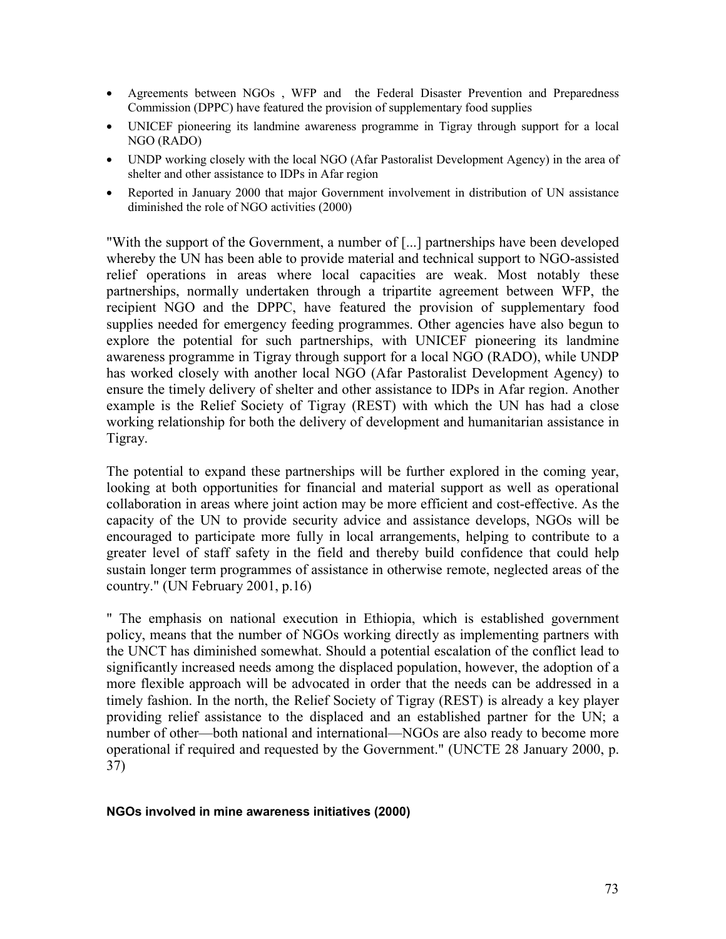- Agreements between NGOs , WFP and the Federal Disaster Prevention and Preparedness Commission (DPPC) have featured the provision of supplementary food supplies
- UNICEF pioneering its landmine awareness programme in Tigray through support for a local NGO (RADO)
- UNDP working closely with the local NGO (Afar Pastoralist Development Agency) in the area of shelter and other assistance to IDPs in Afar region
- Reported in January 2000 that major Government involvement in distribution of UN assistance diminished the role of NGO activities (2000)

"With the support of the Government, a number of [...] partnerships have been developed whereby the UN has been able to provide material and technical support to NGO-assisted relief operations in areas where local capacities are weak. Most notably these partnerships, normally undertaken through a tripartite agreement between WFP, the recipient NGO and the DPPC, have featured the provision of supplementary food supplies needed for emergency feeding programmes. Other agencies have also begun to explore the potential for such partnerships, with UNICEF pioneering its landmine awareness programme in Tigray through support for a local NGO (RADO), while UNDP has worked closely with another local NGO (Afar Pastoralist Development Agency) to ensure the timely delivery of shelter and other assistance to IDPs in Afar region. Another example is the Relief Society of Tigray (REST) with which the UN has had a close working relationship for both the delivery of development and humanitarian assistance in Tigray.

The potential to expand these partnerships will be further explored in the coming year, looking at both opportunities for financial and material support as well as operational collaboration in areas where joint action may be more efficient and cost-effective. As the capacity of the UN to provide security advice and assistance develops, NGOs will be encouraged to participate more fully in local arrangements, helping to contribute to a greater level of staff safety in the field and thereby build confidence that could help sustain longer term programmes of assistance in otherwise remote, neglected areas of the country." (UN February 2001, p.16)

" The emphasis on national execution in Ethiopia, which is established government policy, means that the number of NGOs working directly as implementing partners with the UNCT has diminished somewhat. Should a potential escalation of the conflict lead to significantly increased needs among the displaced population, however, the adoption of a more flexible approach will be advocated in order that the needs can be addressed in a timely fashion. In the north, the Relief Society of Tigray (REST) is already a key player providing relief assistance to the displaced and an established partner for the UN; a number of other—both national and international—NGOs are also ready to become more operational if required and requested by the Government." (UNCTE 28 January 2000, p. 37)

#### **NGOs involved in mine awareness initiatives (2000)**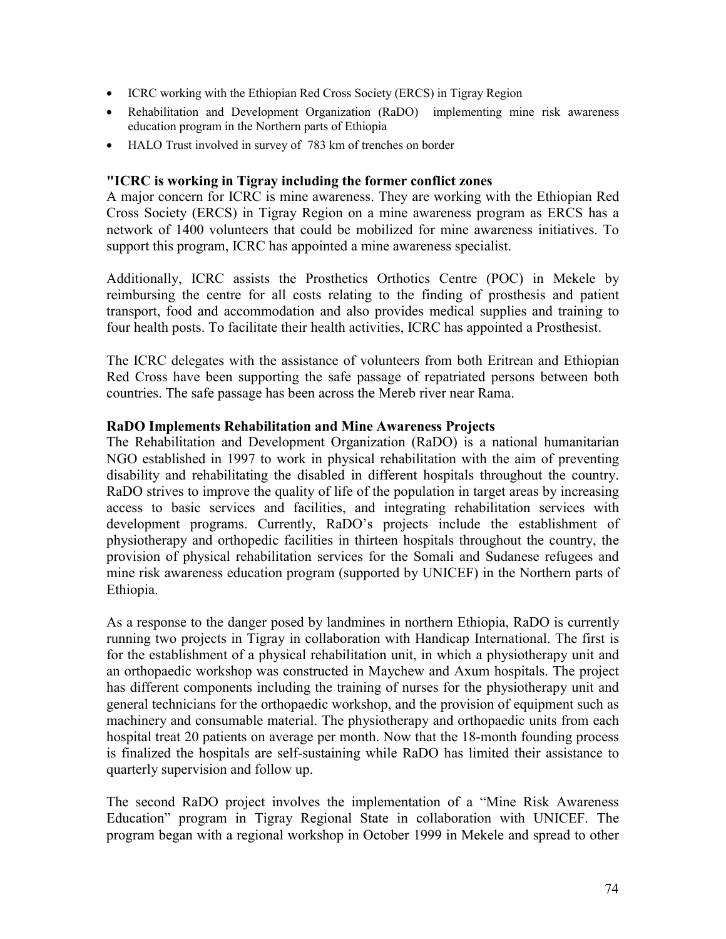- ICRC working with the Ethiopian Red Cross Society (ERCS) in Tigray Region
- Rehabilitation and Development Organization (RaDO) implementing mine risk awareness education program in the Northern parts of Ethiopia
- HALO Trust involved in survey of 783 km of trenches on border

#### **"ICRC is working in Tigray including the former conflict zones**

A major concern for ICRC is mine awareness. They are working with the Ethiopian Red Cross Society (ERCS) in Tigray Region on a mine awareness program as ERCS has a network of 1400 volunteers that could be mobilized for mine awareness initiatives. To support this program, ICRC has appointed a mine awareness specialist.

Additionally, ICRC assists the Prosthetics Orthotics Centre (POC) in Mekele by reimbursing the centre for all costs relating to the finding of prosthesis and patient transport, food and accommodation and also provides medical supplies and training to four health posts. To facilitate their health activities, ICRC has appointed a Prosthesist.

The ICRC delegates with the assistance of volunteers from both Eritrean and Ethiopian Red Cross have been supporting the safe passage of repatriated persons between both countries. The safe passage has been across the Mereb river near Rama.

#### **RaDO Implements Rehabilitation and Mine Awareness Projects**

The Rehabilitation and Development Organization (RaDO) is a national humanitarian NGO established in 1997 to work in physical rehabilitation with the aim of preventing disability and rehabilitating the disabled in different hospitals throughout the country. RaDO strives to improve the quality of life of the population in target areas by increasing access to basic services and facilities, and integrating rehabilitation services with development programs. Currently, RaDO's projects include the establishment of physiotherapy and orthopedic facilities in thirteen hospitals throughout the country, the provision of physical rehabilitation services for the Somali and Sudanese refugees and mine risk awareness education program (supported by UNICEF) in the Northern parts of Ethiopia.

As a response to the danger posed by landmines in northern Ethiopia, RaDO is currently running two projects in Tigray in collaboration with Handicap International. The first is for the establishment of a physical rehabilitation unit, in which a physiotherapy unit and an orthopaedic workshop was constructed in Maychew and Axum hospitals. The project has different components including the training of nurses for the physiotherapy unit and general technicians for the orthopaedic workshop, and the provision of equipment such as machinery and consumable material. The physiotherapy and orthopaedic units from each hospital treat 20 patients on average per month. Now that the 18-month founding process is finalized the hospitals are self-sustaining while RaDO has limited their assistance to quarterly supervision and follow up.

The second RaDO project involves the implementation of a "Mine Risk Awareness Education" program in Tigray Regional State in collaboration with UNICEF. The program began with a regional workshop in October 1999 in Mekele and spread to other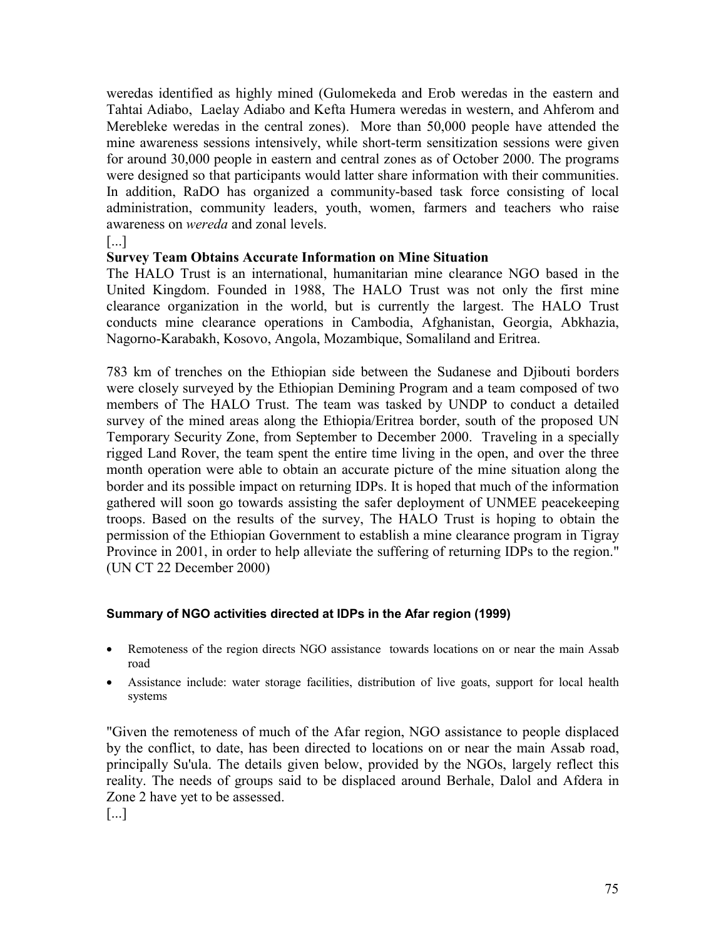weredas identified as highly mined (Gulomekeda and Erob weredas in the eastern and Tahtai Adiabo, Laelay Adiabo and Kefta Humera weredas in western, and Ahferom and Merebleke weredas in the central zones). More than 50,000 people have attended the mine awareness sessions intensively, while short-term sensitization sessions were given for around 30,000 people in eastern and central zones as of October 2000. The programs were designed so that participants would latter share information with their communities. In addition, RaDO has organized a community-based task force consisting of local administration, community leaders, youth, women, farmers and teachers who raise awareness on *wereda* and zonal levels.

[...]

#### **Survey Team Obtains Accurate Information on Mine Situation**

The HALO Trust is an international, humanitarian mine clearance NGO based in the United Kingdom. Founded in 1988, The HALO Trust was not only the first mine clearance organization in the world, but is currently the largest. The HALO Trust conducts mine clearance operations in Cambodia, Afghanistan, Georgia, Abkhazia, Nagorno-Karabakh, Kosovo, Angola, Mozambique, Somaliland and Eritrea.

783 km of trenches on the Ethiopian side between the Sudanese and Djibouti borders were closely surveyed by the Ethiopian Demining Program and a team composed of two members of The HALO Trust. The team was tasked by UNDP to conduct a detailed survey of the mined areas along the Ethiopia/Eritrea border, south of the proposed UN Temporary Security Zone, from September to December 2000. Traveling in a specially rigged Land Rover, the team spent the entire time living in the open, and over the three month operation were able to obtain an accurate picture of the mine situation along the border and its possible impact on returning IDPs. It is hoped that much of the information gathered will soon go towards assisting the safer deployment of UNMEE peacekeeping troops. Based on the results of the survey, The HALO Trust is hoping to obtain the permission of the Ethiopian Government to establish a mine clearance program in Tigray Province in 2001, in order to help alleviate the suffering of returning IDPs to the region." (UN CT 22 December 2000)

#### **Summary of NGO activities directed at IDPs in the Afar region (1999)**

- Remoteness of the region directs NGO assistance towards locations on or near the main Assab road
- Assistance include: water storage facilities, distribution of live goats, support for local health systems

"Given the remoteness of much of the Afar region, NGO assistance to people displaced by the conflict, to date, has been directed to locations on or near the main Assab road, principally Su'ula. The details given below, provided by the NGOs, largely reflect this reality. The needs of groups said to be displaced around Berhale, Dalol and Afdera in Zone 2 have yet to be assessed.

[...]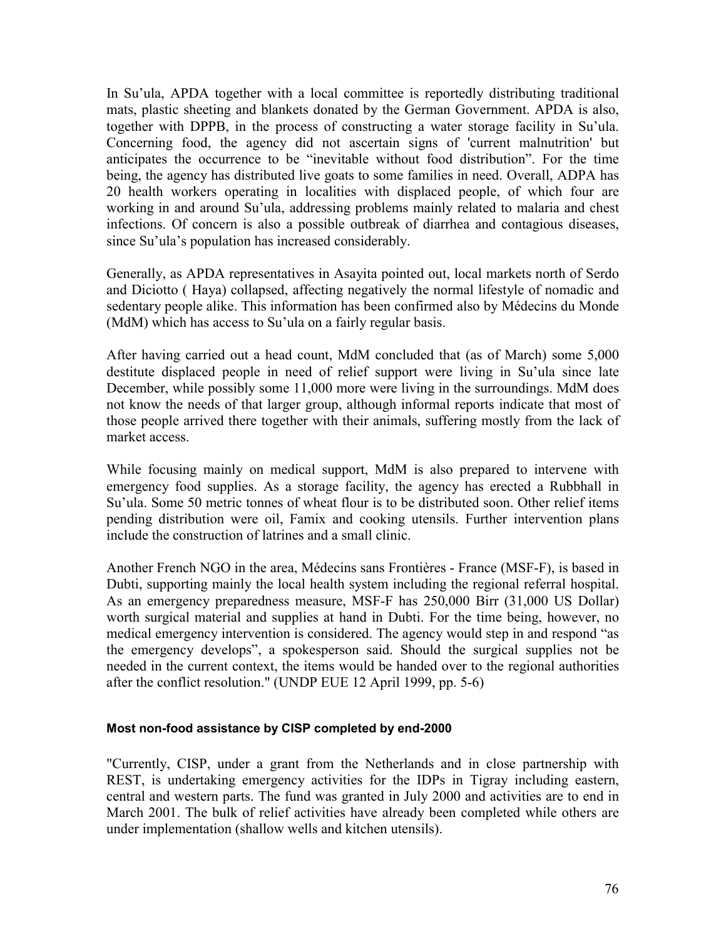In Su'ula, APDA together with a local committee is reportedly distributing traditional mats, plastic sheeting and blankets donated by the German Government. APDA is also, together with DPPB, in the process of constructing a water storage facility in Su'ula. Concerning food, the agency did not ascertain signs of 'current malnutrition' but anticipates the occurrence to be "inevitable without food distribution". For the time being, the agency has distributed live goats to some families in need. Overall, ADPA has 20 health workers operating in localities with displaced people, of which four are working in and around Su'ula, addressing problems mainly related to malaria and chest infections. Of concern is also a possible outbreak of diarrhea and contagious diseases, since Su'ula's population has increased considerably.

Generally, as APDA representatives in Asayita pointed out, local markets north of Serdo and Diciotto ( Haya) collapsed, affecting negatively the normal lifestyle of nomadic and sedentary people alike. This information has been confirmed also by Médecins du Monde (MdM) which has access to Su'ula on a fairly regular basis.

After having carried out a head count, MdM concluded that (as of March) some 5,000 destitute displaced people in need of relief support were living in Su'ula since late December, while possibly some 11,000 more were living in the surroundings. MdM does not know the needs of that larger group, although informal reports indicate that most of those people arrived there together with their animals, suffering mostly from the lack of market access.

While focusing mainly on medical support, MdM is also prepared to intervene with emergency food supplies. As a storage facility, the agency has erected a Rubbhall in Su'ula. Some 50 metric tonnes of wheat flour is to be distributed soon. Other relief items pending distribution were oil, Famix and cooking utensils. Further intervention plans include the construction of latrines and a small clinic.

Another French NGO in the area, Médecins sans Frontières - France (MSF-F), is based in Dubti, supporting mainly the local health system including the regional referral hospital. As an emergency preparedness measure, MSF-F has 250,000 Birr (31,000 US Dollar) worth surgical material and supplies at hand in Dubti. For the time being, however, no medical emergency intervention is considered. The agency would step in and respond "as the emergency develops", a spokesperson said. Should the surgical supplies not be needed in the current context, the items would be handed over to the regional authorities after the conflict resolution." (UNDP EUE 12 April 1999, pp. 5-6)

#### **Most non-food assistance by CISP completed by end-2000**

"Currently, CISP, under a grant from the Netherlands and in close partnership with REST, is undertaking emergency activities for the IDPs in Tigray including eastern, central and western parts. The fund was granted in July 2000 and activities are to end in March 2001. The bulk of relief activities have already been completed while others are under implementation (shallow wells and kitchen utensils).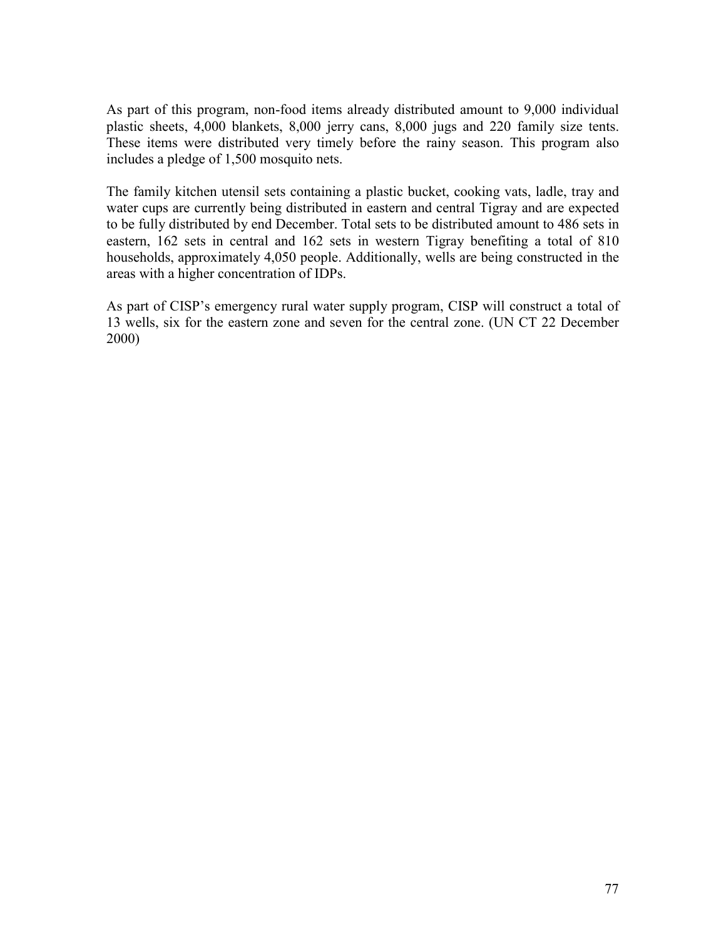As part of this program, non-food items already distributed amount to 9,000 individual plastic sheets, 4,000 blankets, 8,000 jerry cans, 8,000 jugs and 220 family size tents. These items were distributed very timely before the rainy season. This program also includes a pledge of 1,500 mosquito nets.

The family kitchen utensil sets containing a plastic bucket, cooking vats, ladle, tray and water cups are currently being distributed in eastern and central Tigray and are expected to be fully distributed by end December. Total sets to be distributed amount to 486 sets in eastern, 162 sets in central and 162 sets in western Tigray benefiting a total of 810 households, approximately 4,050 people. Additionally, wells are being constructed in the areas with a higher concentration of IDPs.

As part of CISP's emergency rural water supply program, CISP will construct a total of 13 wells, six for the eastern zone and seven for the central zone. (UN CT 22 December 2000)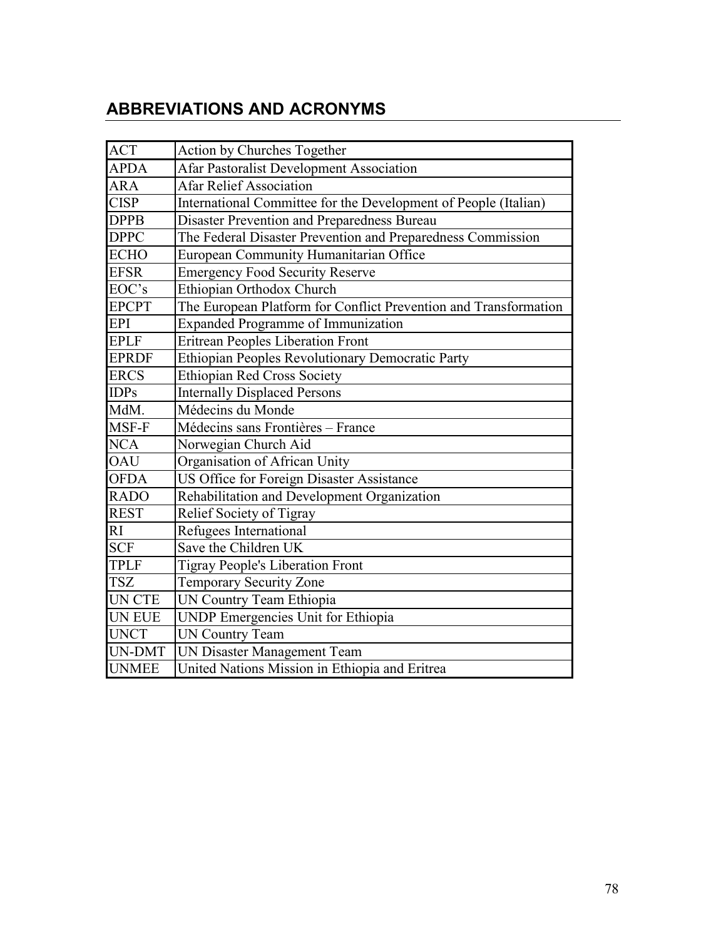# **ABBREVIATIONS AND ACRONYMS**

| <b>ACT</b>    | Action by Churches Together                                      |
|---------------|------------------------------------------------------------------|
| <b>APDA</b>   | Afar Pastoralist Development Association                         |
| <b>ARA</b>    | <b>Afar Relief Association</b>                                   |
| <b>CISP</b>   | International Committee for the Development of People (Italian)  |
| <b>DPPB</b>   | Disaster Prevention and Preparedness Bureau                      |
| <b>DPPC</b>   | The Federal Disaster Prevention and Preparedness Commission      |
| <b>ECHO</b>   | European Community Humanitarian Office                           |
| <b>EFSR</b>   | <b>Emergency Food Security Reserve</b>                           |
| EOC's         | Ethiopian Orthodox Church                                        |
| <b>EPCPT</b>  | The European Platform for Conflict Prevention and Transformation |
| <b>EPI</b>    | <b>Expanded Programme of Immunization</b>                        |
| <b>EPLF</b>   | <b>Eritrean Peoples Liberation Front</b>                         |
| <b>EPRDF</b>  | Ethiopian Peoples Revolutionary Democratic Party                 |
| <b>ERCS</b>   | <b>Ethiopian Red Cross Society</b>                               |
| <b>IDPs</b>   | <b>Internally Displaced Persons</b>                              |
| MdM.          | Médecins du Monde                                                |
| MSF-F         | Médecins sans Frontières - France                                |
| <b>NCA</b>    | Norwegian Church Aid                                             |
| <b>OAU</b>    | Organisation of African Unity                                    |
| <b>OFDA</b>   | US Office for Foreign Disaster Assistance                        |
| <b>RADO</b>   | Rehabilitation and Development Organization                      |
| <b>REST</b>   | Relief Society of Tigray                                         |
| R1            | Refugees International                                           |
| <b>SCF</b>    | Save the Children UK                                             |
| <b>TPLF</b>   | <b>Tigray People's Liberation Front</b>                          |
| <b>TSZ</b>    | <b>Temporary Security Zone</b>                                   |
| <b>UN CTE</b> | UN Country Team Ethiopia                                         |
| UN EUE        | <b>UNDP</b> Emergencies Unit for Ethiopia                        |
| <b>UNCT</b>   | <b>UN Country Team</b>                                           |
| UN-DMT        | UN Disaster Management Team                                      |
| <b>UNMEE</b>  | United Nations Mission in Ethiopia and Eritrea                   |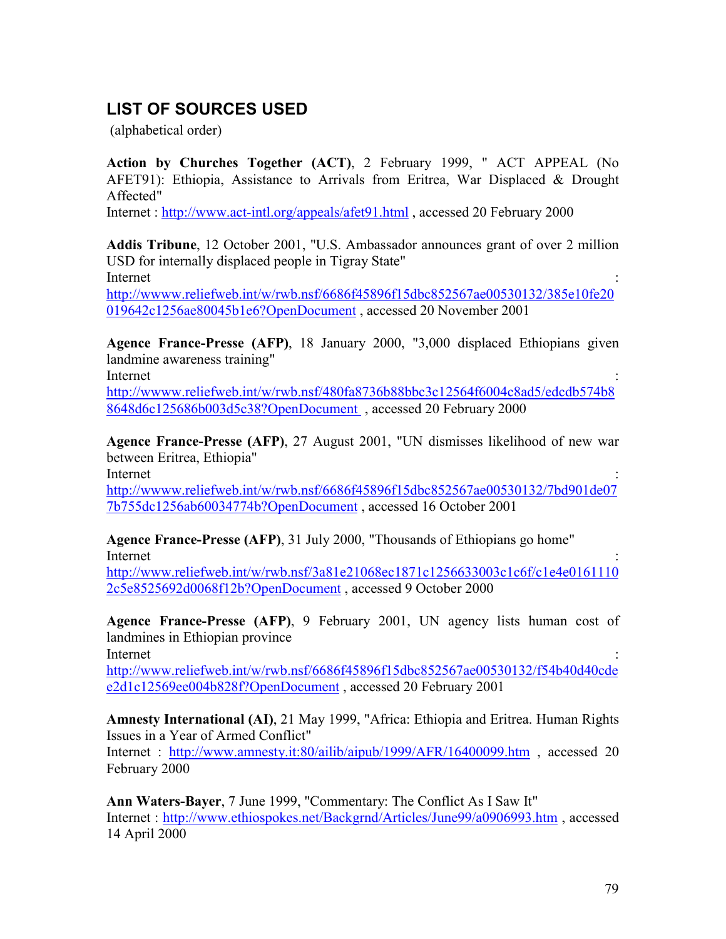## **LIST OF SOURCES USED**

(alphabetical order)

**Action by Churches Together (ACT)**, 2 February 1999, " ACT APPEAL (No AFET91): Ethiopia, Assistance to Arrivals from Eritrea, War Displaced  $\&$  Drought Affected"

Internet :<http://www.act-intl.org/appeals/afet91.html>, accessed 20 February 2000

**Addis Tribune**, 12 October 2001, "U.S. Ambassador announces grant of over 2 million USD for internally displaced people in Tigray State" Internet : the contract of the contract of the contract of the contract of the contract of the contract of the contract of the contract of the contract of the contract of the contract of the contract of the contract of the

<http://wwww.reliefweb.int/w/rwb.nsf/6686f45896f15dbc852567ae00530132/385e10fe20> 019642c1256ae80045b1e6?OpenDocument , accessed 20 November 2001

**Agence France-Presse (AFP)**, 18 January 2000, "3,000 displaced Ethiopians given landmine awareness training"

Internet : the contract of the contract of the contract of the contract of the contract of the contract of the contract of the contract of the contract of the contract of the contract of the contract of the contract of the

<http://wwww.reliefweb.int/w/rwb.nsf/480fa8736b88bbc3c12564f6004c8ad5/edcdb574b8> 8648d6c125686b003d5c38?OpenDocument , accessed 20 February 2000

**Agence France-Presse (AFP)**, 27 August 2001, "UN dismisses likelihood of new war between Eritrea, Ethiopia"

Internet : the contract of the contract of the contract of the contract of the contract of the contract of the contract of the contract of the contract of the contract of the contract of the contract of the contract of the

<http://wwww.reliefweb.int/w/rwb.nsf/6686f45896f15dbc852567ae00530132/7bd901de07> 7b755dc1256ab60034774b?OpenDocument , accessed 16 October 2001

**Agence France-Presse (AFP)**, 31 July 2000, "Thousands of Ethiopians go home" Internet : the contract of the contract of the contract of the contract of the contract of the contract of the contract of the contract of the contract of the contract of the contract of the contract of the contract of the

<http://www.reliefweb.int/w/rwb.nsf/3a81e21068ec1871c1256633003c1c6f/c1e4e0161110> 2c5e8525692d0068f12b?OpenDocument , accessed 9 October 2000

**Agence France-Presse (AFP)**, 9 February 2001, UN agency lists human cost of landmines in Ethiopian province

Internet : the contract of the contract of the contract of the contract of the contract of the contract of the contract of the contract of the contract of the contract of the contract of the contract of the contract of the

<http://www.reliefweb.int/w/rwb.nsf/6686f45896f15dbc852567ae00530132/f54b40d40cde> e2d1c12569ee004b828f?OpenDocument , accessed 20 February 2001

**Amnesty International (AI)**, 21 May 1999, "Africa: Ethiopia and Eritrea. Human Rights Issues in a Year of Armed Conflict"

Internet : <http://www.amnesty.it:80/ailib/aipub/1999/AFR/16400099.htm> , accessed 20 February 2000

**Ann Waters-Bayer**, 7 June 1999, "Commentary: The Conflict As I Saw It" Internet : <http://www.ethiospokes.net/Backgrnd/Articles/June99/a0906993.htm>, accessed 14 April 2000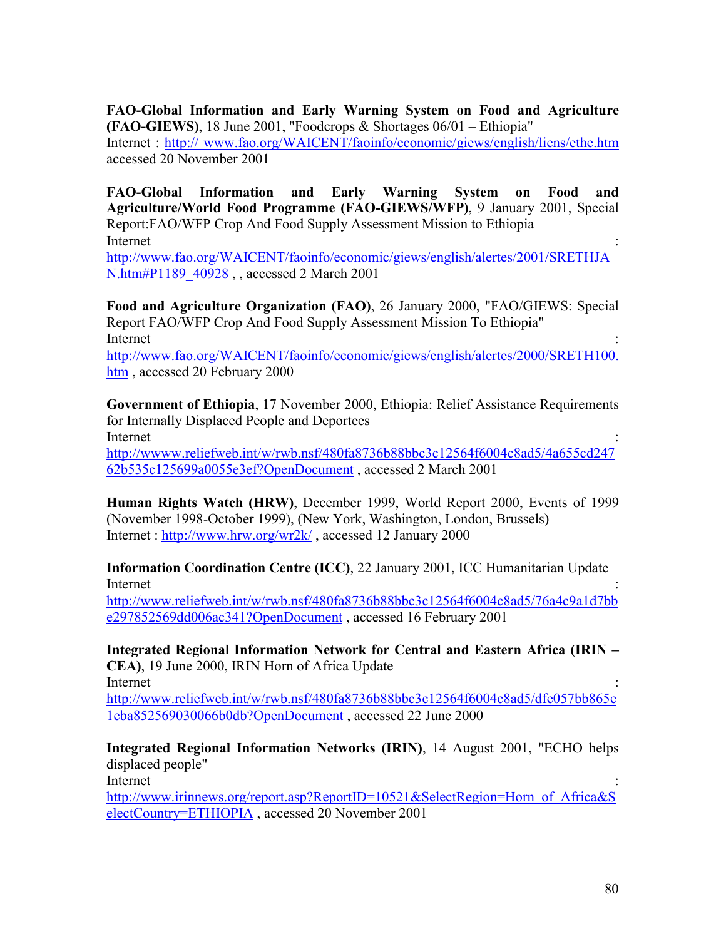**FAO-Global Information and Early Warning System on Food and Agriculture (FAO-GIEWS)**, 18 June 2001, "Foodcrops & Shortages 06/01 – Ethiopia"

Internet : [http:// www.fao.org/WAICENT/faoinfo/economic/giews/english/liens/ethe.htm](http://www.fao.org/WAICENT/faoinfo/economic/giews/english/liens/ethe.htm) accessed 20 November 2001

**FAO-Global Information and Early Warning System on Food and Agriculture/World Food Programme (FAO-GIEWS/WFP)**, 9 January 2001, Special Report:FAO/WFP Crop And Food Supply Assessment Mission to Ethiopia Internet : the contract of the contract of the contract of the contract of the contract of the contract of the contract of the contract of the contract of the contract of the contract of the contract of the contract of the <http://www.fao.org/WAICENT/faoinfo/economic/giews/english/alertes/2001/SRETHJA>

N.htm#P1189\_40928, , accessed 2 March 2001

**Food and Agriculture Organization (FAO)**, 26 January 2000, "FAO/GIEWS: Special Report FAO/WFP Crop And Food Supply Assessment Mission To Ethiopia" Internet : the contract of the contract of the contract of the contract of the contract of the contract of the contract of the contract of the contract of the contract of the contract of the contract of the contract of the [http://www.fao.org/WAICENT/faoinfo/economic/giews/english/alertes/2000/SRETH100.](http://www.fao.org/WAICENT/faoinfo/economic/giews/english/alertes/2000/SRETH100) htm , accessed 20 February 2000

**Government of Ethiopia**, 17 November 2000, Ethiopia: Relief Assistance Requirements for Internally Displaced People and Deportees Internet : the contract of the contract of the contract of the contract of the contract of the contract of the contract of the contract of the contract of the contract of the contract of the contract of the contract of the <http://wwww.reliefweb.int/w/rwb.nsf/480fa8736b88bbc3c12564f6004c8ad5/4a655cd247>

62b535c125699a0055e3ef?OpenDocument , accessed 2 March 2001 **Human Rights Watch (HRW)**, December 1999, World Report 2000, Events of 1999

(November 1998-October 1999), (New York, Washington, London, Brussels) Internet :<http://www.hrw.org/wr2k/> , accessed 12 January 2000

**Information Coordination Centre (ICC)**, 22 January 2001, ICC Humanitarian Update Internet : the contract of the contract of the contract of the contract of the contract of the contract of the contract of the contract of the contract of the contract of the contract of the contract of the contract of the

<http://www.reliefweb.int/w/rwb.nsf/480fa8736b88bbc3c12564f6004c8ad5/76a4c9a1d7bb> e297852569dd006ac341?OpenDocument , accessed 16 February 2001

**Integrated Regional Information Network for Central and Eastern Africa (IRIN – CEA)**, 19 June 2000, IRIN Horn of Africa Update Internet : the contract of the contract of the contract of the contract of the contract of the contract of the contract of the contract of the contract of the contract of the contract of the contract of the contract of the

<http://www.reliefweb.int/w/rwb.nsf/480fa8736b88bbc3c12564f6004c8ad5/dfe057bb865e> 1eba852569030066b0db?OpenDocument , accessed 22 June 2000

**Integrated Regional Information Networks (IRIN)**, 14 August 2001, "ECHO helps displaced people"

Internet : the contract of the contract of the contract of the contract of the contract of the contract of the contract of the contract of the contract of the contract of the contract of the contract of the contract of the

[http://www.irinnews.org/report.asp?ReportID=10521&SelectRegion=Horn\\_of\\_Africa&S](http://www.irinnews.org/report.asp?ReportID=10521&SelectRegion=Horn_of_Africa&S) electCountry=ETHIOPIA , accessed 20 November 2001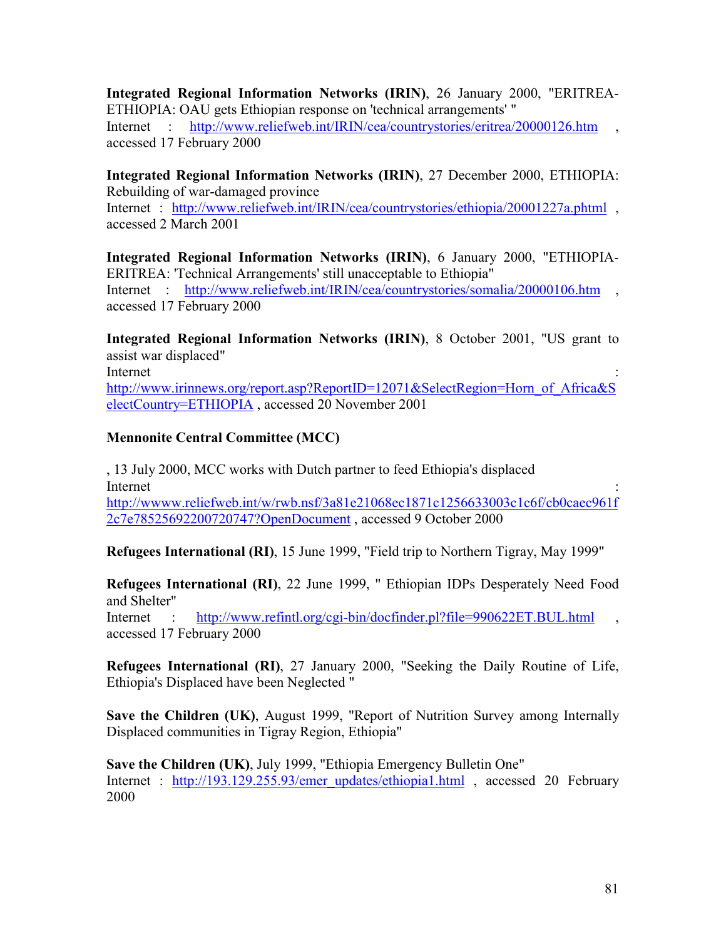**Integrated Regional Information Networks (IRIN)**, 26 January 2000, "ERITREA-ETHIOPIA: OAU gets Ethiopian response on 'technical arrangements' " Internet : <http://www.reliefweb.int/IRIN/cea/countrystories/eritrea/20000126.htm> accessed 17 February 2000

**Integrated Regional Information Networks (IRIN)**, 27 December 2000, ETHIOPIA: Rebuilding of war-damaged province

Internet : http://www.reliefweb.int/IRIN/cea/countrystories/ethiopia/20001227a.phtml, accessed 2 March 2001

**Integrated Regional Information Networks (IRIN)**, 6 January 2000, "ETHIOPIA-ERITREA: 'Technical Arrangements' still unacceptable to Ethiopia" Internet : http://www.reliefweb.int/IRIN/cea/countrystories/somalia/20000106.htm accessed 17 February 2000

**Integrated Regional Information Networks (IRIN)**, 8 October 2001, "US grant to assist war displaced"

Internet : the contract of the contract of the contract of the contract of the contract of the contract of the contract of the contract of the contract of the contract of the contract of the contract of the contract of the [http://www.irinnews.org/report.asp?ReportID=12071&SelectRegion=Horn\\_of\\_Africa&S](http://www.irinnews.org/report.asp?ReportID=12071&SelectRegion=Horn_of_Africa&S) electCountry=ETHIOPIA , accessed 20 November 2001

#### **Mennonite Central Committee (MCC)**

, 13 July 2000, MCC works with Dutch partner to feed Ethiopia's displaced Internet : the contract of the contract of the contract of the contract of the contract of the contract of the contract of the contract of the contract of the contract of the contract of the contract of the contract of the <http://wwww.reliefweb.int/w/rwb.nsf/3a81e21068ec1871c1256633003c1c6f/cb0caec961f> 2c7e78525692200720747?OpenDocument , accessed 9 October 2000

**Refugees International (RI)**, 15 June 1999, "Field trip to Northern Tigray, May 1999"

**Refugees International (RI)**, 22 June 1999, " Ethiopian IDPs Desperately Need Food and Shelter"

Internet http://www.refintl.org/cgi-bin/docfinder.pl?file=990622ET.BUL.html accessed 17 February 2000

**Refugees International (RI)**, 27 January 2000, "Seeking the Daily Routine of Life, Ethiopia's Displaced have been Neglected "

**Save the Children (UK)**, August 1999, "Report of Nutrition Survey among Internally Displaced communities in Tigray Region, Ethiopia"

**Save the Children (UK)**, July 1999, "Ethiopia Emergency Bulletin One" Internet : [http://193.129.255.93/emer\\_updates/ethiopia1.html](http://193.129.255.93/emer_updates/ethiopia1.html) , accessed 20 February 2000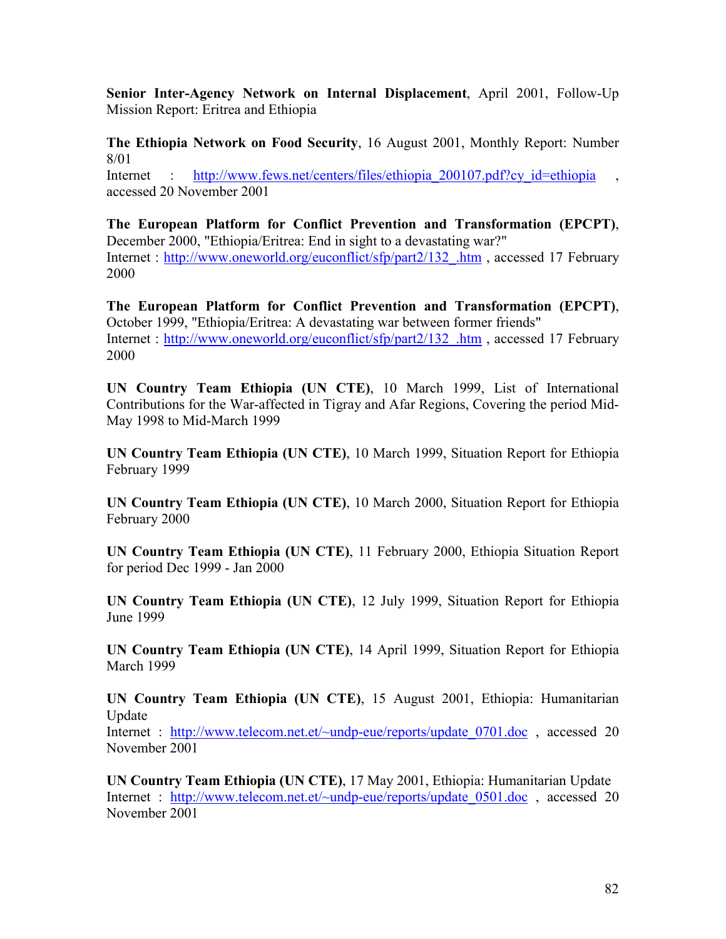**Senior Inter-Agency Network on Internal Displacement**, April 2001, Follow-Up Mission Report: Eritrea and Ethiopia

**The Ethiopia Network on Food Security**, 16 August 2001, Monthly Report: Number 8/01

Internet http://www.fews.net/centers/files/ethiopia 200107.pdf?cy\_id=ethiopia accessed 20 November 2001

**The European Platform for Conflict Prevention and Transformation (EPCPT)**, December 2000, "Ethiopia/Eritrea: End in sight to a devastating war?" Internet : http://www.oneworld.org/euconflict/sfp/part2/132 .htm , accessed 17 February 2000

**The European Platform for Conflict Prevention and Transformation (EPCPT)**, October 1999, "Ethiopia/Eritrea: A devastating war between former friends" Internet : [http://www.oneworld.org/euconflict/sfp/part2/132\\_.htm](http://www.oneworld.org/euconflict/sfp/part2/132_.htm) , accessed 17 February 2000

**UN Country Team Ethiopia (UN CTE)**, 10 March 1999, List of International Contributions for the War-affected in Tigray and Afar Regions, Covering the period Mid-May 1998 to Mid-March 1999

**UN Country Team Ethiopia (UN CTE)**, 10 March 1999, Situation Report for Ethiopia February 1999

**UN Country Team Ethiopia (UN CTE)**, 10 March 2000, Situation Report for Ethiopia February 2000

**UN Country Team Ethiopia (UN CTE)**, 11 February 2000, Ethiopia Situation Report for period Dec 1999 - Jan 2000

**UN Country Team Ethiopia (UN CTE)**, 12 July 1999, Situation Report for Ethiopia June 1999

**UN Country Team Ethiopia (UN CTE)**, 14 April 1999, Situation Report for Ethiopia March 1999

**UN Country Team Ethiopia (UN CTE)**, 15 August 2001, Ethiopia: Humanitarian Update

Internet : http://www.telecom.net.et/~undp-eue/reports/update 0701.doc , accessed 20 November 2001

**UN Country Team Ethiopia (UN CTE)**, 17 May 2001, Ethiopia: Humanitarian Update Internet : http://www.telecom.net.et/~undp-eue/reports/update 0501.doc , accessed 20 November 2001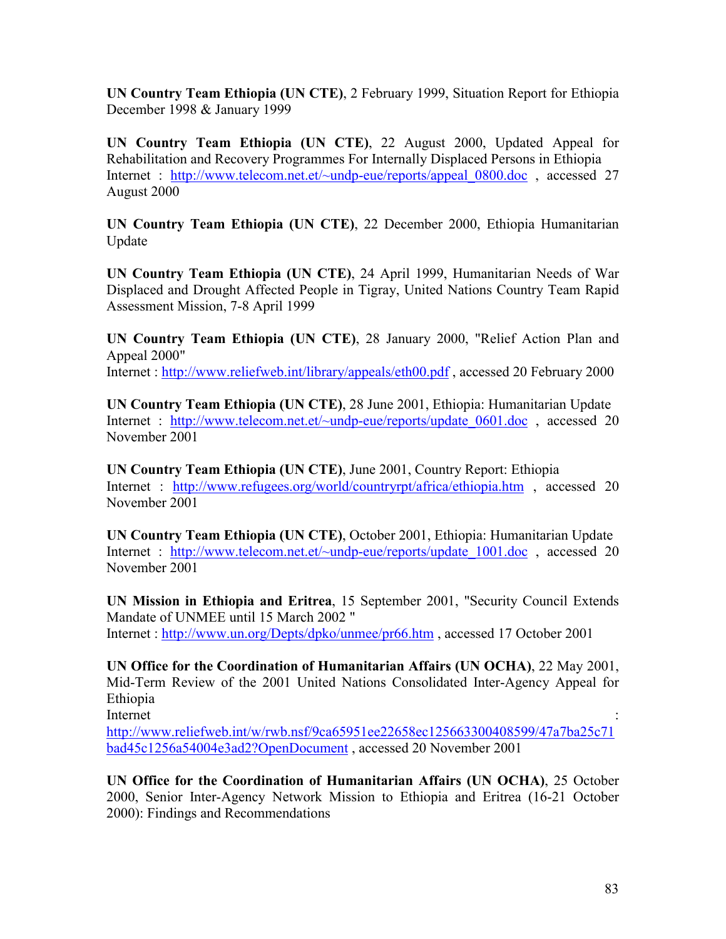**UN Country Team Ethiopia (UN CTE)**, 2 February 1999, Situation Report for Ethiopia December 1998 & January 1999

**UN Country Team Ethiopia (UN CTE)**, 22 August 2000, Updated Appeal for Rehabilitation and Recovery Programmes For Internally Displaced Persons in Ethiopia Internet : http://www.telecom.net.et/~undp-eue/reports/appeal 0800.doc , accessed 27 August 2000

**UN Country Team Ethiopia (UN CTE)**, 22 December 2000, Ethiopia Humanitarian Update

**UN Country Team Ethiopia (UN CTE)**, 24 April 1999, Humanitarian Needs of War Displaced and Drought Affected People in Tigray, United Nations Country Team Rapid Assessment Mission, 7-8 April 1999

**UN Country Team Ethiopia (UN CTE)**, 28 January 2000, "Relief Action Plan and Appeal 2000" Internet :<http://www.reliefweb.int/library/appeals/eth00.pdf>, accessed 20 February 2000

**UN Country Team Ethiopia (UN CTE)**, 28 June 2001, Ethiopia: Humanitarian Update Internet : http://www.telecom.net.et/~undp-eue/reports/update 0601.doc , accessed 20 November 2001

**UN Country Team Ethiopia (UN CTE)**, June 2001, Country Report: Ethiopia Internet : <http://www.refugees.org/world/countryrpt/africa/ethiopia.htm> , accessed 20 November 2001

**UN Country Team Ethiopia (UN CTE)**, October 2001, Ethiopia: Humanitarian Update Internet : http://www.telecom.net.et/~undp-eue/reports/update 1001.doc , accessed 20 November 2001

**UN Mission in Ethiopia and Eritrea**, 15 September 2001, "Security Council Extends Mandate of UNMEE until 15 March 2002 " Internet :<http://www.un.org/Depts/dpko/unmee/pr66.htm> , accessed 17 October 2001

**UN Office for the Coordination of Humanitarian Affairs (UN OCHA)**, 22 May 2001, Mid-Term Review of the 2001 United Nations Consolidated Inter-Agency Appeal for Ethiopia

Internet : the contract of the contract of the contract of the contract of the contract of the contract of the contract of the contract of the contract of the contract of the contract of the contract of the contract of the <http://www.reliefweb.int/w/rwb.nsf/9ca65951ee22658ec125663300408599/47a7ba25c71> bad45c1256a54004e3ad2?OpenDocument , accessed 20 November 2001

**UN Office for the Coordination of Humanitarian Affairs (UN OCHA)**, 25 October 2000, Senior Inter-Agency Network Mission to Ethiopia and Eritrea (16-21 October 2000): Findings and Recommendations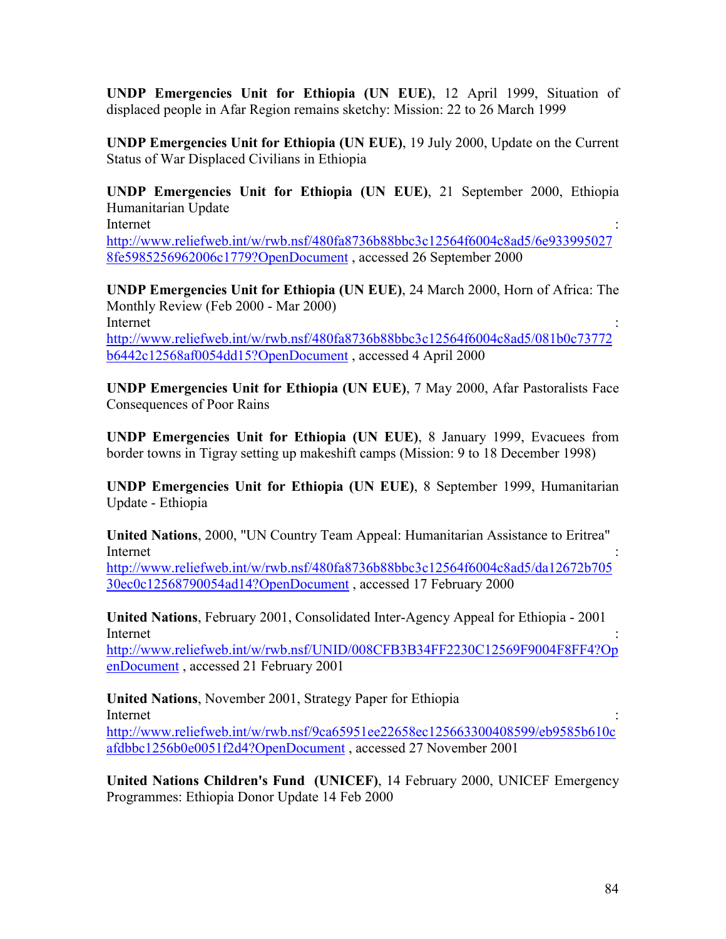**UNDP Emergencies Unit for Ethiopia (UN EUE)**, 12 April 1999, Situation of displaced people in Afar Region remains sketchy: Mission: 22 to 26 March 1999

**UNDP Emergencies Unit for Ethiopia (UN EUE)**, 19 July 2000, Update on the Current Status of War Displaced Civilians in Ethiopia

**UNDP Emergencies Unit for Ethiopia (UN EUE)**, 21 September 2000, Ethiopia Humanitarian Update

Internet : the contract of the contract of the contract of the contract of the contract of the contract of the contract of the contract of the contract of the contract of the contract of the contract of the contract of the <http://www.reliefweb.int/w/rwb.nsf/480fa8736b88bbc3c12564f6004c8ad5/6e933995027> 8fe5985256962006c1779?OpenDocument , accessed 26 September 2000

**UNDP Emergencies Unit for Ethiopia (UN EUE)**, 24 March 2000, Horn of Africa: The Monthly Review (Feb 2000 - Mar 2000) Internet : the contract of the contract of the contract of the contract of the contract of the contract of the contract of the contract of the contract of the contract of the contract of the contract of the contract of the <http://www.reliefweb.int/w/rwb.nsf/480fa8736b88bbc3c12564f6004c8ad5/081b0c73772>

b6442c12568af0054dd15?OpenDocument , accessed 4 April 2000

**UNDP Emergencies Unit for Ethiopia (UN EUE)**, 7 May 2000, Afar Pastoralists Face Consequences of Poor Rains

**UNDP Emergencies Unit for Ethiopia (UN EUE)**, 8 January 1999, Evacuees from border towns in Tigray setting up makeshift camps (Mission: 9 to 18 December 1998)

**UNDP Emergencies Unit for Ethiopia (UN EUE)**, 8 September 1999, Humanitarian Update - Ethiopia

**United Nations**, 2000, "UN Country Team Appeal: Humanitarian Assistance to Eritrea" Internet : the contract of the contract of the contract of the contract of the contract of the contract of the contract of the contract of the contract of the contract of the contract of the contract of the contract of the

<http://www.reliefweb.int/w/rwb.nsf/480fa8736b88bbc3c12564f6004c8ad5/da12672b705> 30ec0c12568790054ad14?OpenDocument , accessed 17 February 2000

**United Nations**, February 2001, Consolidated Inter-Agency Appeal for Ethiopia - 2001 Internet : the contract of the contract of the contract of the contract of the contract of the contract of the contract of the contract of the contract of the contract of the contract of the contract of the contract of the

<http://www.reliefweb.int/w/rwb.nsf/UNID/008CFB3B34FF2230C12569F9004F8FF4?Op> enDocument , accessed 21 February 2001

**United Nations**, November 2001, Strategy Paper for Ethiopia Internet : the contract of the contract of the contract of the contract of the contract of the contract of the contract of the contract of the contract of the contract of the contract of the contract of the contract of the <http://www.reliefweb.int/w/rwb.nsf/9ca65951ee22658ec125663300408599/eb9585b610c> afdbbc1256b0e0051f2d4?OpenDocument , accessed 27 November 2001

**United Nations Children's Fund (UNICEF)**, 14 February 2000, UNICEF Emergency Programmes: Ethiopia Donor Update 14 Feb 2000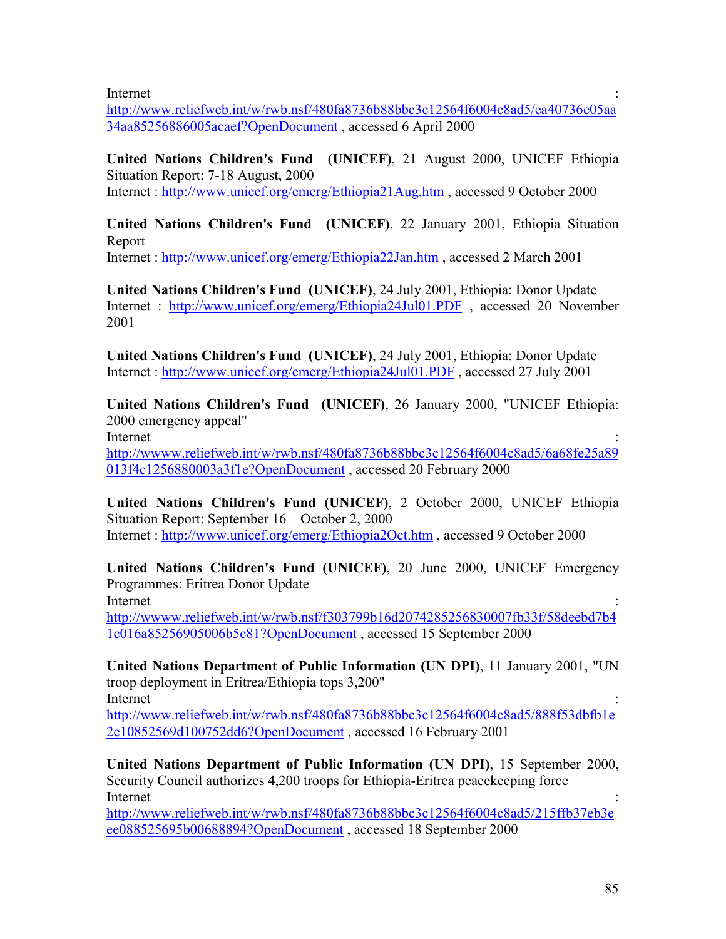Internet : the contract of the contract of the contract of the contract of the contract of the contract of the contract of the contract of the contract of the contract of the contract of the contract of the contract of the

<http://www.reliefweb.int/w/rwb.nsf/480fa8736b88bbc3c12564f6004c8ad5/ea40736e05aa> 34aa85256886005acaef?OpenDocument , accessed 6 April 2000

**United Nations Children's Fund (UNICEF)**, 21 August 2000, UNICEF Ethiopia Situation Report: 7-18 August, 2000

Internet :<http://www.unicef.org/emerg/Ethiopia21Aug.htm>, accessed 9 October 2000

**United Nations Children's Fund (UNICEF)**, 22 January 2001, Ethiopia Situation Report

Internet :<http://www.unicef.org/emerg/Ethiopia22Jan.htm> , accessed 2 March 2001

**United Nations Children's Fund (UNICEF)**, 24 July 2001, Ethiopia: Donor Update Internet : <http://www.unicef.org/emerg/Ethiopia24Jul01.PDF>, accessed 20 November 2001

**United Nations Children's Fund (UNICEF)**, 24 July 2001, Ethiopia: Donor Update Internet :<http://www.unicef.org/emerg/Ethiopia24Jul01.PDF>, accessed 27 July 2001

**United Nations Children's Fund (UNICEF)**, 26 January 2000, "UNICEF Ethiopia: 2000 emergency appeal"

Internet : the contract of the contract of the contract of the contract of the contract of the contract of the contract of the contract of the contract of the contract of the contract of the contract of the contract of the <http://wwww.reliefweb.int/w/rwb.nsf/480fa8736b88bbc3c12564f6004c8ad5/6a68fe25a89> 013f4c1256880003a3f1e?OpenDocument , accessed 20 February 2000

**United Nations Children's Fund (UNICEF)**, 2 October 2000, UNICEF Ethiopia Situation Report: September 16 – October 2, 2000 Internet :<http://www.unicef.org/emerg/Ethiopia2Oct.htm> , accessed 9 October 2000

**United Nations Children's Fund (UNICEF)**, 20 June 2000, UNICEF Emergency Programmes: Eritrea Donor Update Internet : the contract of the contract of the contract of the contract of the contract of the contract of the contract of the contract of the contract of the contract of the contract of the contract of the contract of the

<http://wwww.reliefweb.int/w/rwb.nsf/f303799b16d2074285256830007fb33f/58deebd7b4> 1c016a85256905006b5c81?OpenDocument , accessed 15 September 2000

**United Nations Department of Public Information (UN DPI)**, 11 January 2001, "UN troop deployment in Eritrea/Ethiopia tops 3,200" Internet : the contract of the contract of the contract of the contract of the contract of the contract of the contract of the contract of the contract of the contract of the contract of the contract of the contract of the

<http://www.reliefweb.int/w/rwb.nsf/480fa8736b88bbc3c12564f6004c8ad5/888f53dbfb1e> 2e10852569d100752dd6?OpenDocument , accessed 16 February 2001

**United Nations Department of Public Information (UN DPI)**, 15 September 2000, Security Council authorizes 4,200 troops for Ethiopia-Eritrea peacekeeping force Internet : the contract of the contract of the contract of the contract of the contract of the contract of the contract of the contract of the contract of the contract of the contract of the contract of the contract of the

<http://www.reliefweb.int/w/rwb.nsf/480fa8736b88bbc3c12564f6004c8ad5/215ffb37eb3e> ee088525695b00688894?OpenDocument , accessed 18 September 2000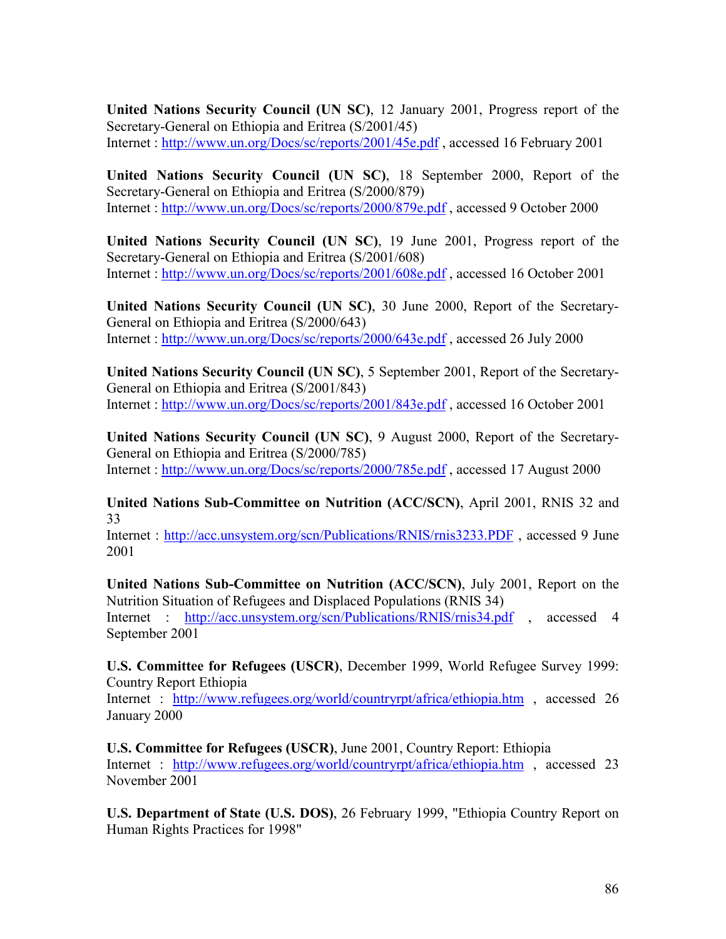**United Nations Security Council (UN SC)**, 12 January 2001, Progress report of the Secretary-General on Ethiopia and Eritrea (S/2001/45) Internet :<http://www.un.org/Docs/sc/reports/2001/45e.pdf> , accessed 16 February 2001

**United Nations Security Council (UN SC)**, 18 September 2000, Report of the Secretary-General on Ethiopia and Eritrea (S/2000/879) Internet :<http://www.un.org/Docs/sc/reports/2000/879e.pdf> , accessed 9 October 2000

**United Nations Security Council (UN SC)**, 19 June 2001, Progress report of the Secretary-General on Ethiopia and Eritrea (S/2001/608) Internet :<http://www.un.org/Docs/sc/reports/2001/608e.pdf> , accessed 16 October 2001

**United Nations Security Council (UN SC)**, 30 June 2000, Report of the Secretary-General on Ethiopia and Eritrea (S/2000/643) Internet :<http://www.un.org/Docs/sc/reports/2000/643e.pdf> , accessed 26 July 2000

**United Nations Security Council (UN SC)**, 5 September 2001, Report of the Secretary-General on Ethiopia and Eritrea (S/2001/843) Internet :<http://www.un.org/Docs/sc/reports/2001/843e.pdf> , accessed 16 October 2001

**United Nations Security Council (UN SC)**, 9 August 2000, Report of the Secretary-General on Ethiopia and Eritrea (S/2000/785) Internet :<http://www.un.org/Docs/sc/reports/2000/785e.pdf> , accessed 17 August 2000

**United Nations Sub-Committee on Nutrition (ACC/SCN)**, April 2001, RNIS 32 and 33

Internet : <http://acc.unsystem.org/scn/Publications/RNIS/rnis3233.PDF> , accessed 9 June 2001

**United Nations Sub-Committee on Nutrition (ACC/SCN)**, July 2001, Report on the Nutrition Situation of Refugees and Displaced Populations (RNIS 34) Internet : <http://acc.unsystem.org/scn/Publications/RNIS/rnis34.pdf>, accessed 4 September 2001

**U.S. Committee for Refugees (USCR)**, December 1999, World Refugee Survey 1999: Country Report Ethiopia

Internet : <http://www.refugees.org/world/countryrpt/africa/ethiopia.htm> , accessed 26 January 2000

**U.S. Committee for Refugees (USCR)**, June 2001, Country Report: Ethiopia Internet : <http://www.refugees.org/world/countryrpt/africa/ethiopia.htm> , accessed 23 November 2001

**U.S. Department of State (U.S. DOS)**, 26 February 1999, "Ethiopia Country Report on Human Rights Practices for 1998"